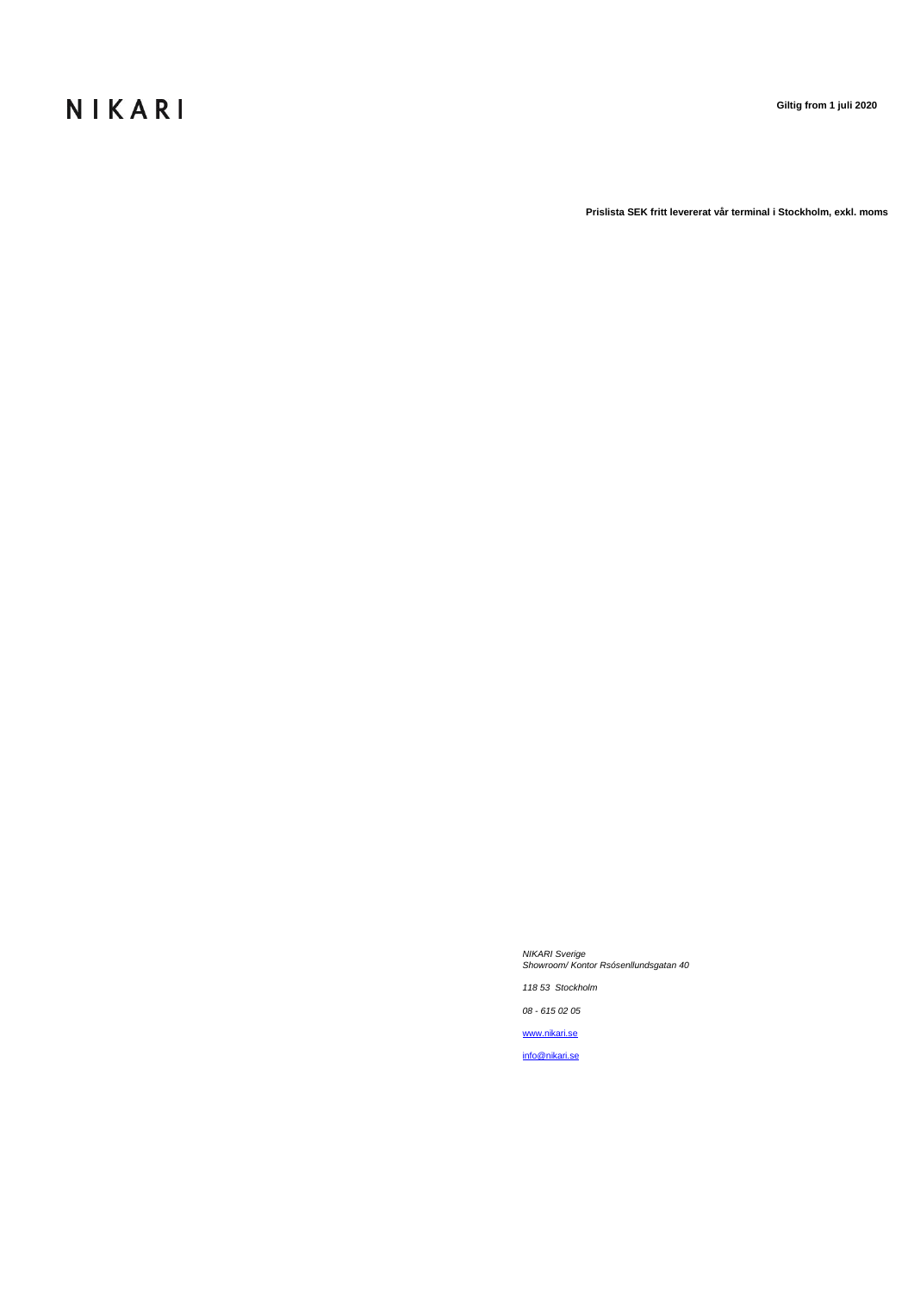## NIKARI

**Giltig from 1 juli 2020** 

**Prislista SEK fritt levererat vår terminal i Stockholm, exkl. moms**

*NIKARI Sverige Showroom/ Kontor Rsósenllundsgatan 40*

*118 53 Stockholm*

*08 - 615 02 05*

[www.nikari.se](http://www.nikari.se/)

[info@nikari.se](mailto:info@nikari.se)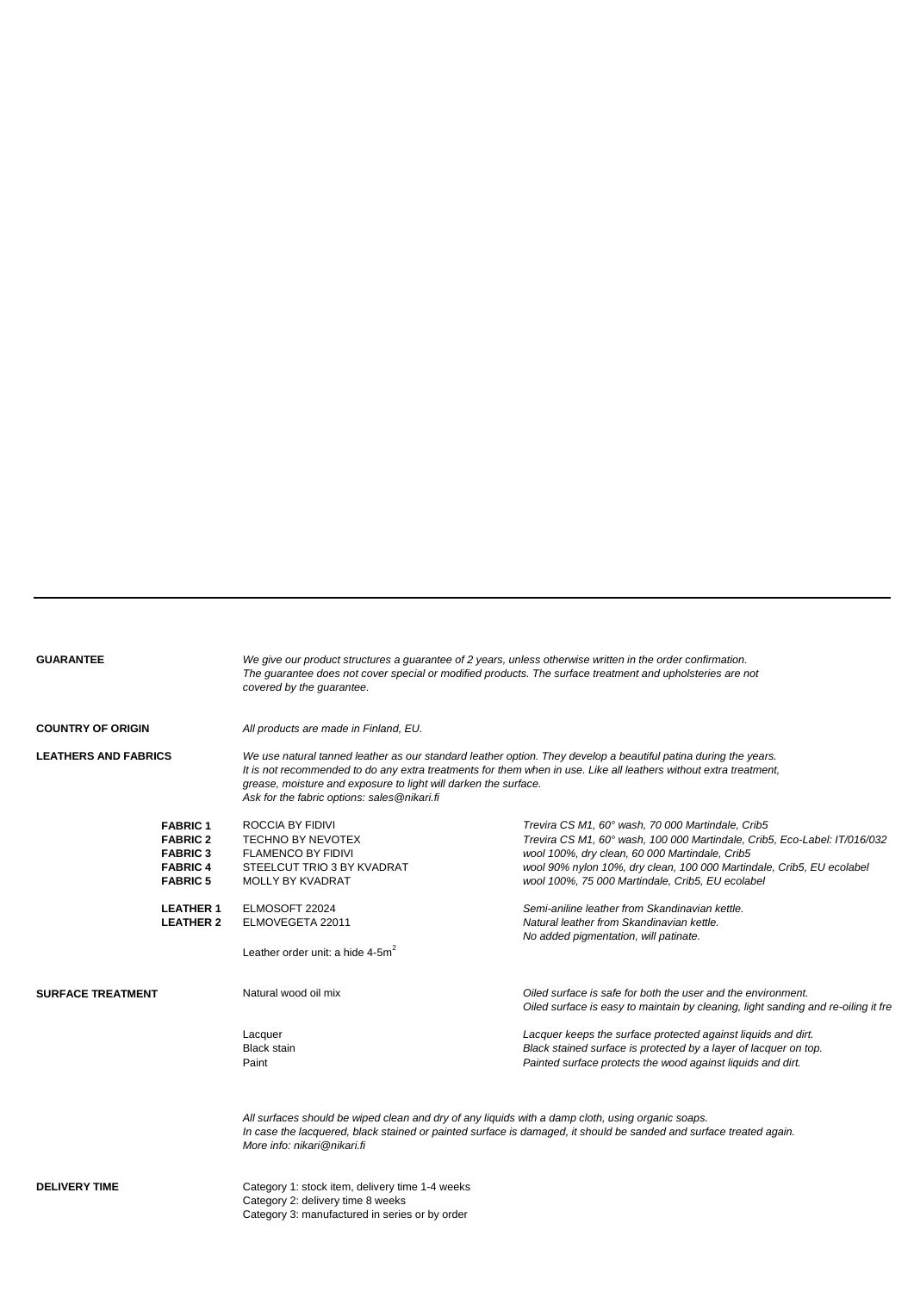|  |  | <b>GUARANTEE</b> |
|--|--|------------------|
|  |  |                  |

**GUARANTEE** *We give our product structures a guarantee of 2 years, unless otherwise written in the order confirmation. The guarantee does not cover special or modified products. The surface treatment and upholsteries are not covered by the guarantee.* 

**COUNTRY OF ORIGIN** *All products are made in Finland, EU.*

**LEATHERS AND FABRICS** *We use natural tanned leather as our standard leather option. They develop a beautiful patina during the years. It is not recommended to do any extra treatments for them when in use. Like all leathers without extra treatment, grease, moisture and exposure to light will darken the surface. Ask for the fabric options: sales@nikari.fi*

|                          | <b>FABRIC1</b><br><b>FABRIC 2</b><br><b>FABRIC 3</b><br><b>FABRIC 4</b><br><b>FABRIC 5</b> | ROCCIA BY FIDIVI<br><b>TECHNO BY NEVOTEX</b><br><b>FLAMENCO BY FIDIVI</b><br>STEELCUT TRIO 3 BY KVADRAT<br><b>MOLLY BY KVADRAT</b> | Trevira CS M1, 60° wash, 70 000 Martindale, Crib5<br>Trevira CS M1, 60° wash, 100 000 Martindale, Crib5, Eco-Label: IT/016/032<br>wool 100%, dry clean, 60 000 Martindale, Crib5<br>wool 90% nylon 10%, dry clean, 100 000 Martindale, Crib5, EU ecolabel<br>wool 100%, 75 000 Martindale, Crib5, EU ecolabel |
|--------------------------|--------------------------------------------------------------------------------------------|------------------------------------------------------------------------------------------------------------------------------------|---------------------------------------------------------------------------------------------------------------------------------------------------------------------------------------------------------------------------------------------------------------------------------------------------------------|
|                          | <b>LEATHER 1</b><br><b>LEATHER 2</b>                                                       | ELMOSOFT 22024<br>ELMOVEGETA 22011<br>Leather order unit: a hide $4-5m^2$                                                          | Semi-aniline leather from Skandinavian kettle.<br>Natural leather from Skandinavian kettle.<br>No added pigmentation, will patinate.                                                                                                                                                                          |
| <b>SURFACE TREATMENT</b> |                                                                                            | Natural wood oil mix                                                                                                               | Oiled surface is safe for both the user and the environment.<br>Oiled surface is easy to maintain by cleaning, light sanding and re-oiling it fre                                                                                                                                                             |
|                          |                                                                                            | Lacquer<br><b>Black stain</b><br>Paint                                                                                             | Lacquer keeps the surface protected against liquids and dirt.<br>Black stained surface is protected by a layer of lacquer on top.<br>Painted surface protects the wood against liquids and dirt.                                                                                                              |
|                          |                                                                                            | All surfaces should be wined clean and dry of any liquids with a damn cloth using organic soaps                                    |                                                                                                                                                                                                                                                                                                               |

*All surfaces should be wiped clean and dry of any liquids with a damp cloth, using organic soaps. In case the lacquered, black stained or painted surface is damaged, it should be sanded and surface treated again. More info: nikari@nikari.fi*

**DELIVERY TIME** Category 1: stock item, delivery time 1-4 weeks Category 2: delivery time 8 weeks Category 3: manufactured in series or by order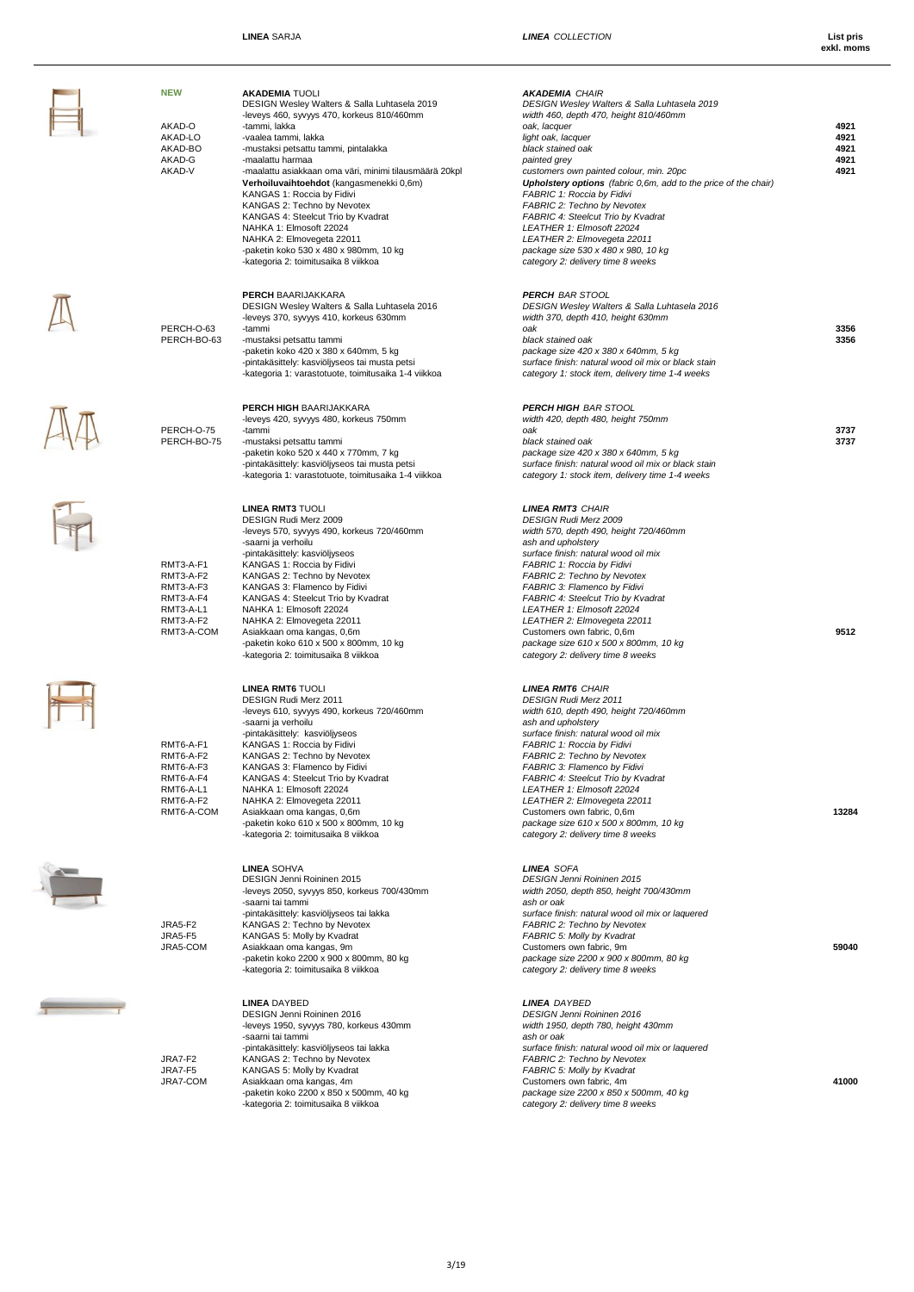$\mathbb{A}$ 

AA<br>Fr

 $\frac{1}{\sqrt{2}}$ 

 $\overline{1}$ 

| <b>NEW</b><br>AKAD-O<br>AKAD-LO<br>AKAD-BO<br>AKAD-G<br>AKAD-V                           | <b>AKADEMIA TUOLI</b><br>DESIGN Wesley Walters & Salla Luhtasela 2019<br>-leveys 460, syvyys 470, korkeus 810/460mm<br>-tammi, lakka<br>-vaalea tammi, lakka<br>-mustaksi petsattu tammi, pintalakka<br>-maalattu harmaa<br>-maalattu asiakkaan oma väri, minimi tilausmäärä 20kpl<br>Verhoiluvaihtoehdot (kangasmenekki 0,6m)<br>KANGAS 1: Roccia by Fidivi<br>KANGAS 2: Techno by Nevotex<br>KANGAS 4: Steelcut Trio by Kvadrat<br>NAHKA 1: Elmosoft 22024<br>NAHKA 2: Elmovegeta 22011<br>-paketin koko 530 x 480 x 980mm, 10 kg<br>-kategoria 2: toimitusaika 8 viikkoa | <b>AKADEMIA CHAIR</b><br>DESIGN Wesley Walters & Salla Luhtasela 2019<br>width 460, depth 470, height 810/460mm<br>oak, lacquer<br>light oak, lacquer<br>black stained oak<br>painted grey<br>customers own painted colour, min. 20pc<br>Upholstery options (fabric 0,6m, add to the price of the chair)<br>FABRIC 1: Roccia by Fidivi<br>FABRIC 2: Techno by Nevotex<br>FABRIC 4: Steelcut Trio by Kvadrat<br>LEATHER 1: Elmosoft 22024<br>LEATHER 2: Elmovegeta 22011<br>package size 530 x 480 x 980, 10 kg<br>category 2: delivery time 8 weeks | 4921<br>4921<br>4921<br>4921<br>4921 |
|------------------------------------------------------------------------------------------|-----------------------------------------------------------------------------------------------------------------------------------------------------------------------------------------------------------------------------------------------------------------------------------------------------------------------------------------------------------------------------------------------------------------------------------------------------------------------------------------------------------------------------------------------------------------------------|-----------------------------------------------------------------------------------------------------------------------------------------------------------------------------------------------------------------------------------------------------------------------------------------------------------------------------------------------------------------------------------------------------------------------------------------------------------------------------------------------------------------------------------------------------|--------------------------------------|
| PERCH-O-63<br>PERCH-BO-63                                                                | <b>PERCH BAARIJAKKARA</b><br>DESIGN Wesley Walters & Salla Luhtasela 2016<br>-leveys 370, syvyys 410, korkeus 630mm<br>-tammi<br>-mustaksi petsattu tammi<br>-paketin koko 420 x 380 x 640mm, 5 kg<br>-pintakäsittely: kasviöljyseos tai musta petsi<br>-kategoria 1: varastotuote, toimitusaika 1-4 viikkoa                                                                                                                                                                                                                                                                | <b>PERCH BAR STOOL</b><br>DESIGN Wesley Walters & Salla Luhtasela 2016<br>width 370, depth 410, height 630mm<br>oak<br>black stained oak<br>package size 420 x 380 x 640mm, 5 kg<br>surface finish: natural wood oil mix or black stain<br>category 1: stock item, delivery time 1-4 weeks                                                                                                                                                                                                                                                          | 3356<br>3356                         |
| PERCH-O-75<br>PERCH-BO-75                                                                | PERCH HIGH BAARIJAKKARA<br>-leveys 420, syvyys 480, korkeus 750mm<br>-tammi<br>-mustaksi petsattu tammi<br>-paketin koko 520 x 440 x 770mm, 7 kg<br>-pintakäsittely: kasviöljyseos tai musta petsi<br>-kategoria 1: varastotuote, toimitusaika 1-4 viikkoa                                                                                                                                                                                                                                                                                                                  | <b>PERCH HIGH BAR STOOL</b><br>width 420, depth 480, height 750mm<br>oak<br>black stained oak<br>package size 420 x 380 x 640mm, 5 kg<br>surface finish: natural wood oil mix or black stain<br>category 1: stock item, delivery time 1-4 weeks                                                                                                                                                                                                                                                                                                     | 3737<br>3737                         |
| RMT3-A-F1<br>RMT3-A-F2<br>RMT3-A-F3<br>RMT3-A-F4<br>RMT3-A-L1<br>RMT3-A-F2<br>RMT3-A-COM | <b>LINEA RMT3 TUOLI</b><br>DESIGN Rudi Merz 2009<br>-leveys 570, syvyys 490, korkeus 720/460mm<br>-saarni ja verhoilu<br>-pintakäsittely: kasviöljyseos<br>KANGAS 1: Roccia by Fidivi<br>KANGAS 2: Techno by Nevotex<br>KANGAS 3: Flamenco by Fidivi<br>KANGAS 4: Steelcut Trio by Kvadrat<br>NAHKA 1: Elmosoft 22024<br>NAHKA 2: Elmovegeta 22011<br>Asiakkaan oma kangas, 0,6m<br>-paketin koko 610 x 500 x 800mm, 10 kg<br>-kategoria 2: toimitusaika 8 viikkoa                                                                                                          | <b>LINEA RMT3 CHAIR</b><br><b>DESIGN Rudi Merz 2009</b><br>width 570, depth 490, height 720/460mm<br>ash and upholstery<br>surface finish: natural wood oil mix<br>FABRIC 1: Roccia by Fidivi<br>FABRIC 2: Techno by Nevotex<br>FABRIC 3: Flamenco by Fidivi<br>FABRIC 4: Steelcut Trio by Kvadrat<br>LEATHER 1: Elmosoft 22024<br>LEATHER 2: Elmovegeta 22011<br>Customers own fabric, 0,6m<br>package size 610 x 500 x 800mm, 10 kg<br>category 2: delivery time 8 weeks                                                                          | 9512                                 |
| RMT6-A-F1<br>RMT6-A-F2<br>RMT6-A-F3<br>RMT6-A-F4<br>RMT6-A-L1<br>RMT6-A-F2<br>RMT6-A-COM | <b>LINEA RMT6 TUOLI</b><br>DESIGN Rudi Merz 2011<br>-leveys 610, syvyys 490, korkeus 720/460mm<br>-saarni ja verhoilu<br>-pintakäsittely: kasviöljyseos<br>KANGAS 1: Roccia by Fidivi<br>KANGAS 2: Techno by Nevotex<br>KANGAS 3: Flamenco by Fidivi<br>KANGAS 4: Steelcut Trio by Kvadrat<br>NAHKA 1: Elmosoft 22024<br>NAHKA 2: Elmovegeta 22011<br>Asiakkaan oma kangas, 0,6m<br>-paketin koko 610 x 500 x 800mm, 10 kg<br>-kategoria 2: toimitusaika 8 viikkoa                                                                                                          | <b>LINEA RMT6 CHAIR</b><br>DESIGN Rudi Merz 2011<br>width 610, depth 490, height 720/460mm<br>ash and upholstery<br>surface finish: natural wood oil mix<br>FABRIC 1: Roccia by Fidivi<br>FABRIC 2: Techno by Nevotex<br>FABRIC 3: Flamenco by Fidivi<br>FABRIC 4: Steelcut Trio by Kvadrat<br>LEATHER 1: Elmosoft 22024<br>LEATHER 2: Elmovegeta 22011<br>Customers own fabric, 0,6m<br>package size 610 x 500 x 800mm, 10 kg<br>category 2: delivery time 8 weeks                                                                                 | 13284                                |
| JRA5-F2<br><b>JRA5-F5</b><br>JRA5-COM                                                    | <b>LINEA SOHVA</b><br>DESIGN Jenni Roininen 2015<br>-leveys 2050, syvyys 850, korkeus 700/430mm<br>-saarni tai tammi<br>-pintakäsittely: kasviöljyseos tai lakka<br>KANGAS 2: Techno by Nevotex<br>KANGAS 5: Molly by Kvadrat<br>Asiakkaan oma kangas, 9m<br>-paketin koko 2200 x 900 x 800mm, 80 kg<br>-kategoria 2: toimitusaika 8 viikkoa                                                                                                                                                                                                                                | <b>LINEA SOFA</b><br>DESIGN Jenni Roininen 2015<br>width 2050, depth 850, height 700/430mm<br>ash or oak<br>surface finish: natural wood oil mix or laquered<br><b>FABRIC 2: Techno by Nevotex</b><br>FABRIC 5: Molly by Kvadrat<br>Customers own fabric, 9m<br>package size 2200 x 900 x 800mm, 80 kg<br>category 2: delivery time 8 weeks                                                                                                                                                                                                         | 59040                                |
| JRA7-F2<br>JRA7-F5<br>JRA7-COM                                                           | <b>LINEA DAYBED</b><br>DESIGN Jenni Roininen 2016<br>-leveys 1950, syvyys 780, korkeus 430mm<br>-saarni tai tammi<br>-pintakäsittely: kasviöljyseos tai lakka<br>KANGAS 2: Techno by Nevotex<br>KANGAS 5: Molly by Kvadrat<br>Asiakkaan oma kangas, 4m<br>-paketin koko 2200 x 850 x 500mm, 40 kg<br>-kategoria 2: toimitusaika 8 viikkoa                                                                                                                                                                                                                                   | <b>LINEA DAYBED</b><br><b>DESIGN Jenni Roininen 2016</b><br>width 1950, depth 780, height 430mm<br>ash or oak<br>surface finish: natural wood oil mix or laquered<br>FABRIC 2: Techno by Nevotex<br>FABRIC 5: Molly by Kvadrat<br>Customers own fabric, 4m<br>package size 2200 x 850 x 500mm, 40 kg<br>category 2: delivery time 8 weeks                                                                                                                                                                                                           | 41000                                |

3/19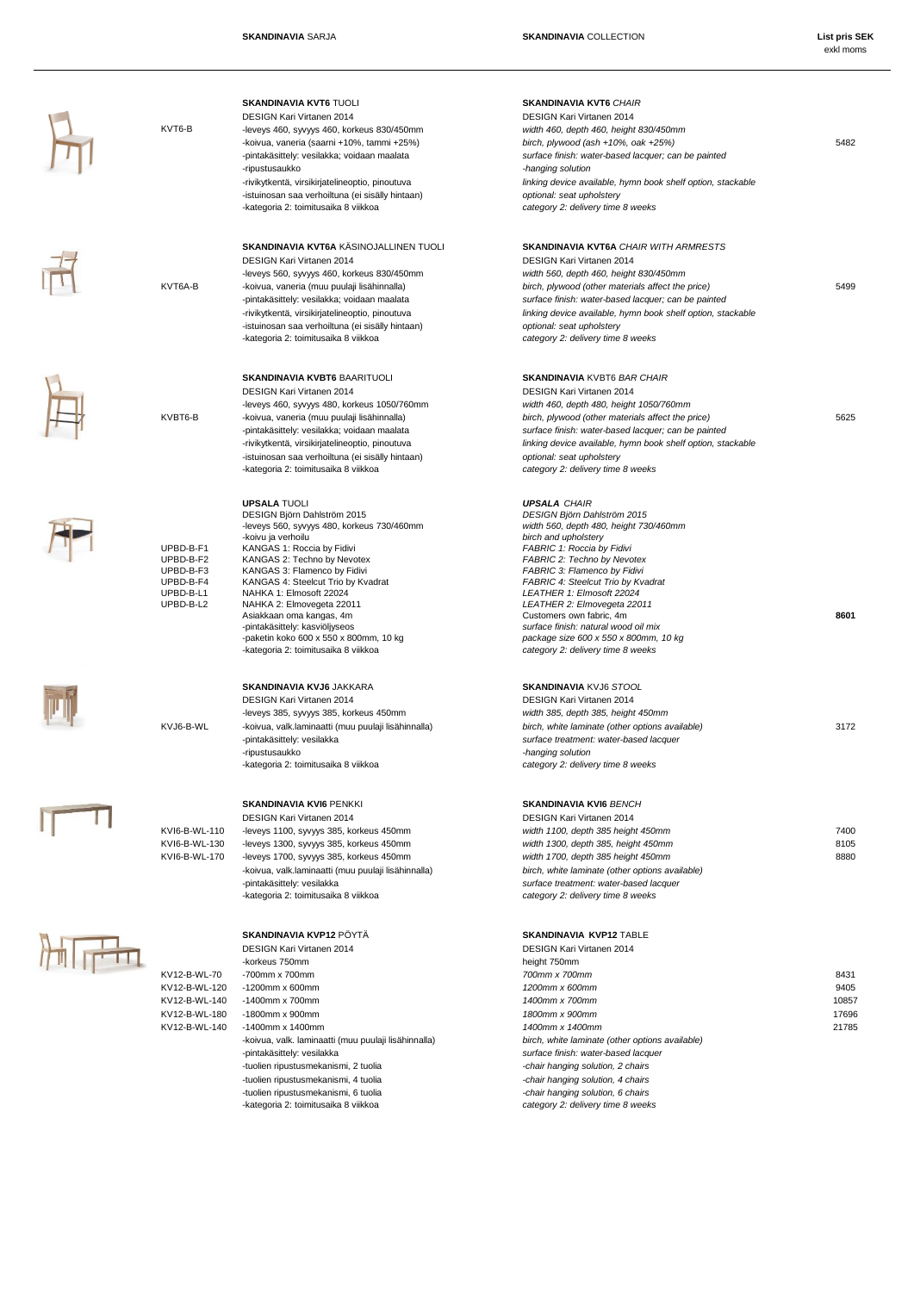







# -kategoria 2: toimitusaika 8 viikkoa *category 2: delivery time 8 weeks*

-kategoria 2: toimitusaika 8 viikkoa *category 2: delivery time 8 weeks*

UPBD-B-F4 KANGAS 4: Steelcut Trio by Kvadrat<br>
UPBD-B-L1 NAHKA 1: Elmosoft 22024 -<br>-paketin koko 600 x 550 x 800mm, 10 kg<br>-kategoria 2: toimitusaika 8 viikkoa

-kategoria 2: toimitusaika 8 viikkoa *category 2: delivery time 8 weeks*

| <u> PLUIVII INAII VIINAIIVII LUIT</u>                |
|------------------------------------------------------|
| -korkeus 750mm                                       |
| $-700$ mm x $700$ mm                                 |
| $-1200$ mm x 600mm                                   |
| $-1400$ mm x $700$ mm                                |
| $-1800$ mm x 900mm                                   |
| $-1400$ mm x 1400mm                                  |
| -koivua, valk. laminaatti (muu puulaji lisähinnalla) |
| -pintakäsittely: vesilakka                           |
| -tuolien ripustusmekanismi, 2 tuolia                 |
| -tuolien ripustusmekanismi, 4 tuolia                 |
| -tuolien ripustusmekanismi, 6 tuolia                 |
| -kategoria 2: toimitusaika 8 viikkoa                 |
|                                                      |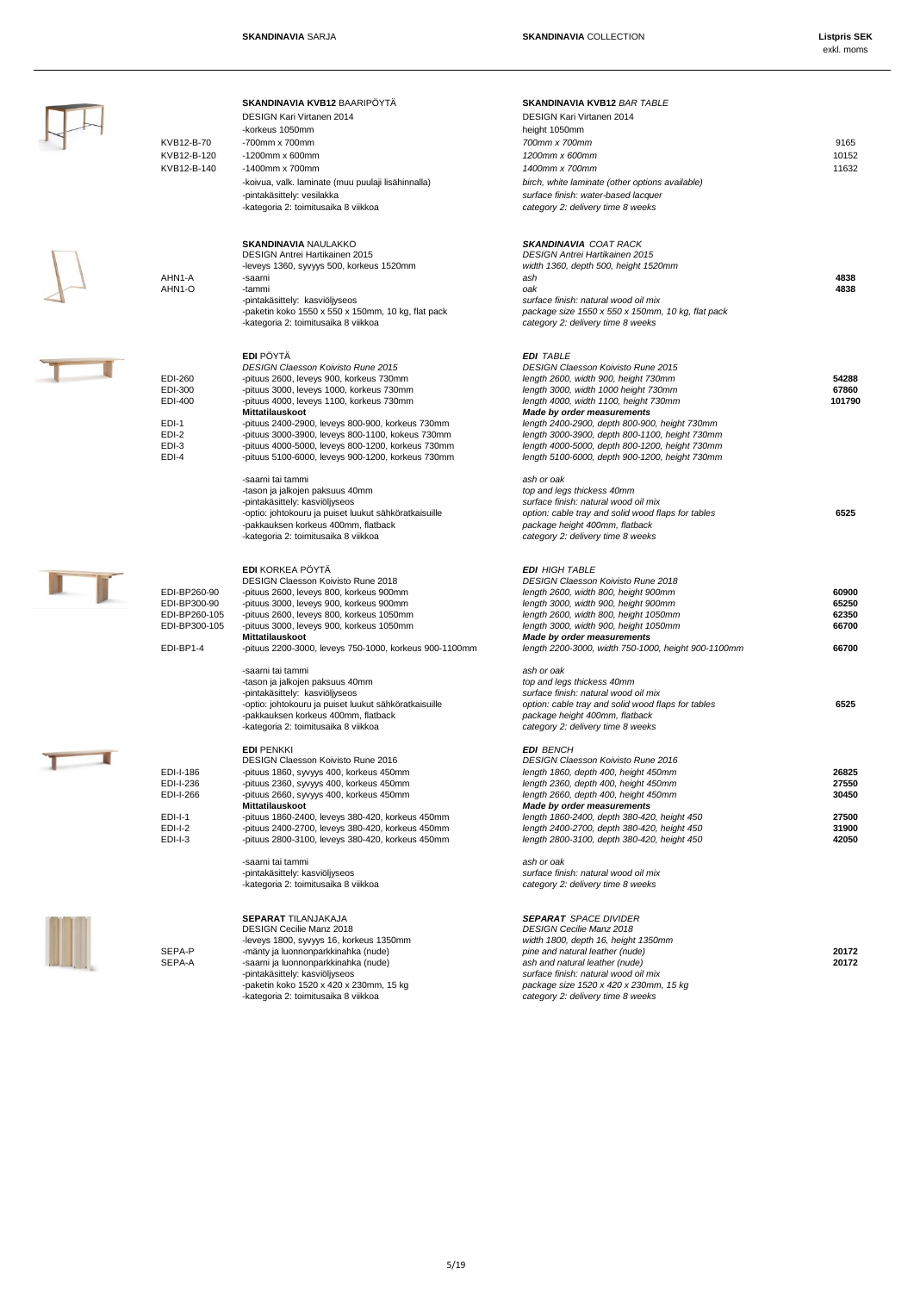| KVB12-B-70<br>KVB12-B-120<br>KVB12-B-140                                           | <b>SKANDINAVIA KVB12 BAARIPÖYTÄ</b><br>DESIGN Kari Virtanen 2014<br>-korkeus 1050mm<br>-700mm x 700mm<br>$-1200$ mm x 600mm<br>$-1400$ mm x 700mm<br>-koivua, valk. laminate (muu puulaji lisähinnalla)<br>-pintakäsittely: vesilakka<br>-kategoria 2: toimitusaika 8 viikkoa                                                                                                                                                         | SKANDINAVIA KVB12 BAR TABLE<br><b>DESIGN Kari Virtanen 2014</b><br>height 1050mm<br>700mm x 700mm<br>1200mm x 600mm<br>1400mm x 700mm<br>birch, white laminate (other options available)<br>surface finish: water-based lacquer<br>category 2: delivery time 8 weeks                                                                                                                                                               | 9165<br>10152<br>11632                             |
|------------------------------------------------------------------------------------|---------------------------------------------------------------------------------------------------------------------------------------------------------------------------------------------------------------------------------------------------------------------------------------------------------------------------------------------------------------------------------------------------------------------------------------|------------------------------------------------------------------------------------------------------------------------------------------------------------------------------------------------------------------------------------------------------------------------------------------------------------------------------------------------------------------------------------------------------------------------------------|----------------------------------------------------|
| AHN1-A<br>AHN1-O                                                                   | <b>SKANDINAVIA NAULAKKO</b><br>DESIGN Antrei Hartikainen 2015<br>-leveys 1360, syvyys 500, korkeus 1520mm<br>-saarni<br>-tammi<br>-pintakäsittely: kasviöljyseos<br>-paketin koko 1550 x 550 x 150mm, 10 kg, flat pack<br>-kategoria 2: toimitusaika 8 viikkoa                                                                                                                                                                        | <b>SKANDINAVIA COAT RACK</b><br><b>DESIGN Antrei Hartikainen 2015</b><br>width 1360, depth 500, height 1520mm<br>ash<br>oak<br>surface finish: natural wood oil mix<br>package size 1550 x 550 x 150mm, 10 kg, flat pack<br>category 2: delivery time 8 weeks                                                                                                                                                                      | 4838<br>4838                                       |
| EDI-260<br>EDI-300<br>EDI-400<br>EDI-1<br>EDI-2<br>EDI-3<br>EDI-4                  | <b>EDI</b> PÖYTÄ<br><b>DESIGN Claesson Koivisto Rune 2015</b><br>-pituus 2600, leveys 900, korkeus 730mm<br>-pituus 3000, leveys 1000, korkeus 730mm<br>-pituus 4000, leveys 1100, korkeus 730mm<br>Mittatilauskoot<br>-pituus 2400-2900, leveys 800-900, korkeus 730mm<br>-pituus 3000-3900, leveys 800-1100, kokeus 730mm<br>-pituus 4000-5000, leveys 800-1200, korkeus 730mm<br>-pituus 5100-6000, leveys 900-1200, korkeus 730mm | <b>EDI TABLE</b><br><b>DESIGN Claesson Koivisto Rune 2015</b><br>length 2600, width 900, height 730mm<br>length 3000, width 1000 height 730mm<br>length 4000, width 1100, height 730mm<br><b>Made by order measurements</b><br>length 2400-2900, depth 800-900, height 730mm<br>length 3000-3900, depth 800-1100, height 730mm<br>length 4000-5000, depth 800-1200, height 730mm<br>length 5100-6000, depth 900-1200, height 730mm | 54288<br>67860<br>101790                           |
|                                                                                    | -saarni tai tammi<br>-tason ja jalkojen paksuus 40mm<br>-pintakäsittely: kasviöljyseos<br>-optio: johtokouru ja puiset luukut sähköratkaisuille<br>-pakkauksen korkeus 400mm, flatback<br>-kategoria 2: toimitusaika 8 viikkoa                                                                                                                                                                                                        | ash or oak<br>top and legs thickess 40mm<br>surface finish: natural wood oil mix<br>option: cable tray and solid wood flaps for tables<br>package height 400mm, flatback<br>category 2: delivery time 8 weeks                                                                                                                                                                                                                      | 6525                                               |
| EDI-BP260-90<br>EDI-BP300-90<br>EDI-BP260-105<br>EDI-BP300-105<br>EDI-BP1-4        | <b>EDI KORKEA PÖYTÄ</b><br>DESIGN Claesson Koivisto Rune 2018<br>-pituus 2600, leveys 800, korkeus 900mm<br>-pituus 3000, leveys 900, korkeus 900mm<br>-pituus 2600, leveys 800, korkeus 1050mm<br>-pituus 3000, leveys 900, korkeus 1050mm<br>Mittatilauskoot<br>-pituus 2200-3000, leveys 750-1000, korkeus 900-1100mm                                                                                                              | <b>EDI HIGH TABLE</b><br><b>DESIGN Claesson Koivisto Rune 2018</b><br>length 2600, width 800, height 900mm<br>length 3000, width 900, height 900mm<br>length 2600, width 800, height 1050mm<br>length 3000, width 900, height 1050mm<br>Made by order measurements<br>length 2200-3000, width 750-1000, height 900-1100mm                                                                                                          | 60900<br>65250<br>62350<br>66700<br>66700          |
|                                                                                    | -saarni tai tammi<br>-tason ja jalkojen paksuus 40mm<br>-pintakäsittely: kasviöljyseos<br>-optio: johtokouru ja puiset luukut sähköratkaisuille<br>-pakkauksen korkeus 400mm, flatback<br>-kategoria 2: toimitusaika 8 viikkoa                                                                                                                                                                                                        | ash or oak<br>top and legs thickess 40mm<br>surface finish: natural wood oil mix<br>option: cable tray and solid wood flaps for tables<br>package height 400mm, flatback<br>category 2: delivery time 8 weeks                                                                                                                                                                                                                      | 6525                                               |
| EDI-I-186<br>EDI-I-236<br>EDI-I-266<br><b>EDI-I-1</b><br><b>EDI-I-2</b><br>EDI-I-3 | <b>EDI PENKKI</b><br><b>DESIGN Claesson Koivisto Rune 2016</b><br>-pituus 1860, syvyys 400, korkeus 450mm<br>-pituus 2360, syvyys 400, korkeus 450mm<br>-pituus 2660, syvyys 400, korkeus 450mm<br>Mittatilauskoot<br>-pituus 1860-2400, leveys 380-420, korkeus 450mm<br>-pituus 2400-2700, leveys 380-420, korkeus 450mm<br>-pituus 2800-3100, leveys 380-420, korkeus 450mm<br>-saarni tai tammi<br>-pintakäsittely: kasviöljyseos | <b>EDI BENCH</b><br><b>DESIGN Claesson Koivisto Rune 2016</b><br>length 1860, depth 400, height 450mm<br>length 2360, depth 400, height 450mm<br>length 2660, depth 400, height 450mm<br>Made by order measurements<br>length 1860-2400, depth 380-420, height 450<br>length 2400-2700, depth 380-420, height 450<br>length 2800-3100, depth 380-420, height 450<br>ash or oak<br>surface finish: natural wood oil mix             | 26825<br>27550<br>30450<br>27500<br>31900<br>42050 |
| SEPA-P<br>SEPA-A                                                                   | -kategoria 2: toimitusaika 8 viikkoa<br><b>SEPARAT TILANJAKAJA</b><br><b>DESIGN Cecilie Manz 2018</b><br>-leveys 1800, syvyys 16, korkeus 1350mm<br>-mänty ja luonnonparkkinahka (nude)<br>-saarni ja luonnonparkkinahka (nude)<br>-pintakäsittely: kasviöljyseos<br>-paketin koko 1520 x 420 x 230mm, 15 kg<br>-kategoria 2: toimitusaika 8 viikkoa                                                                                  | category 2: delivery time 8 weeks<br><b>SEPARAT SPACE DIVIDER</b><br><b>DESIGN Cecilie Manz 2018</b><br>width 1800, depth 16, height 1350mm<br>pine and natural leather (nude)<br>ash and natural leather (nude)<br>surface finish: natural wood oil mix<br>package size 1520 x 420 x 230mm, 15 kg<br>category 2: delivery time 8 weeks                                                                                            | 20172<br>20172                                     |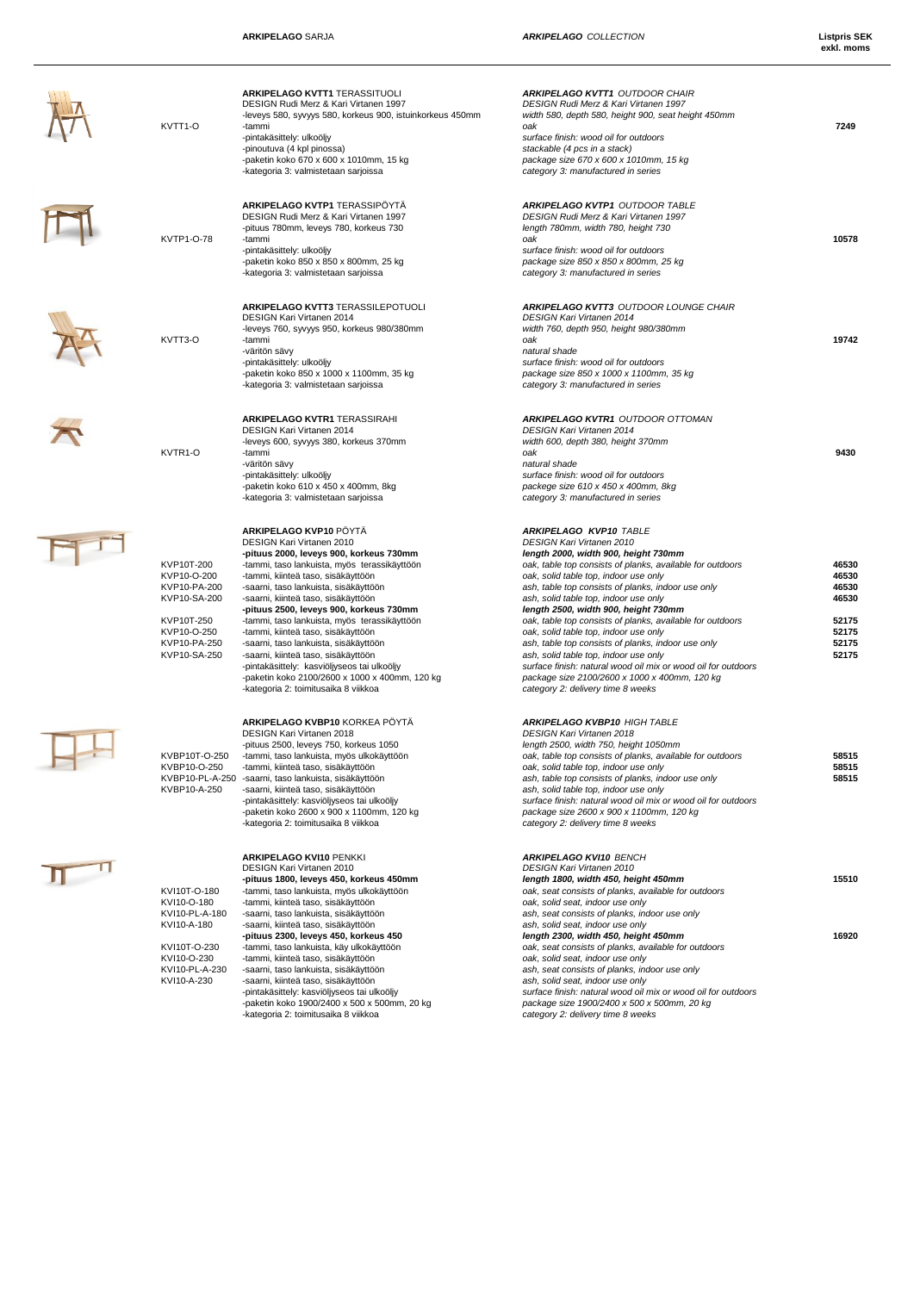| KVTT1-O                                                                                                                | ARKIPELAGO KVTT1 TERASSITUOLI<br>DESIGN Rudi Merz & Kari Virtanen 1997<br>-leveys 580, syvyys 580, korkeus 900, istuinkorkeus 450mm<br>-tammi<br>-pintakäsittely: ulkoöljy<br>-pinoutuva (4 kpl pinossa)<br>-paketin koko 670 x 600 x 1010mm, 15 kg<br>-kategoria 3: valmistetaan sarjoissa                                                                                                                                                                                                                                                                                                                                    | <b>ARKIPELAGO KVTT1 OUTDOOR CHAIR</b><br>DESIGN Rudi Merz & Kari Virtanen 1997<br>width 580, depth 580, height 900, seat height 450mm<br>oak<br>surface finish: wood oil for outdoors<br>stackable (4 pcs in a stack)<br>package size 670 x 600 x 1010mm, 15 kg<br>category 3: manufactured in series                                                                                                                                                                                                                                                                                                                                                                                                | 7249                                                                 |
|------------------------------------------------------------------------------------------------------------------------|--------------------------------------------------------------------------------------------------------------------------------------------------------------------------------------------------------------------------------------------------------------------------------------------------------------------------------------------------------------------------------------------------------------------------------------------------------------------------------------------------------------------------------------------------------------------------------------------------------------------------------|------------------------------------------------------------------------------------------------------------------------------------------------------------------------------------------------------------------------------------------------------------------------------------------------------------------------------------------------------------------------------------------------------------------------------------------------------------------------------------------------------------------------------------------------------------------------------------------------------------------------------------------------------------------------------------------------------|----------------------------------------------------------------------|
| KVTP1-O-78                                                                                                             | ARKIPELAGO KVTP1 TERASSIPÖYTÄ<br>DESIGN Rudi Merz & Kari Virtanen 1997<br>-pituus 780mm, leveys 780, korkeus 730<br>-tammi<br>-pintakäsittely: ulkoöljy<br>-paketin koko 850 x 850 x 800mm, 25 kg<br>-kategoria 3: valmistetaan sarjoissa                                                                                                                                                                                                                                                                                                                                                                                      | <b>ARKIPELAGO KVTP1 OUTDOOR TABLE</b><br>DESIGN Rudi Merz & Kari Virtanen 1997<br>length 780mm, width 780, height 730<br>oak<br>surface finish: wood oil for outdoors<br>package size 850 x 850 x 800mm, 25 kg<br>category 3: manufactured in series                                                                                                                                                                                                                                                                                                                                                                                                                                                 | 10578                                                                |
| KVTT3-O                                                                                                                | ARKIPELAGO KVTT3 TERASSILEPOTUOLI<br><b>DESIGN Kari Virtanen 2014</b><br>-leveys 760, syvyys 950, korkeus 980/380mm<br>-tammi<br>-väritön sävy<br>-pintakäsittely: ulkoöljy<br>-paketin koko 850 x 1000 x 1100mm, 35 kg<br>-kategoria 3: valmistetaan sarjoissa                                                                                                                                                                                                                                                                                                                                                                | <b>ARKIPELAGO KVTT3 OUTDOOR LOUNGE CHAIR</b><br><b>DESIGN Kari Virtanen 2014</b><br>width 760, depth 950, height 980/380mm<br>oak<br>natural shade<br>surface finish: wood oil for outdoors<br>package size 850 x 1000 x 1100mm, 35 kg<br>category 3: manufactured in series                                                                                                                                                                                                                                                                                                                                                                                                                         | 19742                                                                |
| KVTR1-O                                                                                                                | <b>ARKIPELAGO KVTR1 TERASSIRAHI</b><br><b>DESIGN Kari Virtanen 2014</b><br>-leveys 600, syvyys 380, korkeus 370mm<br>-tammi<br>-väritön sävy<br>-pintakäsittely: ulkoöljy<br>-paketin koko 610 x 450 x 400mm, 8kg<br>-kategoria 3: valmistetaan sarjoissa                                                                                                                                                                                                                                                                                                                                                                      | <b>ARKIPELAGO KVTR1 OUTDOOR OTTOMAN</b><br><b>DESIGN Kari Virtanen 2014</b><br>width 600, depth 380, height 370mm<br>oak<br>natural shade<br>surface finish: wood oil for outdoors<br>packege size 610 x 450 x 400mm, 8kg<br>category 3: manufactured in series                                                                                                                                                                                                                                                                                                                                                                                                                                      | 9430                                                                 |
| KVP10T-200<br>KVP10-O-200<br>KVP10-PA-200<br>KVP10-SA-200<br>KVP10T-250<br>KVP10-O-250<br>KVP10-PA-250<br>KVP10-SA-250 | ARKIPELAGO KVP10 PÖYTÄ<br>DESIGN Kari Virtanen 2010<br>-pituus 2000, leveys 900, korkeus 730mm<br>-tammi, taso lankuista, myös terassikäyttöön<br>-tammi, kiinteä taso, sisäkäyttöön<br>-saarni, taso lankuista, sisäkäyttöön<br>-saarni, kiinteä taso, sisäkäyttöön<br>-pituus 2500, leveys 900, korkeus 730mm<br>-tammi, taso lankuista, myös terassikäyttöön<br>-tammi, kiinteä taso, sisäkäyttöön<br>-saarni, taso lankuista, sisäkäyttöön<br>-saarni, kiinteä taso, sisäkäyttöön<br>-pintakäsittely: kasviöljyseos tai ulkoöljy<br>-paketin koko 2100/2600 x 1000 x 400mm, 120 kg<br>-kategoria 2: toimitusaika 8 viikkoa | ARKIPELAGO KVP10 TABLE<br>DESIGN Kari Virtanen 2010<br>length 2000, width 900, height 730mm<br>oak, table top consists of planks, available for outdoors<br>oak, solid table top, indoor use only<br>ash, table top consists of planks, indoor use only<br>ash, solid table top, indoor use only<br>length 2500, width 900, height 730mm<br>oak, table top consists of planks, available for outdoors<br>oak, solid table top, indoor use only<br>ash, table top consists of planks, indoor use only<br>ash, solid table top, indoor use only<br>surface finish: natural wood oil mix or wood oil for outdoors<br>package size 2100/2600 x 1000 x 400mm, 120 kg<br>category 2: delivery time 8 weeks | 46530<br>46530<br>46530<br>46530<br>52175<br>52175<br>52175<br>52175 |
| KVBP10T-O-250<br>KVBP10-O-250<br>KVBP10-A-250                                                                          | ARKIPELAGO KVBP10 KORKEA PÖYTÄ<br>DESIGN Kari Virtanen 2018<br>-pituus 2500, leveys 750, korkeus 1050<br>-tammi, taso lankuista, myös ulkokäyttöön<br>-tammi, kiinteä taso, sisäkäyttöön<br>KVBP10-PL-A-250 -saarni, taso lankuista, sisäkäyttöön<br>-saarni, kiinteä taso, sisäkäyttöön<br>-pintakäsittely: kasviöljyseos tai ulkoöljy<br>-paketin koko 2600 x 900 x 1100mm, 120 kg<br>-kategoria 2: toimitusaika 8 viikkoa                                                                                                                                                                                                   | <b>ARKIPELAGO KVBP10 HIGH TABLE</b><br>DESIGN Kari Virtanen 2018<br>length 2500, width 750, height 1050mm<br>oak, table top consists of planks, available for outdoors<br>oak, solid table top, indoor use only<br>ash, table top consists of planks, indoor use only<br>ash, solid table top, indoor use only<br>surface finish: natural wood oil mix or wood oil for outdoors<br>package size 2600 x 900 x 1100mm, 120 kg<br>category 2: delivery time 8 weeks                                                                                                                                                                                                                                     | 58515<br>58515<br>58515                                              |
| KVI10T-O-180<br>KVI10-O-180<br>KVI10-PL-A-180<br>KVI10-A-180<br>KVI10T-O-230<br>KVI10-O-230                            | ARKIPELAGO KVI10 PENKKI<br>DESIGN Kari Virtanen 2010<br>-pituus 1800, leveys 450, korkeus 450mm<br>-tammi, taso lankuista, myös ulkokäyttöön<br>-tammi, kiinteä taso, sisäkäyttöön<br>-saarni, taso lankuista, sisäkäyttöön<br>-saarni, kiinteä taso, sisäkäyttöön<br>-pituus 2300, leveys 450, korkeus 450<br>-tammi, taso lankuista, käy ulkokäyttöön<br>-tammi, kiinteä taso, sisäkäyttöön                                                                                                                                                                                                                                  | <b>ARKIPELAGO KVI10 BENCH</b><br><b>DESIGN Kari Virtanen 2010</b><br>length 1800, width 450, height 450mm<br>oak, seat consists of planks, available for outdoors<br>oak, solid seat, indoor use only<br>ash, seat consists of planks, indoor use only<br>ash, solid seat, indoor use only<br>length 2300, width 450, height 450mm<br>oak, seat consists of planks, available for outdoors<br>oak, solid seat, indoor use only                                                                                                                                                                                                                                                                       | 15510<br>16920                                                       |
| KVI10-PL-A-230<br>KVI10-A-230                                                                                          | -saarni, taso lankuista, sisäkäyttöön<br>-saarni, kiinteä taso, sisäkäyttöön<br>-pintakäsittely: kasviöljyseos tai ulkoöljy<br>-paketin koko 1900/2400 x 500 x 500mm, 20 kg<br>-kategoria 2: toimitusaika 8 viikkoa                                                                                                                                                                                                                                                                                                                                                                                                            | ash, seat consists of planks, indoor use only<br>ash, solid seat, indoor use only<br>surface finish: natural wood oil mix or wood oil for outdoors<br>package size 1900/2400 x 500 x 500mm, 20 kg<br>category 2: delivery time 8 weeks                                                                                                                                                                                                                                                                                                                                                                                                                                                               |                                                                      |





KVBP10T-O-25<br>KVBP10-O-250<br>KVBP10-PL-A-2<br>KVBP10-A-250

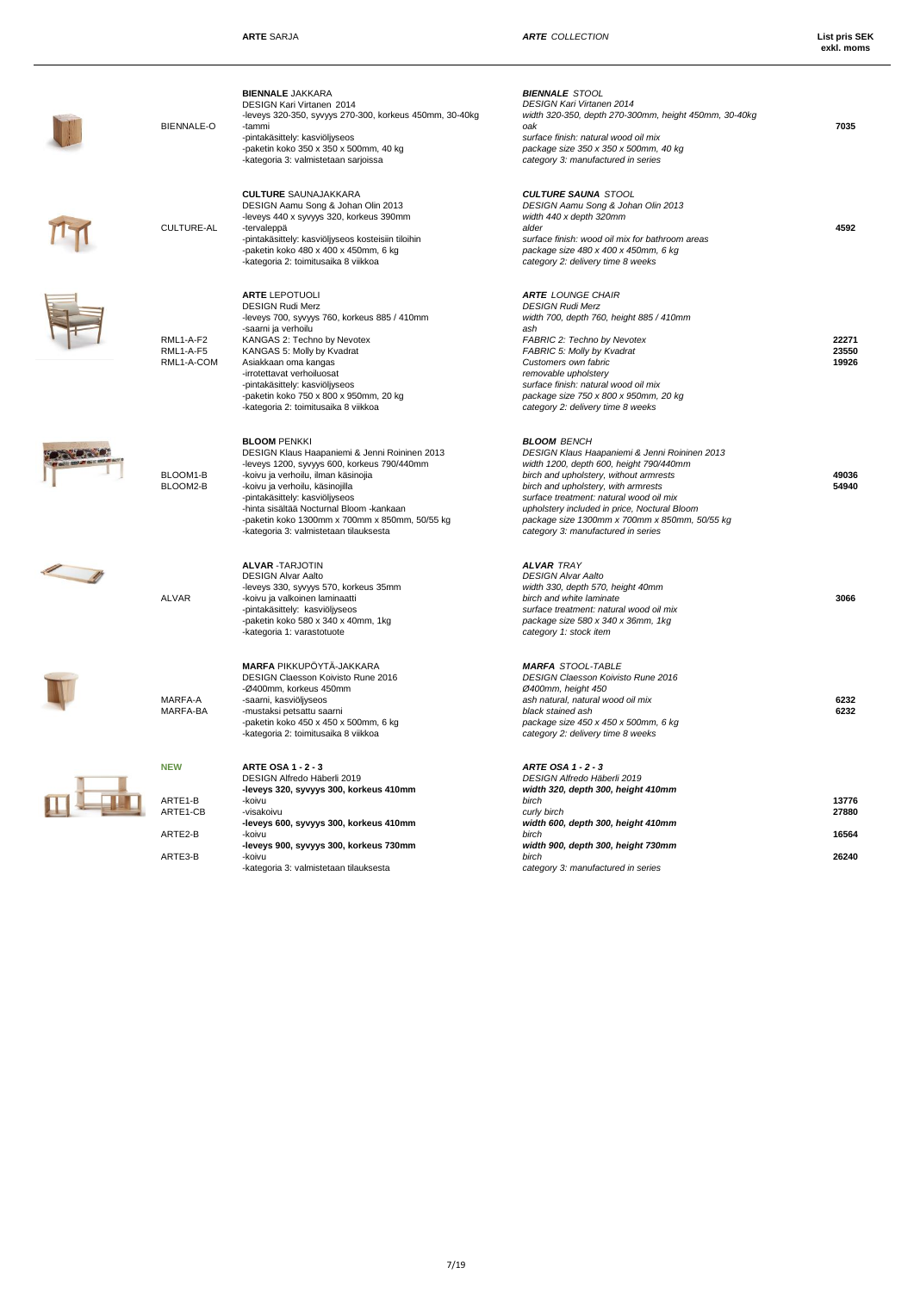| <b>BIENNALE-O</b>                    | <b>BIENNALE JAKKARA</b><br><b>DESIGN Kari Virtanen 2014</b><br>-leveys 320-350, syvyys 270-300, korkeus 450mm, 30-40kg<br>-tammi<br>-pintakäsittely: kasviöljyseos<br>-paketin koko 350 x 350 x 500mm, 40 kg<br>-kategoria 3: valmistetaan sarjoissa                                                                                                                    | <b>BIENNALE STOOL</b><br><b>DESIGN Kari Virtanen 2014</b><br>width 320-350, depth 270-300mm, height 450mm, 30-40kg<br>oak<br>surface finish: natural wood oil mix<br>package size 350 x 350 x 500mm, 40 kg<br>category 3: manufactured in series                                                                                                                                  | 7035                    |
|--------------------------------------|-------------------------------------------------------------------------------------------------------------------------------------------------------------------------------------------------------------------------------------------------------------------------------------------------------------------------------------------------------------------------|-----------------------------------------------------------------------------------------------------------------------------------------------------------------------------------------------------------------------------------------------------------------------------------------------------------------------------------------------------------------------------------|-------------------------|
| <b>CULTURE-AL</b>                    | <b>CULTURE SAUNAJAKKARA</b><br>DESIGN Aamu Song & Johan Olin 2013<br>-leveys 440 x syvyys 320, korkeus 390mm<br>-tervaleppä<br>-pintakäsittely: kasviöljyseos kosteisiin tiloihin<br>-paketin koko 480 x 400 x 450mm, 6 kg<br>-kategoria 2: toimitusaika 8 viikkoa                                                                                                      | <b>CULTURE SAUNA STOOL</b><br>DESIGN Aamu Song & Johan Olin 2013<br>width 440 x depth 320mm<br>alder<br>surface finish: wood oil mix for bathroom areas<br>package size 480 x 400 x 450mm, 6 kg<br>category 2: delivery time 8 weeks                                                                                                                                              | 4592                    |
| RML1-A-F2<br>RML1-A-F5<br>RML1-A-COM | <b>ARTE LEPOTUOLI</b><br><b>DESIGN Rudi Merz</b><br>-leveys 700, syvyys 760, korkeus 885 / 410mm<br>-saarni ja verhoilu<br>KANGAS 2: Techno by Nevotex<br>KANGAS 5: Molly by Kvadrat<br>Asiakkaan oma kangas<br>-irrotettavat verhoiluosat<br>-pintakäsittely: kasviöljyseos<br>-paketin koko 750 x 800 x 950mm, 20 kg<br>-kategoria 2: toimitusaika 8 viikkoa          | <b>ARTE LOUNGE CHAIR</b><br><b>DESIGN Rudi Merz</b><br>width 700, depth 760, height 885 / 410mm<br>ash<br><b>FABRIC 2: Techno by Nevotex</b><br>FABRIC 5: Molly by Kvadrat<br>Customers own fabric<br>removable upholstery<br>surface finish: natural wood oil mix<br>package size 750 x 800 x 950mm, 20 kg<br>category 2: delivery time 8 weeks                                  | 22271<br>23550<br>19926 |
| BLOOM1-B<br>BLOOM2-B                 | <b>BLOOM PENKKI</b><br>DESIGN Klaus Haapaniemi & Jenni Roininen 2013<br>-leveys 1200, syvyys 600, korkeus 790/440mm<br>-koivu ja verhoilu, ilman käsinojia<br>-koivu ja verhoilu, käsinojilla<br>-pintakäsittely: kasviöljyseos<br>-hinta sisältää Nocturnal Bloom -kankaan<br>-paketin koko 1300mm x 700mm x 850mm, 50/55 kg<br>-kategoria 3: valmistetaan tilauksesta | <b>BLOOM BENCH</b><br>DESIGN Klaus Haapaniemi & Jenni Roininen 2013<br>width 1200, depth 600, height 790/440mm<br>birch and upholstery, without armrests<br>birch and upholstery, with armrests<br>surface treatment: natural wood oil mix<br>upholstery included in price, Noctural Bloom<br>package size 1300mm x 700mm x 850mm, 50/55 kg<br>category 3: manufactured in series | 49036<br>54940          |
| ALVAR                                | <b>ALVAR -TARJOTIN</b><br><b>DESIGN Alvar Aalto</b><br>-leveys 330, syvyys 570, korkeus 35mm<br>-koivu ja valkoinen laminaatti<br>-pintakäsittely: kasviöljyseos<br>-paketin koko 580 x 340 x 40mm, 1kg<br>-kategoria 1: varastotuote                                                                                                                                   | <b>ALVAR TRAY</b><br><b>DESIGN Alvar Aalto</b><br>width 330, depth 570, height 40mm<br>birch and white laminate<br>surface treatment: natural wood oil mix<br>package size 580 x 340 x 36mm, 1kg<br>category 1: stock item                                                                                                                                                        | 3066                    |
| MARFA-A<br>MARFA-BA                  | <b>MARFA PIKKUPÖYTÄ-JAKKARA</b><br>DESIGN Claesson Koivisto Rune 2016<br>-Ø400mm, korkeus 450mm<br>-saarni, kasviöljyseos<br>-mustaksi petsattu saarni<br>-paketin koko 450 x 450 x 500mm, 6 kg<br>-kategoria 2: toimitusaika 8 viikkoa                                                                                                                                 | <b>MARFA STOOL-TABLE</b><br><b>DESIGN Claesson Koivisto Rune 2016</b><br>Ø400mm, height 450<br>ash natural, natural wood oil mix<br>black stained ash<br>package size 450 x 450 x 500mm, 6 kg<br>category 2: delivery time 8 weeks                                                                                                                                                | 6232<br>6232            |
| NEW<br>ARTE1-B<br>ARTE1-CB           | <b>ARTE OSA 1 - 2 - 3</b><br>DESIGN Alfredo Häberli 2019<br>-leveys 320, syvyys 300, korkeus 410mm<br>-koivu<br>-visakoivu<br>-leveys 600, syvyys 300, korkeus 410mm                                                                                                                                                                                                    | ARTE OSA 1 - 2 - 3<br>DESIGN Alfredo Häberli 2019<br>width 320, depth 300, height 410mm<br>birch<br>curly birch<br>width 600, depth 300, height 410mm                                                                                                                                                                                                                             | 13776<br>27880          |
| ARTE2-B<br>ARTE3-B                   | -koivu<br>-leveys 900, syvyys 300, korkeus 730mm<br>-koivu<br>-kategoria 3: valmistetaan tilauksesta                                                                                                                                                                                                                                                                    | birch<br>width 900, depth 300, height 730mm<br>birch<br>category 3: manufactured in series                                                                                                                                                                                                                                                                                        | 16564<br>26240          |
|                                      |                                                                                                                                                                                                                                                                                                                                                                         |                                                                                                                                                                                                                                                                                                                                                                                   |                         |

 $M$ 



**STORE** 



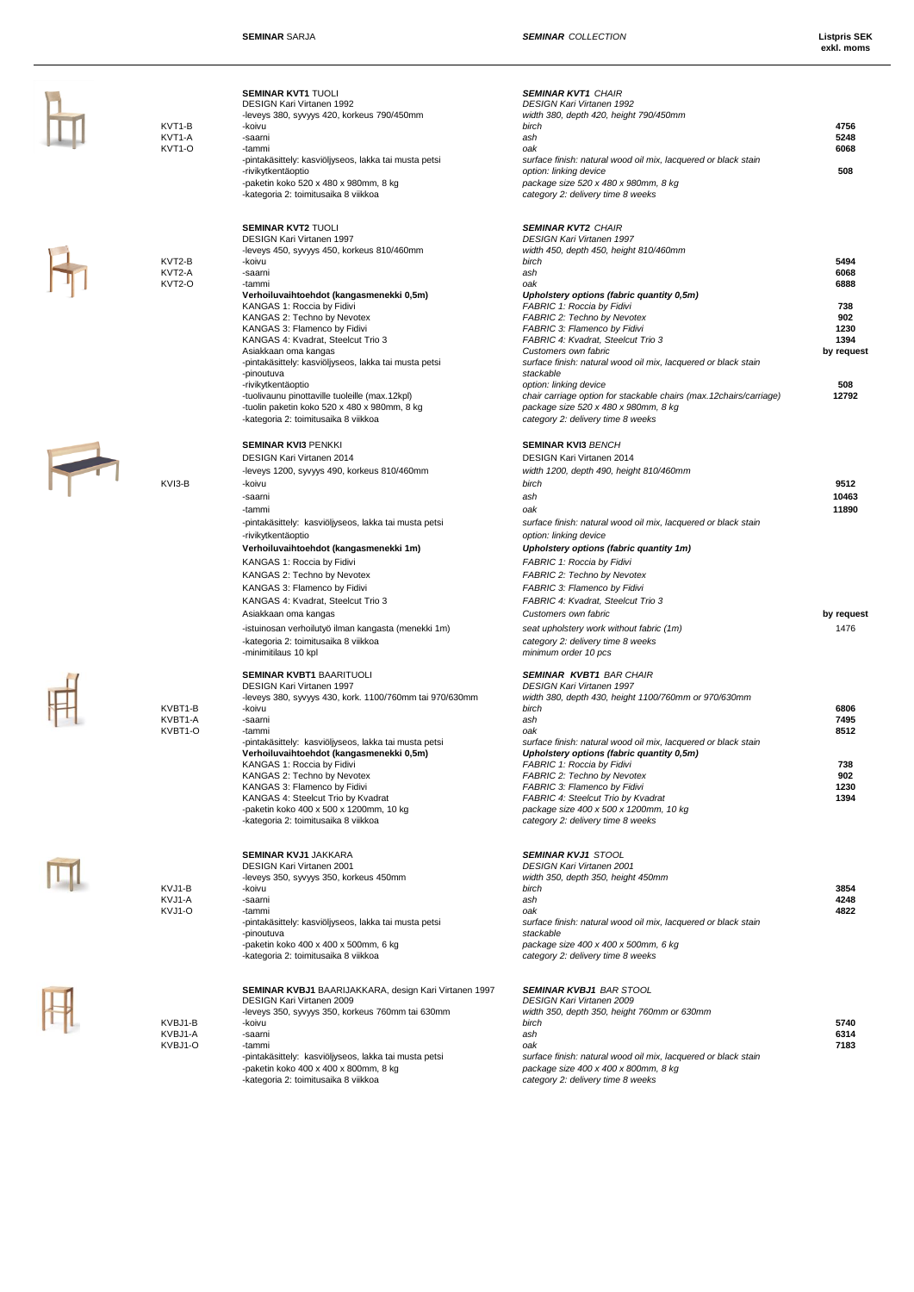**exkl. moms**

| KVT1-B<br>KVT1-A<br>KVT1-O    | <b>SEMINAR KVT1 TUOLI</b><br><b>DESIGN Kari Virtanen 1992</b><br>-leveys 380, syvyys 420, korkeus 790/450mm<br>-koivu<br>-saarni<br>-tammi<br>-pintakäsittely: kasviöljyseos, lakka tai musta petsi<br>-rivikytkentäoptio<br>-paketin koko 520 x 480 x 980mm, 8 kg<br>-kategoria 2: toimitusaika 8 viikkoa                                                                                                                                                                               | <b>SEMINAR KVT1 CHAIR</b><br><b>DESIGN Kari Virtanen 1992</b><br>width 380, depth 420, height 790/450mm<br>birch<br>ash<br>oak<br>surface finish: natural wood oil mix, lacquered or black stain<br>option: linking device<br>package size 520 x 480 x 980mm, 8 kg<br>category 2: delivery time 8 weeks                                                                                                                                                                            | 4756<br>5248<br>6068<br>508                                      |
|-------------------------------|------------------------------------------------------------------------------------------------------------------------------------------------------------------------------------------------------------------------------------------------------------------------------------------------------------------------------------------------------------------------------------------------------------------------------------------------------------------------------------------|------------------------------------------------------------------------------------------------------------------------------------------------------------------------------------------------------------------------------------------------------------------------------------------------------------------------------------------------------------------------------------------------------------------------------------------------------------------------------------|------------------------------------------------------------------|
| KVT2-B<br>KVT2-A<br>KVT2-O    | <b>SEMINAR KVT2 TUOLI</b><br>DESIGN Kari Virtanen 1997<br>-leveys 450, syvyys 450, korkeus 810/460mm<br>-koivu<br>-saarni<br>-tammi<br>Verhoiluvaihtoehdot (kangasmenekki 0,5m)<br>KANGAS 1: Roccia by Fidivi<br>KANGAS 2: Techno by Nevotex<br>KANGAS 3: Flamenco by Fidivi<br>KANGAS 4: Kvadrat, Steelcut Trio 3<br>Asiakkaan oma kangas<br>-pintakäsittely: kasviöljyseos, lakka tai musta petsi                                                                                      | <b>SEMINAR KVT2 CHAIR</b><br><b>DESIGN Kari Virtanen 1997</b><br>width 450, depth 450, height 810/460mm<br>birch<br>ash<br>oak<br>Upholstery options (fabric quantity 0,5m)<br>FABRIC 1: Roccia by Fidivi<br><b>FABRIC 2: Techno by Nevotex</b><br>FABRIC 3: Flamenco by Fidivi<br>FABRIC 4: Kvadrat, Steelcut Trio 3<br>Customers own fabric<br>surface finish: natural wood oil mix, lacquered or black stain                                                                    | 5494<br>6068<br>6888<br>738<br>902<br>1230<br>1394<br>by request |
|                               | -pinoutuva<br>-rivikytkentäoptio<br>-tuolivaunu pinottaville tuoleille (max.12kpl)<br>-tuolin paketin koko 520 x 480 x 980mm, 8 kg<br>-kategoria 2: toimitusaika 8 viikkoa                                                                                                                                                                                                                                                                                                               | stackable<br>option: linking device<br>chair carriage option for stackable chairs (max.12chairs/carriage)<br>package size 520 x 480 x 980mm, 8 kg<br>category 2: delivery time 8 weeks                                                                                                                                                                                                                                                                                             | 508<br>12792                                                     |
| KVI3-B                        | <b>SEMINAR KVI3 PENKKI</b><br>DESIGN Kari Virtanen 2014<br>-leveys 1200, syvyys 490, korkeus 810/460mm<br>-koivu                                                                                                                                                                                                                                                                                                                                                                         | <b>SEMINAR KVI3 BENCH</b><br>DESIGN Kari Virtanen 2014<br>width 1200, depth 490, height 810/460mm<br>birch                                                                                                                                                                                                                                                                                                                                                                         | 9512<br>10463                                                    |
|                               | -saarni<br>-tammi<br>-pintakäsittely: kasviöljyseos, lakka tai musta petsi<br>-rivikytkentäoptio<br>Verhoiluvaihtoehdot (kangasmenekki 1m)<br>KANGAS 1: Roccia by Fidivi<br>KANGAS 2: Techno by Nevotex<br>KANGAS 3: Flamenco by Fidivi<br>KANGAS 4: Kvadrat, Steelcut Trio 3<br>Asiakkaan oma kangas<br>-istuinosan verhoilutyö ilman kangasta (menekki 1m)<br>-kategoria 2: toimitusaika 8 viikkoa<br>-minimitilaus 10 kpl                                                             | ash<br>oak<br>surface finish: natural wood oil mix, lacquered or black stain<br>option: linking device<br>Upholstery options (fabric quantity 1m)<br>FABRIC 1: Roccia by Fidivi<br><b>FABRIC 2: Techno by Nevotex</b><br>FABRIC 3: Flamenco by Fidivi<br>FABRIC 4: Kvadrat, Steelcut Trio 3<br>Customers own fabric<br>seat upholstery work without fabric (1m)<br>category 2: delivery time 8 weeks<br>minimum order 10 pcs                                                       | 11890<br>by request<br>1476                                      |
| KVBT1-B<br>KVBT1-A<br>KVBT1-O | <b>SEMINAR KVBT1 BAARITUOLI</b><br><b>DESIGN Kari Virtanen 1997</b><br>-leveys 380, syvyys 430, kork. 1100/760mm tai 970/630mm<br>-koivu<br>-saarni<br>-tammi<br>-pintakäsittely: kasviöljyseos, lakka tai musta petsi<br>Verhoiluvaihtoehdot (kangasmenekki 0,5m)<br>KANGAS 1: Roccia by Fidivi<br>KANGAS 2: Techno by Nevotex<br>KANGAS 3: Flamenco by Fidivi<br>KANGAS 4: Steelcut Trio by Kvadrat<br>-paketin koko 400 x 500 x 1200mm, 10 kg<br>-kategoria 2: toimitusaika 8 viikkoa | <b>SEMINAR KVBT1 BAR CHAIR</b><br><b>DESIGN Kari Virtanen 1997</b><br>width 380, depth 430, height 1100/760mm or 970/630mm<br>birch<br>ash<br>oak<br>surface finish: natural wood oil mix, lacquered or black stain<br>Upholstery options (fabric quantity 0,5m)<br>FABRIC 1: Roccia by Fidivi<br>FABRIC 2: Techno by Nevotex<br>FABRIC 3: Flamenco by Fidivi<br>FABRIC 4: Steelcut Trio by Kvadrat<br>package size 400 x 500 x 1200mm, 10 kg<br>category 2: delivery time 8 weeks | 6806<br>7495<br>8512<br>738<br>902<br>1230<br>1394               |
| KVJ1-B<br>KVJ1-A<br>KVJ1-O    | <b>SEMINAR KVJ1 JAKKARA</b><br><b>DESIGN Kari Virtanen 2001</b><br>-leveys 350, syvyys 350, korkeus 450mm<br>-koivu<br>-saarni<br>-tammi<br>-pintakäsittely: kasviöljyseos, lakka tai musta petsi<br>-pinoutuva<br>-paketin koko 400 x 400 x 500mm, 6 kg<br>-kategoria 2: toimitusaika 8 viikkoa                                                                                                                                                                                         | <b>SEMINAR KVJ1 STOOL</b><br><b>DESIGN Kari Virtanen 2001</b><br>width 350, depth 350, height 450mm<br>birch<br>ash<br>oak<br>surface finish: natural wood oil mix, lacquered or black stain<br>stackable<br>package size 400 x 400 x 500mm, 6 kg<br>category 2: delivery time 8 weeks                                                                                                                                                                                             | 3854<br>4248<br>4822                                             |
| KVBJ1-B<br>KVBJ1-A<br>KVBJ1-O | <b>SEMINAR KVBJ1</b> BAARIJAKKARA, design Kari Virtanen 1997<br>DESIGN Kari Virtanen 2009<br>-leveys 350, syvyys 350, korkeus 760mm tai 630mm<br>-koivu<br>-saarni<br>-tammi<br>-pintakäsittely: kasviöljyseos, lakka tai musta petsi<br>-paketin koko 400 x 400 x 800mm, 8 kg<br>-kategoria 2: toimitusaika 8 viikkoa                                                                                                                                                                   | <b>SEMINAR KVBJ1 BAR STOOL</b><br><b>DESIGN Kari Virtanen 2009</b><br>width 350, depth 350, height 760mm or 630mm<br>birch<br>ash<br>oak<br>surface finish: natural wood oil mix, lacquered or black stain<br>package size 400 x 400 x 800mm, 8 kg<br>category 2: delivery time 8 weeks                                                                                                                                                                                            | 5740<br>6314<br>7183                                             |



 $H_1$ 

F

 $\frac{1}{\sqrt{2}}$ 

M

 $\mathbb{H}$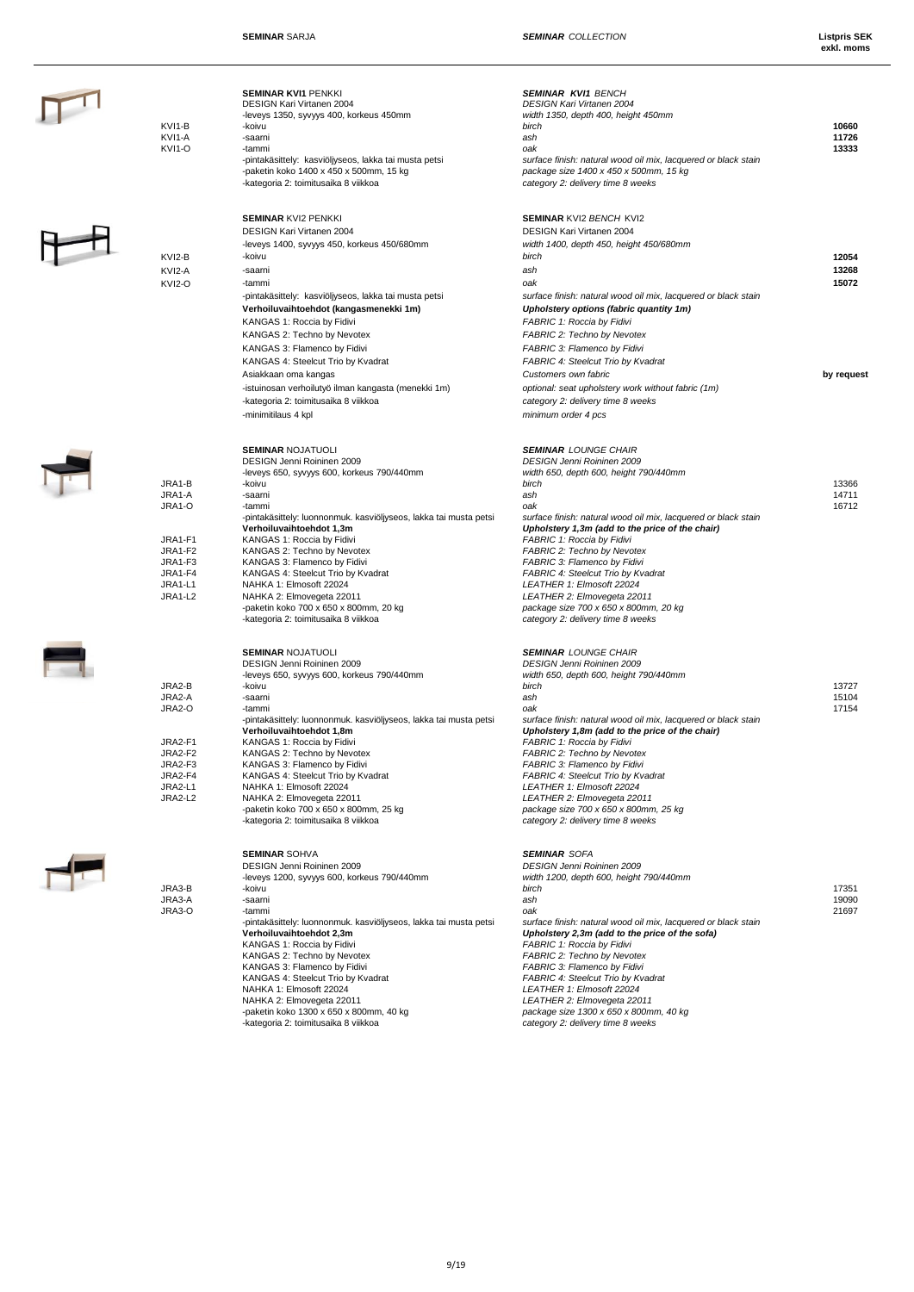| KVI1-B<br>KVI1-A<br>KVI1-O                                                                   | <b>SEMINAR KVI1 PENKKI</b><br>DESIGN Kari Virtanen 2004<br>-leveys 1350, syvyys 400, korkeus 450mm<br>-koivu<br>-saarni<br>-tammi<br>-pintakäsittely: kasviöljyseos, lakka tai musta petsi<br>-paketin koko 1400 x 450 x 500mm, 15 kg<br>-kategoria 2: toimitusaika 8 viikkoa                                                                                                                                                                                                                                             | <b>SEMINAR KVI1 BENCH</b><br><b>DESIGN Kari Virtanen 2004</b><br>width 1350, depth 400, height 450mm<br>birch<br>ash<br>oak<br>surface finish: natural wood oil mix, lacquered or black stain<br>package size 1400 x 450 x 500mm, 15 kg<br>category 2: delivery time 8 weeks                                                                                                                                                                                                                                                        | 10660<br>11726<br>13333               |
|----------------------------------------------------------------------------------------------|---------------------------------------------------------------------------------------------------------------------------------------------------------------------------------------------------------------------------------------------------------------------------------------------------------------------------------------------------------------------------------------------------------------------------------------------------------------------------------------------------------------------------|-------------------------------------------------------------------------------------------------------------------------------------------------------------------------------------------------------------------------------------------------------------------------------------------------------------------------------------------------------------------------------------------------------------------------------------------------------------------------------------------------------------------------------------|---------------------------------------|
| KVI2-B<br>KVI2-A<br>KVI2-O                                                                   | <b>SEMINAR KVI2 PENKKI</b><br>DESIGN Kari Virtanen 2004<br>-leveys 1400, syvyys 450, korkeus 450/680mm<br>-koivu<br>-saarni<br>-tammi<br>-pintakäsittely: kasviöljyseos, lakka tai musta petsi<br>Verhoiluvaihtoehdot (kangasmenekki 1m)<br>KANGAS 1: Roccia by Fidivi<br>KANGAS 2: Techno by Nevotex<br>KANGAS 3: Flamenco by Fidivi<br>KANGAS 4: Steelcut Trio by Kvadrat<br>Asiakkaan oma kangas<br>-istuinosan verhoilutyö ilman kangasta (menekki 1m)<br>-kategoria 2: toimitusaika 8 viikkoa<br>-minimitilaus 4 kpl | <b>SEMINAR KVI2 BENCH KVI2</b><br>DESIGN Kari Virtanen 2004<br>width 1400, depth 450, height 450/680mm<br>birch<br>ash<br>oak<br>surface finish: natural wood oil mix, lacquered or black stain<br>Upholstery options (fabric quantity 1m)<br>FABRIC 1: Roccia by Fidivi<br><b>FABRIC 2: Techno by Nevotex</b><br>FABRIC 3: Flamenco by Fidivi<br>FABRIC 4: Steelcut Trio by Kvadrat<br>Customers own fabric<br>optional: seat upholstery work without fabric (1m)<br>category 2: delivery time 8 weeks<br>minimum order 4 pcs      | 12054<br>13268<br>15072<br>by request |
| JRA1-B<br>JRA1-A<br>JRA1-O<br>JRA1-F1<br>JRA1-F2<br>JRA1-F3<br>JRA1-F4<br>JRA1-L1<br>JRA1-L2 | <b>SEMINAR NOJATUOLI</b><br>DESIGN Jenni Roininen 2009<br>-leveys 650, syvyys 600, korkeus 790/440mm<br>-koivu<br>-saarni<br>-tammi<br>-pintakäsittely: luonnonmuk. kasviöljyseos, lakka tai musta petsi<br>Verhoiluvaihtoehdot 1,3m<br>KANGAS 1: Roccia by Fidivi<br>KANGAS 2: Techno by Nevotex<br>KANGAS 3: Flamenco by Fidivi<br>KANGAS 4: Steelcut Trio by Kvadrat<br>NAHKA 1: Elmosoft 22024<br>NAHKA 2: Elmovegeta 22011<br>-paketin koko 700 x 650 x 800mm, 20 kg<br>-kategoria 2: toimitusaika 8 viikkoa         | <b>SEMINAR LOUNGE CHAIR</b><br><b>DESIGN Jenni Roininen 2009</b><br>width 650, depth 600, height 790/440mm<br>birch<br>ash<br>oak<br>surface finish: natural wood oil mix, lacquered or black stain<br>Upholstery 1,3m (add to the price of the chair)<br>FABRIC 1: Roccia by Fidivi<br>FABRIC 2: Techno by Nevotex<br>FABRIC 3: Flamenco by Fidivi<br>FABRIC 4: Steelcut Trio by Kvadrat<br>LEATHER 1: Elmosoft 22024<br>LEATHER 2: Elmovegeta 22011<br>package size 700 x 650 x 800mm, 20 kg<br>category 2: delivery time 8 weeks | 13366<br>14711<br>16712               |
| JRA2-B<br>JRA2-A<br>JRA2-O<br>JRA2-F1<br>JRA2-F2<br>JRA2-F3<br>JRA2-F4<br>JRA2-L1<br>JRA2-L2 | <b>SEMINAR NOJATUOLI</b><br>DESIGN Jenni Roininen 2009<br>-leveys 650, syvyys 600, korkeus 790/440mm<br>-koivu<br>-saarni<br>-tammi<br>-pintakäsittely: luonnonmuk. kasviöljyseos, lakka tai musta petsi<br>Verhoiluvaihtoehdot 1,8m<br>KANGAS 1: Roccia by Fidivi<br>KANGAS 2: Techno by Nevotex<br>KANGAS 3: Flamenco by Fidivi<br>KANGAS 4: Steelcut Trio by Kvadrat<br>NAHKA 1: Elmosoft 22024<br>NAHKA 2: Elmovegeta 22011<br>-paketin koko 700 x 650 x 800mm, 25 kg<br>-kategoria 2: toimitusaika 8 viikkoa         | <b>SEMINAR LOUNGE CHAIR</b><br>DESIGN Jenni Roininen 2009<br>width 650, depth 600, height 790/440mm<br>birch<br>ash<br>oak<br>surface finish: natural wood oil mix, lacquered or black stain<br>Upholstery 1,8m (add to the price of the chair)<br>FABRIC 1: Roccia by Fidivi<br>FABRIC 2: Techno by Nevotex<br>FABRIC 3: Flamenco by Fidivi<br>FABRIC 4: Steelcut Trio by Kvadrat<br>LEATHER 1: Elmosoft 22024<br>LEATHER 2: Elmovegeta 22011<br>package size 700 x 650 x 800mm, 25 kg<br>category 2: delivery time 8 weeks        | 13727<br>15104<br>17154               |
| JRA3-B<br>JRA3-A<br>JRA3-O                                                                   | <b>SEMINAR SOHVA</b><br>DESIGN Jenni Roininen 2009<br>-leveys 1200, syvyys 600, korkeus 790/440mm<br>-koivu<br>-saarni<br>-tammi<br>-pintakäsittely: luonnonmuk. kasviöljyseos, lakka tai musta petsi<br>Verhoiluvaihtoehdot 2,3m<br>KANGAS 1: Roccia by Fidivi<br>KANGAS 2: Techno by Nevotex<br>KANGAS 3: Flamenco by Fidivi<br>KANGAS 4: Steelcut Trio by Kvadrat<br>NAHKA 1: Elmosoft 22024<br>NAHKA 2: Elmovegeta 22011<br>-paketin koko 1300 x 650 x 800mm, 40 kg<br>-kategoria 2: toimitusaika 8 viikkoa           | <b>SEMINAR SOFA</b><br><b>DESIGN Jenni Roininen 2009</b><br>width 1200, depth 600, height 790/440mm<br>birch<br>ash<br>oak<br>surface finish: natural wood oil mix, lacquered or black stain<br>Upholstery 2,3m (add to the price of the sofa)<br>FABRIC 1: Roccia by Fidivi<br>FABRIC 2: Techno by Nevotex<br>FABRIC 3: Flamenco by Fidivi<br>FABRIC 4: Steelcut Trio by Kvadrat<br>LEATHER 1: Elmosoft 22024<br>LEATHER 2: Elmovegeta 22011<br>package size 1300 x 650 x 800mm, 40 kg<br>category 2: delivery time 8 weeks        | 17351<br>19090<br>21697               |
|                                                                                              |                                                                                                                                                                                                                                                                                                                                                                                                                                                                                                                           |                                                                                                                                                                                                                                                                                                                                                                                                                                                                                                                                     |                                       |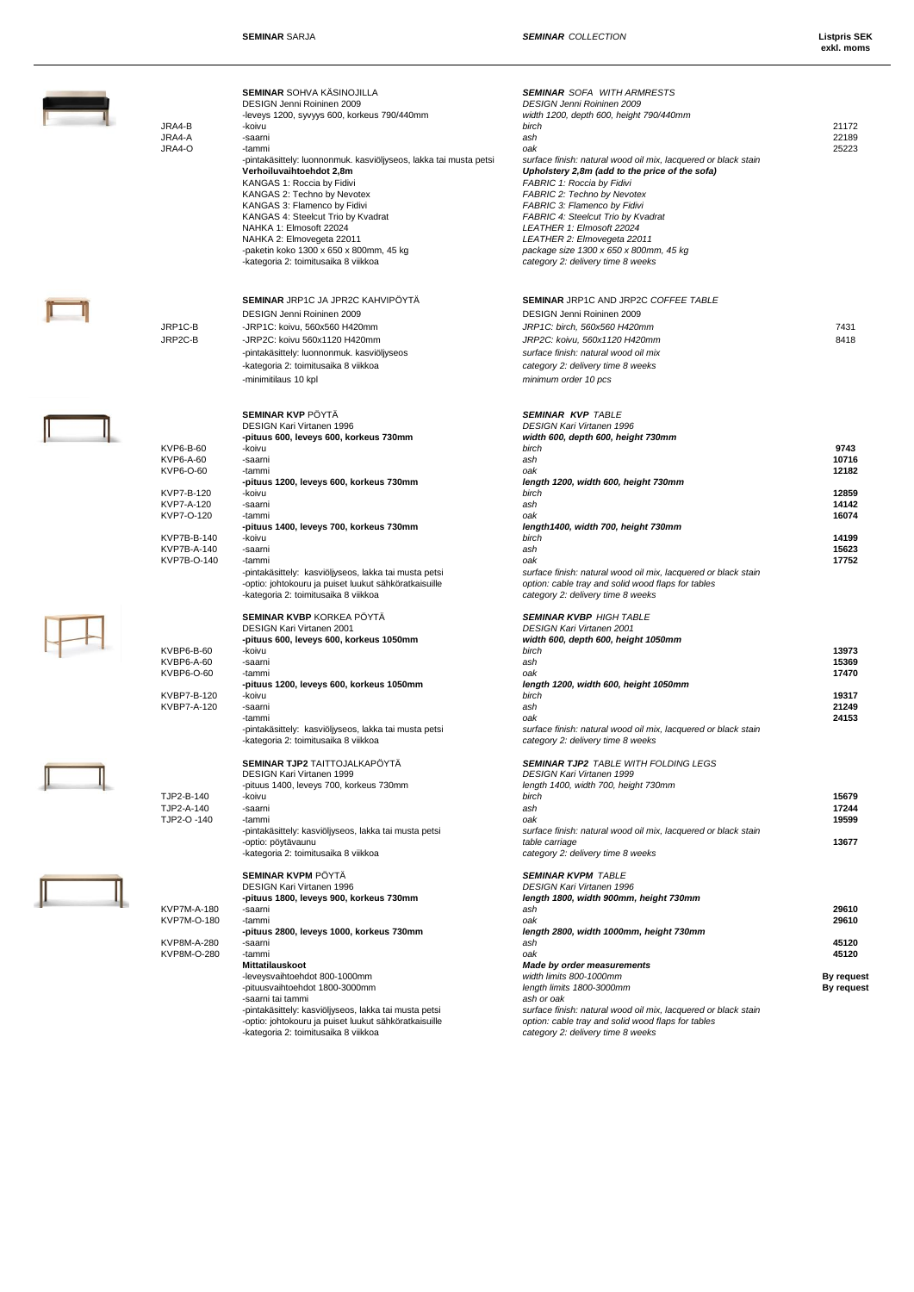**SEMINAR** SARJA **SEMINAR** COLLECTION

| JRA4-B<br>JRA4-A<br>JRA4-O                                                                                                 | <b>SEMINAR SOHVA KÄSINOJILLA</b><br>DESIGN Jenni Roininen 2009<br>-leveys 1200, syvyys 600, korkeus 790/440mm<br>-koivu<br>-saarni<br>-tammi<br>-pintakäsittely: luonnonmuk. kasviöljyseos, lakka tai musta petsi<br>Verhoiluvaihtoehdot 2,8m<br>KANGAS 1: Roccia by Fidivi<br>KANGAS 2: Techno by Nevotex<br>KANGAS 3: Flamenco by Fidivi<br>KANGAS 4: Steelcut Trio by Kvadrat<br>NAHKA 1: Elmosoft 22024<br>NAHKA 2: Elmovegeta 22011<br>-paketin koko 1300 x 650 x 800mm, 45 kg<br>-kategoria 2: toimitusaika 8 viikkoa | <b>SEMINAR</b> SOFA WITH ARMRESTS<br>DESIGN Jenni Roininen 2009<br>width 1200, depth 600, height 790/440mm<br>birch<br>ash<br>oak<br>surface finish: natural wood oil mix, lacquered or black stain<br>Upholstery 2,8m (add to the price of the sofa)<br>FABRIC 1: Roccia by Fidivi<br>FABRIC 2: Techno by Nevotex<br>FABRIC 3: Flamenco by Fidivi<br><b>FABRIC 4: Steelcut Trio by Kvadrat</b><br>LEATHER 1: Elmosoft 22024<br>LEATHER 2: Elmovegeta 22011<br>package size 1300 x 650 x 800mm, 45 kg<br>category 2: delivery time 8 weeks | 21172<br>22189<br>25223                                                      |
|----------------------------------------------------------------------------------------------------------------------------|-----------------------------------------------------------------------------------------------------------------------------------------------------------------------------------------------------------------------------------------------------------------------------------------------------------------------------------------------------------------------------------------------------------------------------------------------------------------------------------------------------------------------------|--------------------------------------------------------------------------------------------------------------------------------------------------------------------------------------------------------------------------------------------------------------------------------------------------------------------------------------------------------------------------------------------------------------------------------------------------------------------------------------------------------------------------------------------|------------------------------------------------------------------------------|
| JRP1C-B<br>JRP2C-B                                                                                                         | SEMINAR JRP1C JA JPR2C KAHVIPÖYTÄ<br>DESIGN Jenni Roininen 2009<br>-JRP1C: koivu, 560x560 H420mm<br>-JRP2C: koivu 560x1120 H420mm<br>-pintakäsittely: luonnonmuk. kasviöljyseos<br>-kategoria 2: toimitusaika 8 viikkoa<br>-minimitilaus 10 kpl                                                                                                                                                                                                                                                                             | SEMINAR JRP1C AND JRP2C COFFEE TABLE<br>DESIGN Jenni Roininen 2009<br>JRP1C: birch, 560x560 H420mm<br>JRP2C: koivu, 560x1120 H420mm<br>surface finish: natural wood oil mix<br>category 2: delivery time 8 weeks<br>minimum order 10 pcs                                                                                                                                                                                                                                                                                                   | 7431<br>8418                                                                 |
| KVP6-B-60<br>KVP6-A-60<br>KVP6-O-60<br>KVP7-B-120<br>KVP7-A-120<br>KVP7-O-120<br>KVP7B-B-140<br>KVP7B-A-140<br>KVP7B-O-140 | <b>SEMINAR KVP PÖYTÄ</b><br>DESIGN Kari Virtanen 1996<br>-pituus 600, leveys 600, korkeus 730mm<br>-koivu<br>-saarni<br>-tammi<br>-pituus 1200, leveys 600, korkeus 730mm<br>-koivu<br>-saarni<br>-tammi<br>-pituus 1400, leveys 700, korkeus 730mm<br>-koivu<br>-saarni<br>-tammi<br>-pintakäsittely: kasviöljyseos, lakka tai musta petsi<br>-optio: johtokouru ja puiset luukut sähköratkaisuille<br>-kategoria 2: toimitusaika 8 viikkoa                                                                                | <b>SEMINAR KVP TABLE</b><br><b>DESIGN Kari Virtanen 1996</b><br>width 600, depth 600, height 730mm<br>birch<br>ash<br>oak<br>length 1200, width 600, height 730mm<br>birch<br>ash<br>oak<br>length1400, width 700, height 730mm<br>birch<br>ash<br>oak<br>surface finish: natural wood oil mix, lacquered or black stain<br>option: cable tray and solid wood flaps for tables<br>category 2: delivery time 8 weeks                                                                                                                        | 9743<br>10716<br>12182<br>12859<br>14142<br>16074<br>14199<br>15623<br>17752 |
| KVBP6-B-60<br>KVBP6-A-60<br>KVBP6-O-60<br>KVBP7-B-120<br>KVBP7-A-120                                                       | <b>SEMINAR KVBP KORKEA PÖYTÄ</b><br>DESIGN Kari Virtanen 2001<br>-pituus 600, leveys 600, korkeus 1050mm<br>-koivu<br>-saarni<br>-tammi<br>-pituus 1200, leveys 600, korkeus 1050mm<br>-koivu<br>-saarni<br>-tammi<br>-pintakäsittely: kasviöljyseos, lakka tai musta petsi<br>-kategoria 2: toimitusaika 8 viikkoa                                                                                                                                                                                                         | <b>SEMINAR KVBP HIGH TABLE</b><br>DESIGN Kari Virtanen 2001<br>width 600, depth 600, height 1050mm<br>birch<br>ash<br>oak<br>length 1200, width 600, height 1050mm<br>birch<br>ash<br>oak<br>surface finish: natural wood oil mix, lacquered or black stain<br>category 2: delivery time 8 weeks                                                                                                                                                                                                                                           | 13973<br>15369<br>17470<br>19317<br>21249<br>24153                           |
| TJP2-B-140<br>TJP2-A-140<br>TJP2-O-140                                                                                     | <b>SEMINAR TJP2 TAITTOJALKAPÖYTÄ</b><br>DESIGN Kari Virtanen 1999<br>-pituus 1400, leveys 700, korkeus 730mm<br>-koivu<br>-saarni<br>-tammi<br>-pintakäsittely: kasviöljyseos, lakka tai musta petsi<br>-optio: pöytävaunu<br>-kategoria 2: toimitusaika 8 viikkoa                                                                                                                                                                                                                                                          | <b>SEMINAR TJP2 TABLE WITH FOLDING LEGS</b><br><b>DESIGN Kari Virtanen 1999</b><br>length 1400, width 700, height 730mm<br>birch<br>ash<br>oak<br>surface finish: natural wood oil mix, lacquered or black stain<br>table carriage<br>category 2: delivery time 8 weeks                                                                                                                                                                                                                                                                    | 15679<br>17244<br>19599<br>13677                                             |
| <b>KVP7M-A-180</b><br>KVP7M-O-180<br>KVP8M-A-280<br>KVP8M-O-280                                                            | <b>SEMINAR KVPM PÖYTÄ</b><br>DESIGN Kari Virtanen 1996<br>-pituus 1800, leveys 900, korkeus 730mm<br>-saarni<br>-tammi<br>-pituus 2800, leveys 1000, korkeus 730mm<br>-saarni<br>-tammi<br>Mittatilauskoot<br>-leveysvaihtoehdot 800-1000mm<br>-pituusvaihtoehdot 1800-3000mm<br>-saarni tai tammi<br>-pintakäsittely: kasviöljyseos, lakka tai musta petsi<br>-optio: johtokouru ja puiset luukut sähköratkaisuille<br>-kategoria 2: toimitusaika 8 viikkoa                                                                | <b>SEMINAR KVPM TABLE</b><br>DESIGN Kari Virtanen 1996<br>length 1800, width 900mm, height 730mm<br>ash<br>oak<br>length 2800, width 1000mm, height 730mm<br>ash<br>oak<br><b>Made by order measurements</b><br>width limits 800-1000mm<br>length limits 1800-3000mm<br>ash or oak<br>surface finish: natural wood oil mix, lacquered or black stain<br>option: cable tray and solid wood flaps for tables<br>category 2: delivery time 8 weeks                                                                                            | 29610<br>29610<br>45120<br>45120<br>By request<br>By request                 |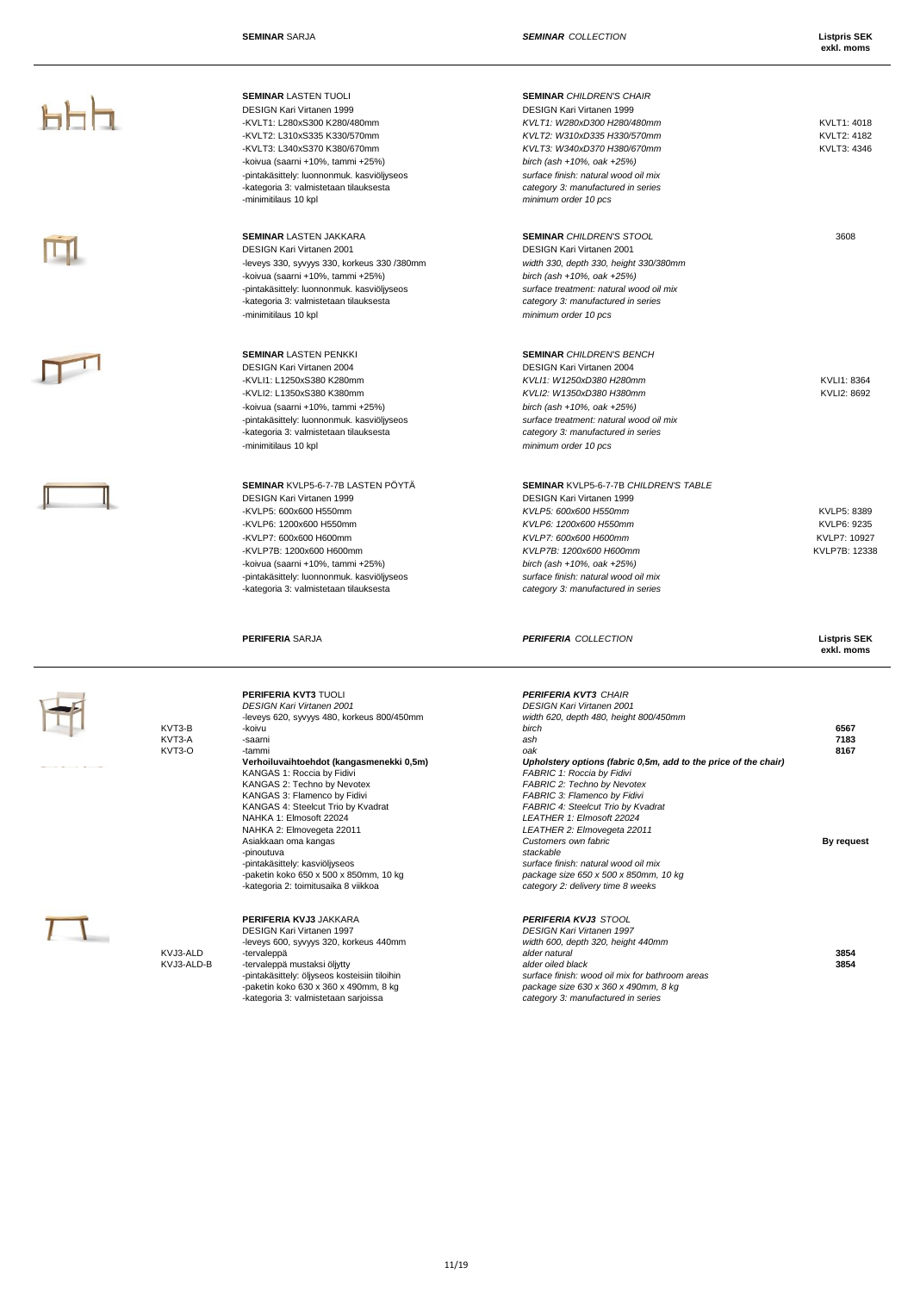**PPP** 

M

 $\Pi$ 

 $\mathbb I$ 

 $\frac{1}{2}$ 

 $\Box$ 

ı

|                            | <b>SEMINAR LASTEN TUOLI</b><br><b>DESIGN Kari Virtanen 1999</b><br>-KVLT1: L280xS300 K280/480mm<br>-KVLT2: L310xS335 K330/570mm<br>-KVLT3: L340xS370 K380/670mm<br>-koivua (saarni +10%, tammi +25%)<br>-pintakäsittely: luonnonmuk. kasviöljyseos<br>-kategoria 3: valmistetaan tilauksesta<br>-minimitilaus 10 kpl                                                                                                                                                                                                                   | <b>SEMINAR CHILDREN'S CHAIR</b><br><b>DESIGN Kari Virtanen 1999</b><br>KVLT1: W280xD300 H280/480mm<br>KVLT2: W310xD335 H330/570mm<br>KVLT3: W340xD370 H380/670mm<br>birch (ash +10%, oak +25%)<br>surface finish: natural wood oil mix<br>category 3: manufactured in series<br>minimum order 10 pcs                                                                                                                                                                                                                                                          | KVLT1: 4018<br>KVLT2: 4182<br>KVLT3: 4346                   |
|----------------------------|----------------------------------------------------------------------------------------------------------------------------------------------------------------------------------------------------------------------------------------------------------------------------------------------------------------------------------------------------------------------------------------------------------------------------------------------------------------------------------------------------------------------------------------|---------------------------------------------------------------------------------------------------------------------------------------------------------------------------------------------------------------------------------------------------------------------------------------------------------------------------------------------------------------------------------------------------------------------------------------------------------------------------------------------------------------------------------------------------------------|-------------------------------------------------------------|
|                            | <b>SEMINAR LASTEN JAKKARA</b><br>DESIGN Kari Virtanen 2001<br>-leveys 330, syvyys 330, korkeus 330 /380mm<br>-koivua (saarni +10%, tammi +25%)<br>-pintakäsittely: luonnonmuk. kasviöljyseos<br>-kategoria 3: valmistetaan tilauksesta<br>-minimitilaus 10 kpl                                                                                                                                                                                                                                                                         | <b>SEMINAR CHILDREN'S STOOL</b><br>DESIGN Kari Virtanen 2001<br>width 330, depth 330, height 330/380mm<br>birch (ash +10%, oak +25%)<br>surface treatment: natural wood oil mix<br>category 3: manufactured in series<br>minimum order 10 pcs                                                                                                                                                                                                                                                                                                                 | 3608                                                        |
|                            | <b>SEMINAR LASTEN PENKKI</b><br><b>DESIGN Kari Virtanen 2004</b><br>-KVLI1: L1250xS380 K280mm<br>-KVLI2: L1350xS380 K380mm<br>-koivua (saarni +10%, tammi +25%)<br>-pintakäsittely: luonnonmuk. kasviöljyseos<br>-kategoria 3: valmistetaan tilauksesta<br>-minimitilaus 10 kpl                                                                                                                                                                                                                                                        | <b>SEMINAR CHILDREN'S BENCH</b><br>DESIGN Kari Virtanen 2004<br>KVL11: W1250xD380 H280mm<br>KVLI2: W1350xD380 H380mm<br>birch (ash +10%, oak +25%)<br>surface treatment: natural wood oil mix<br>category 3: manufactured in series<br>minimum order 10 pcs                                                                                                                                                                                                                                                                                                   | KVLI1: 8364<br>KVLI2: 8692                                  |
|                            | SEMINAR KVLP5-6-7-7B LASTEN PÖYTÄ<br>DESIGN Kari Virtanen 1999<br>-KVLP5: 600x600 H550mm<br>-KVLP6: 1200x600 H550mm<br>-KVLP7: 600x600 H600mm<br>-KVLP7B: 1200x600 H600mm<br>-koivua (saarni +10%, tammi +25%)<br>-pintakäsittely: luonnonmuk. kasviöljyseos<br>-kategoria 3: valmistetaan tilauksesta                                                                                                                                                                                                                                 | <b>SEMINAR KVLP5-6-7-7B CHILDREN'S TABLE</b><br>DESIGN Kari Virtanen 1999<br>KVLP5: 600x600 H550mm<br>KVLP6: 1200x600 H550mm<br>KVLP7: 600x600 H600mm<br>KVLP7B: 1200x600 H600mm<br>birch (ash +10%, oak +25%)<br>surface finish: natural wood oil mix<br>category 3: manufactured in series                                                                                                                                                                                                                                                                  | KVLP5: 8389<br>KVLP6: 9235<br>KVLP7: 10927<br>KVLP7B: 12338 |
|                            | <b>PERIFERIA SARJA</b>                                                                                                                                                                                                                                                                                                                                                                                                                                                                                                                 | <b>PERIFERIA COLLECTION</b>                                                                                                                                                                                                                                                                                                                                                                                                                                                                                                                                   | <b>Listpris SEK</b><br>exkl. moms                           |
| KVT3-B<br>KVT3-A<br>KVT3-O | PERIFERIA KVT3 TUOLI<br><b>DESIGN Kari Virtanen 2001</b><br>-leveys 620, syvyys 480, korkeus 800/450mm<br>-koivu<br>-saarni<br>-tammi<br>Verhoiluvaihtoehdot (kangasmenekki 0,5m)<br>KANGAS 1: Roccia by Fidivi<br>KANGAS 2: Techno by Nevotex<br>KANGAS 3: Flamenco by Fidivi<br>KANGAS 4: Steelcut Trio by Kvadrat<br>NAHKA 1: Elmosoft 22024<br>NAHKA 2: Elmovegeta 22011<br>Asiakkaan oma kangas<br>-pinoutuva<br>-pintakäsittely: kasviöljyseos<br>-paketin koko 650 x 500 x 850mm, 10 kg<br>-kategoria 2: toimitusaika 8 viikkoa | <b>PERIFERIA KVT3 CHAIR</b><br><b>DESIGN Kari Virtanen 2001</b><br>width 620, depth 480, height 800/450mm<br>birch<br>ash<br>oak<br>Upholstery options (fabric 0,5m, add to the price of the chair)<br>FABRIC 1: Roccia by Fidivi<br>FABRIC 2: Techno by Nevotex<br>FABRIC 3: Flamenco by Fidivi<br>FABRIC 4: Steelcut Trio by Kvadrat<br>LEATHER 1: Elmosoft 22024<br>LEATHER 2: Elmovegeta 22011<br>Customers own fabric<br>stackable<br>surface finish: natural wood oil mix<br>package size 650 x 500 x 850mm, 10 kg<br>category 2: delivery time 8 weeks | 6567<br>7183<br>8167<br>By request                          |
| KVJ3-ALD<br>KVJ3-ALD-B     | PERIFERIA KVJ3 JAKKARA<br><b>DESIGN Kari Virtanen 1997</b><br>-leveys 600, syvyys 320, korkeus 440mm<br>-tervaleppä<br>-tervaleppä mustaksi öljytty<br>-pintakäsittely: öljyseos kosteisiin tiloihin<br>-paketin koko 630 x 360 x 490mm, 8 kg<br>-kategoria 3: valmistetaan sarjoissa                                                                                                                                                                                                                                                  | <b>PERIFERIA KVJ3 STOOL</b><br>DESIGN Kari Virtanen 1997<br>width 600, depth 320, height 440mm<br>alder natural<br>alder oiled black<br>surface finish: wood oil mix for bathroom areas<br>package size 630 x 360 x 490mm, 8 kg<br>category 3: manufactured in series                                                                                                                                                                                                                                                                                         | 3854<br>3854                                                |

## 11/19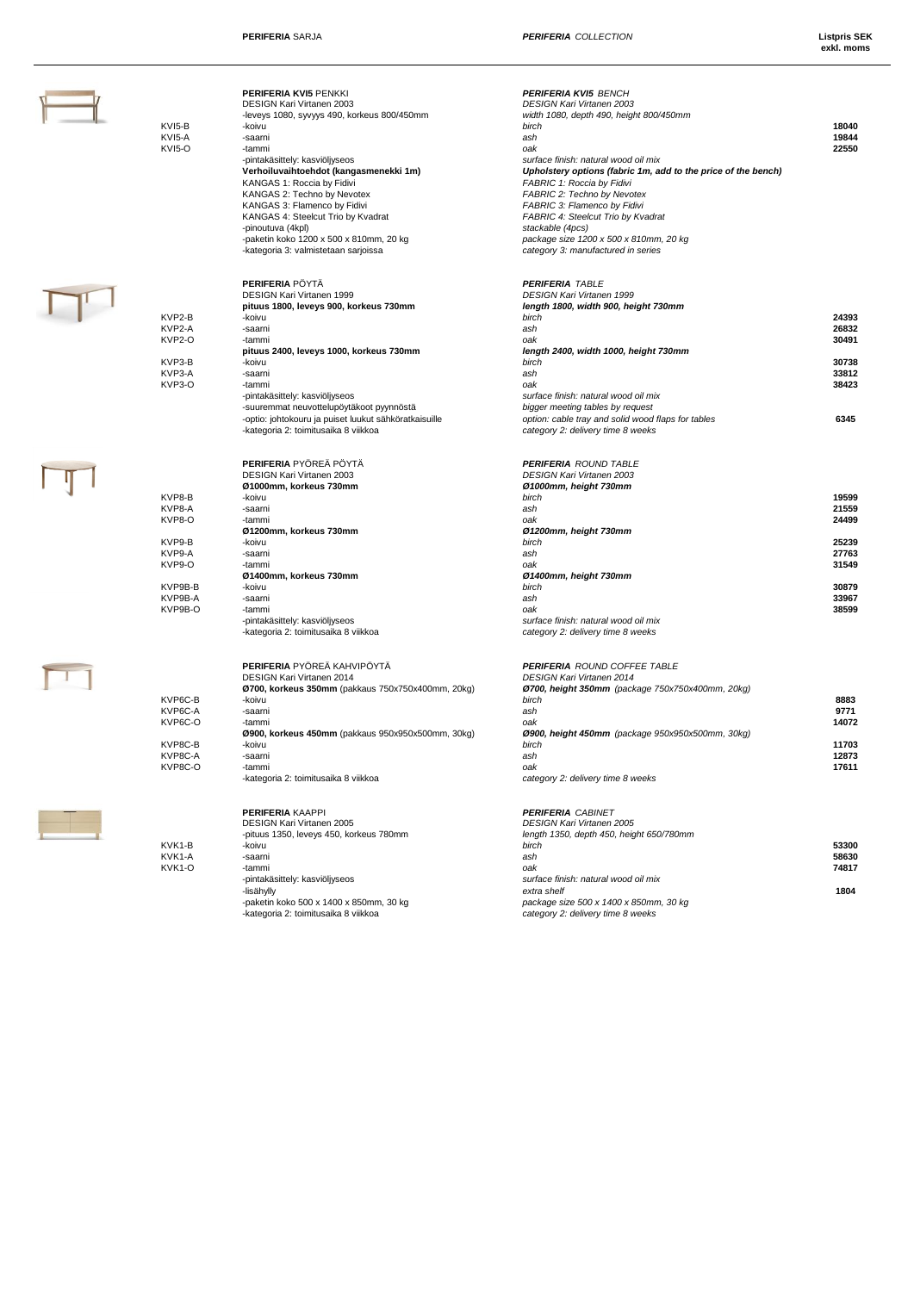| KVI5-B<br>KVI5-A<br>KVI5-O                                                                | <b>PERIFERIA KVI5 PENKKI</b><br>DESIGN Kari Virtanen 2003<br>-leveys 1080, syvyys 490, korkeus 800/450mm<br>-koivu<br>-saarni<br>-tammi<br>-pintakäsittely: kasviöljyseos<br>Verhoiluvaihtoehdot (kangasmenekki 1m)<br>KANGAS 1: Roccia by Fidivi<br>KANGAS 2: Techno by Nevotex<br>KANGAS 3: Flamenco by Fidivi<br>KANGAS 4: Steelcut Trio by Kvadrat<br>-pinoutuva (4kpl)<br>-paketin koko 1200 x 500 x 810mm, 20 kg<br>-kategoria 3: valmistetaan sarjoissa | <b>PERIFERIA KVI5 BENCH</b><br><b>DESIGN Kari Virtanen 2003</b><br>width 1080, depth 490, height 800/450mm<br>birch<br>ash<br>oak<br>surface finish: natural wood oil mix<br>Upholstery options (fabric 1m, add to the price of the bench)<br>FABRIC 1: Roccia by Fidivi<br>FABRIC 2: Techno by Nevotex<br>FABRIC 3: Flamenco by Fidivi<br>FABRIC 4: Steelcut Trio by Kvadrat<br>stackable (4pcs)<br>package size 1200 x 500 x 810mm, 20 kg<br>category 3: manufactured in series | 18040<br>19844<br>22550                                                       |
|-------------------------------------------------------------------------------------------|----------------------------------------------------------------------------------------------------------------------------------------------------------------------------------------------------------------------------------------------------------------------------------------------------------------------------------------------------------------------------------------------------------------------------------------------------------------|-----------------------------------------------------------------------------------------------------------------------------------------------------------------------------------------------------------------------------------------------------------------------------------------------------------------------------------------------------------------------------------------------------------------------------------------------------------------------------------|-------------------------------------------------------------------------------|
| KVP2-B<br>KVP2-A<br>KVP2-O<br>KVP3-B<br>KVP3-A<br>KVP3-O                                  | <b>PERIFERIA PÖYTÄ</b><br>DESIGN Kari Virtanen 1999<br>pituus 1800, leveys 900, korkeus 730mm<br>-koivu<br>-saarni<br>-tammi<br>pituus 2400, leveys 1000, korkeus 730mm<br>-koivu<br>-saarni<br>-tammi<br>-pintakäsittely: kasviöljyseos<br>-suuremmat neuvottelupöytäkoot pyynnöstä<br>-optio: johtokouru ja puiset luukut sähköratkaisuille<br>-kategoria 2: toimitusaika 8 viikkoa                                                                          | <b>PERIFERIA TABLE</b><br>DESIGN Kari Virtanen 1999<br>length 1800, width 900, height 730mm<br>birch<br>ash<br>oak<br>length 2400, width 1000, height 730mm<br>birch<br>ash<br>oak<br>surface finish: natural wood oil mix<br>bigger meeting tables by request<br>option: cable tray and solid wood flaps for tables<br>category 2: delivery time 8 weeks                                                                                                                         | 24393<br>26832<br>30491<br>30738<br>33812<br>38423<br>6345                    |
| KVP8-B<br>KVP8-A<br>KVP8-O<br>KVP9-B<br>KVP9-A<br>KVP9-O<br>KVP9B-B<br>KVP9B-A<br>KVP9B-O | PERIFERIA PYÖREÄ PÖYTÄ<br>DESIGN Kari Virtanen 2003<br>Ø1000mm, korkeus 730mm<br>-koivu<br>-saarni<br>-tammi<br>Ø1200mm, korkeus 730mm<br>-koivu<br>-saarni<br>-tammi<br>Ø1400mm, korkeus 730mm<br>-koivu<br>-saarni<br>-tammi<br>-pintakäsittely: kasviöljyseos<br>-kategoria 2: toimitusaika 8 viikkoa                                                                                                                                                       | <b>PERIFERIA ROUND TABLE</b><br><b>DESIGN Kari Virtanen 2003</b><br>Ø1000mm, height 730mm<br>birch<br>ash<br>oak<br>Ø 1200mm, height 730mm<br>birch<br>ash<br>oak<br>Ø1400mm, height 730mm<br>birch<br>ash<br>oak<br>surface finish: natural wood oil mix<br>category 2: delivery time 8 weeks                                                                                                                                                                                    | 19599<br>21559<br>24499<br>25239<br>27763<br>31549<br>30879<br>33967<br>38599 |
| KVP6C-B<br>KVP6C-A<br>KVP6C-O<br>KVP8C-B<br>KVP8C-A<br>KVP8C-O                            | <b>PERIFERIA</b> PYÖREÄ KAHVIPÖYTÄ<br>DESIGN Kari Virtanen 2014<br>Ø700, korkeus 350mm (pakkaus 750x750x400mm, 20kg)<br>-koivu<br>-saarni<br>-tammi<br>Ø900, korkeus 450mm (pakkaus 950x950x500mm, 30kg)<br>-koivu<br>-saarni<br>-tammi<br>-kategoria 2: toimitusaika 8 viikkoa                                                                                                                                                                                | <b>PERIFERIA ROUND COFFEE TABLE</b><br><b>DESIGN Kari Virtanen 2014</b><br>Ø700, height 350mm (package 750x750x400mm, 20kg)<br>birch<br>ash<br>oak<br>Ø900, height 450mm (package 950x950x500mm, 30kg)<br>birch<br>ash<br>oak<br>category 2: delivery time 8 weeks                                                                                                                                                                                                                | 8883<br>9771<br>14072<br>11703<br>12873<br>17611                              |
| KVK1-B<br>KVK1-A<br>KVK1-O                                                                | <b>PERIFERIA KAAPPI</b><br><b>DESIGN Kari Virtanen 2005</b><br>-pituus 1350, leveys 450, korkeus 780mm<br>-koivu<br>-saarni<br>-tammi<br>-pintakäsittely: kasviöljyseos<br>-lisähylly<br>-paketin koko 500 x 1400 x 850mm, 30 kg<br>-kategoria 2: toimitusaika 8 viikkoa                                                                                                                                                                                       | <b>PERIFERIA CABINET</b><br><b>DESIGN Kari Virtanen 2005</b><br>length 1350, depth 450, height 650/780mm<br>birch<br>ash<br>oak<br>surface finish: natural wood oil mix<br>extra shelf<br>package size 500 x 1400 x 850mm, 30 kg<br>category 2: delivery time 8 weeks                                                                                                                                                                                                             | 53300<br>58630<br>74817<br>1804                                               |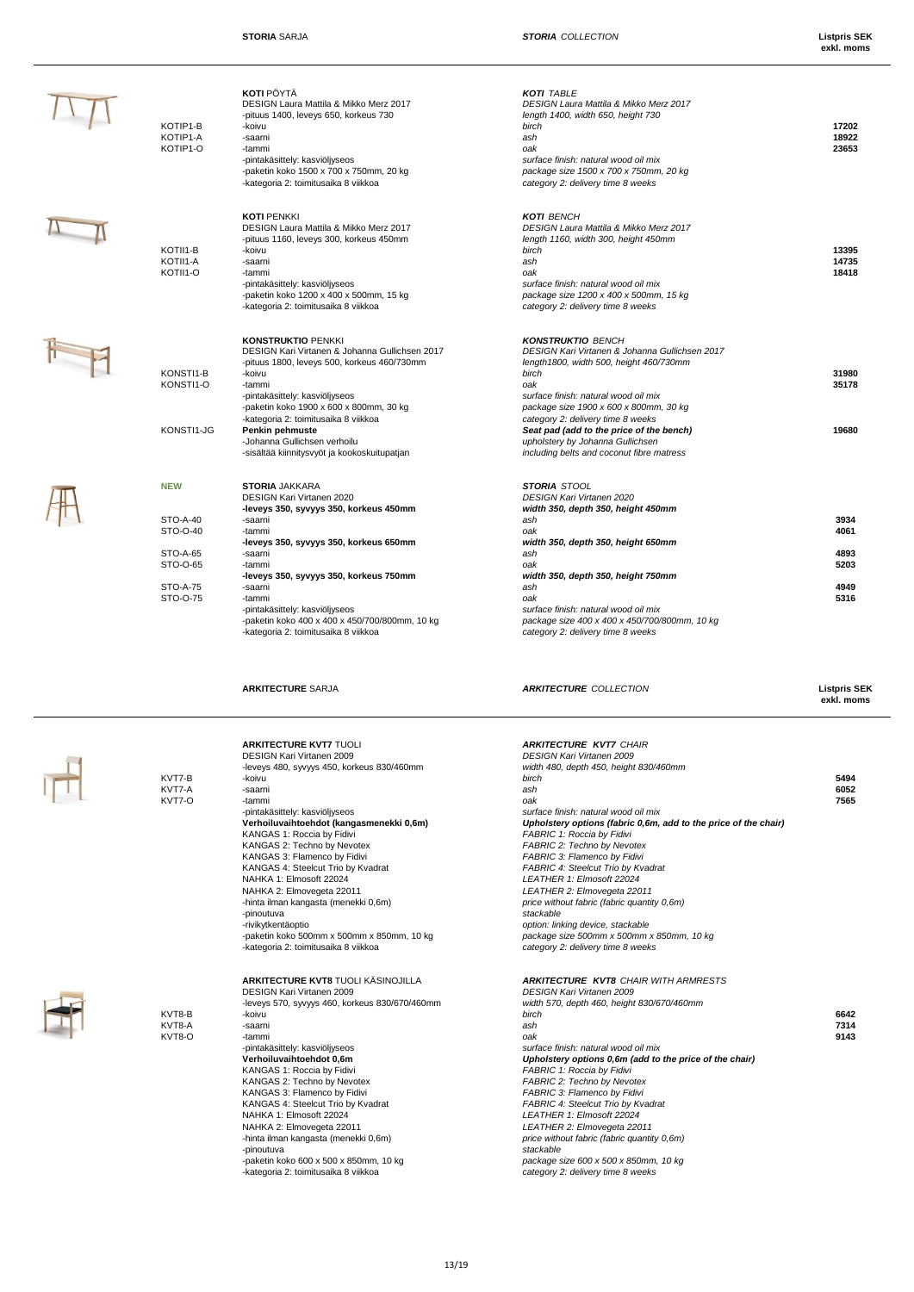**exkl. moms**

| KOTIP1-B<br>KOTIP1-A<br>KOTIP1-O | <b>KOTI</b> PÖYTÄ<br>DESIGN Laura Mattila & Mikko Merz 2017<br>-pituus 1400, leveys 650, korkeus 730<br>-koivu<br>-saarni<br>-tammi<br>-pintakäsittely: kasviöljyseos<br>-paketin koko 1500 x 700 x 750mm, 20 kg<br>-kategoria 2: toimitusaika 8 viikkoa            | <b>KOTI TABLE</b><br>DESIGN Laura Mattila & Mikko Merz 2017<br>length 1400, width 650, height 730<br>birch<br>ash<br>oak<br>surface finish: natural wood oil mix<br>package size 1500 x 700 x 750mm, 20 kg<br>category 2: delivery time 8 weeks              | 17202<br>18922<br>23653 |
|----------------------------------|---------------------------------------------------------------------------------------------------------------------------------------------------------------------------------------------------------------------------------------------------------------------|--------------------------------------------------------------------------------------------------------------------------------------------------------------------------------------------------------------------------------------------------------------|-------------------------|
| KOTII1-B<br>KOTII1-A<br>KOTII1-O | <b>KOTI PENKKI</b><br>DESIGN Laura Mattila & Mikko Merz 2017<br>-pituus 1160, leveys 300, korkeus 450mm<br>-koivu<br>-saarni<br>-tammi<br>-pintakäsittely: kasviöljyseos<br>-paketin koko 1200 x 400 x 500mm, 15 kg<br>-kategoria 2: toimitusaika 8 viikkoa         | <b>KOTI BENCH</b><br>DESIGN Laura Mattila & Mikko Merz 2017<br>length 1160, width 300, height 450mm<br>birch<br>ash<br>oak<br>surface finish: natural wood oil mix<br>package size 1200 x 400 x 500mm, 15 kg<br>category 2: delivery time 8 weeks            | 13395<br>14735<br>18418 |
| KONSTI1-B<br>KONSTI1-O           | <b>KONSTRUKTIO PENKKI</b><br>DESIGN Kari Virtanen & Johanna Gullichsen 2017<br>-pituus 1800, leveys 500, korkeus 460/730mm<br>-koivu<br>-tammi<br>-pintakäsittely: kasviöljyseos<br>-paketin koko 1900 x 600 x 800mm, 30 kg<br>-kategoria 2: toimitusaika 8 viikkoa | <b>KONSTRUKTIO BENCH</b><br>DESIGN Kari Virtanen & Johanna Gullichsen 2017<br>length1800, width 500, height 460/730mm<br>birch<br>oak<br>surface finish: natural wood oil mix<br>package size 1900 x 600 x 800mm, 30 kg<br>category 2: delivery time 8 weeks | 31980<br>35178          |
| KONSTI1-JG                       | Penkin pehmuste<br>-Johanna Gullichsen verhoilu<br>-sisältää kiinnitysvyöt ja kookoskuitupatjan                                                                                                                                                                     | Seat pad (add to the price of the bench)<br>upholstery by Johanna Gullichsen<br>including belts and coconut fibre matress                                                                                                                                    | 19680                   |
| <b>NEW</b>                       | <b>STORIA JAKKARA</b><br><b>DESIGN Kari Virtanen 2020</b><br>-leveys 350, syvyys 350, korkeus 450mm                                                                                                                                                                 | <b>STORIA STOOL</b><br><b>DESIGN Kari Virtanen 2020</b><br>width 350, depth 350, height 450mm                                                                                                                                                                |                         |
| <b>STO-A-40</b>                  | -saarni                                                                                                                                                                                                                                                             | ash                                                                                                                                                                                                                                                          | 3934                    |
| STO-O-40                         | -tammi                                                                                                                                                                                                                                                              | oak                                                                                                                                                                                                                                                          | 4061                    |
|                                  | -leveys 350, syvyys 350, korkeus 650mm                                                                                                                                                                                                                              | width 350, depth 350, height 650mm                                                                                                                                                                                                                           |                         |
| STO-A-65                         | -saarni                                                                                                                                                                                                                                                             | ash                                                                                                                                                                                                                                                          | 4893                    |
| STO-O-65                         | -tammi                                                                                                                                                                                                                                                              | oak                                                                                                                                                                                                                                                          | 5203                    |
|                                  | -leveys 350, syvyys 350, korkeus 750mm                                                                                                                                                                                                                              | width 350, depth 350, height 750mm                                                                                                                                                                                                                           |                         |
| <b>STO-A-75</b>                  | -saarni                                                                                                                                                                                                                                                             | ash                                                                                                                                                                                                                                                          | 4949                    |
| STO-O-75                         | -tammi                                                                                                                                                                                                                                                              | oak                                                                                                                                                                                                                                                          | 5316                    |
|                                  | -pintakäsittely: kasviöljyseos                                                                                                                                                                                                                                      | surface finish: natural wood oil mix                                                                                                                                                                                                                         |                         |
|                                  | -paketin koko 400 x 400 x 450/700/800mm, 10 kg                                                                                                                                                                                                                      | package size 400 x 400 x 450/700/800mm, 10 kg                                                                                                                                                                                                                |                         |
|                                  | -kategoria 2: toimitusaika 8 viikkoa                                                                                                                                                                                                                                | category 2: delivery time 8 weeks                                                                                                                                                                                                                            |                         |

Ĩ

 $+1$ 





**ARKITECTURE KVT7 TUOLI** DESIGN Kari Virtanen 2009 *DESIGN Kari Virtanen 2009* -leveys 480, syvyys 450, korkeus 830/460mm *width 480, depth 450, height 830/460mm* KANGAS 4: Steelcut Trio by Kvadrat *FABRIC 4: Steelcut Trio by Kvadrat* NAHKA 1: Elmosoft 22024 *LEATHER 1: Elmosoft 22024* NAHKA 2: Elmovegeta 22011 *LEATHER 2: Elmovegeta 22011*  -hinta ilman kangasta (menekki 0,6m) *price without fabric (fabric quantity 0,6m)* -pinoutuva *stackable* -rivikytkentäoptio *option: linking device, stackable* -paketin koko 500mm x 500mm x 850mm, 10 kg *package size 500mm x 500mm x 850mm, 10 kg* -kategoria 2: toimitusaika 8 viikkoa *category 2: delivery time 8 weeks*

**ARKITECTURE** SARJA *ARKITECTURE COLLECTION* **Listpris SEK**

|        | <b>ARKITECTURE KVT7 TUOLI</b>              | <b>ARKITECTURE KVT7 CHAIR</b>                                   |      |
|--------|--------------------------------------------|-----------------------------------------------------------------|------|
|        | <b>DESIGN Kari Virtanen 2009</b>           | <b>DESIGN Kari Virtanen 2009</b>                                |      |
|        | -leveys 480, syvyys 450, korkeus 830/460mm | width 480, depth 450, height 830/460mm                          |      |
| KVT7-B | -koivu                                     | birch                                                           | 5494 |
| KVT7-A | -saarni                                    | ash                                                             | 6052 |
| KVT7-O | -tammi                                     | oak                                                             | 7565 |
|        | -pintakäsittely: kasviöljyseos             | surface finish: natural wood oil mix                            |      |
|        | Verhoiluvaihtoehdot (kangasmenekki 0,6m)   | Upholstery options (fabric 0,6m, add to the price of the chair) |      |
|        | KANGAS 1: Roccia by Fidivi                 | FABRIC 1: Roccia by Fidivi                                      |      |
|        | KANGAS 2: Techno by Nevotex                | FABRIC 2: Techno by Nevotex                                     |      |
|        | KANGAS 3: Flamenco by Fidivi               | FABRIC 3: Flamenco by Fidivi                                    |      |
|        | KANGAS 4: Steelcut Trio by Kvadrat         | FABRIC 4: Steelcut Trio by Kvadrat                              |      |
|        | NAHKA 1: Elmosoft 22024                    | LEATHER 1: Elmosoft 22024                                       |      |
|        | NAHKA 2: Elmovegeta 22011                  | LEATHER 2: Elmovegeta 22011                                     |      |
|        | -hinta ilman kangasta (menekki 0,6m)       | price without fabric (fabric quantity 0,6m)                     |      |
|        | -pinoutuva                                 | stackable                                                       |      |
|        | -rivikytkentäoptio                         | option: linking device, stackable                               |      |
|        | -paketin koko 500mm x 500mm x 850mm, 10 kg | package size 500mm x 500mm x 850mm, 10 kg                       |      |
|        | -kategoria 2: toimitusaika 8 viikkoa       | category 2: delivery time 8 weeks                               |      |
|        |                                            |                                                                 |      |
|        |                                            |                                                                 |      |

|        | AN ILLUIDINE IN IUTULI IV IUINUULEU            |                                                         |      |
|--------|------------------------------------------------|---------------------------------------------------------|------|
|        | <b>DESIGN Kari Virtanen 2009</b>               | DESIGN Kari Virtanen 2009                               |      |
|        | -leveys 570, syvyys 460, korkeus 830/670/460mm | width 570, depth 460, height 830/670/460mm              |      |
| KVT8-B | -koivu                                         | birch                                                   | 6642 |
| KVT8-A | -saarni                                        | ash                                                     | 7314 |
| KVT8-O | -tammi                                         | oak                                                     | 9143 |
|        | -pintakäsittely: kasviöljyseos                 | surface finish: natural wood oil mix                    |      |
|        | Verhoiluvaihtoehdot 0.6m                       | Upholstery options 0,6m (add to the price of the chair) |      |
|        | KANGAS 1: Roccia by Fidivi                     | FABRIC 1: Roccia by Fidivi                              |      |
|        | KANGAS 2: Techno by Nevotex                    | FABRIC 2: Techno by Nevotex                             |      |
|        | KANGAS 3: Flamenco by Fidivi                   | FABRIC 3: Flamenco by Fidivi                            |      |
|        | KANGAS 4: Steelcut Trio by Kvadrat             | FABRIC 4: Steelcut Trio by Kvadrat                      |      |
|        | NAHKA 1: Elmosoft 22024                        | LEATHER 1: Elmosoft 22024                               |      |
|        | NAHKA 2: Elmovegeta 22011                      | LEATHER 2: Elmovegeta 22011                             |      |
|        | -hinta ilman kangasta (menekki 0,6m)           | price without fabric (fabric quantity 0,6m)             |      |
|        | -pinoutuva                                     | stackable                                               |      |
|        | -paketin koko 600 x 500 x 850mm, 10 kg         | package size 600 x 500 x 850mm, 10 kg                   |      |
|        | -kategoria 2: toimitusaika 8 viikkoa           | category 2: delivery time 8 weeks                       |      |
|        |                                                |                                                         |      |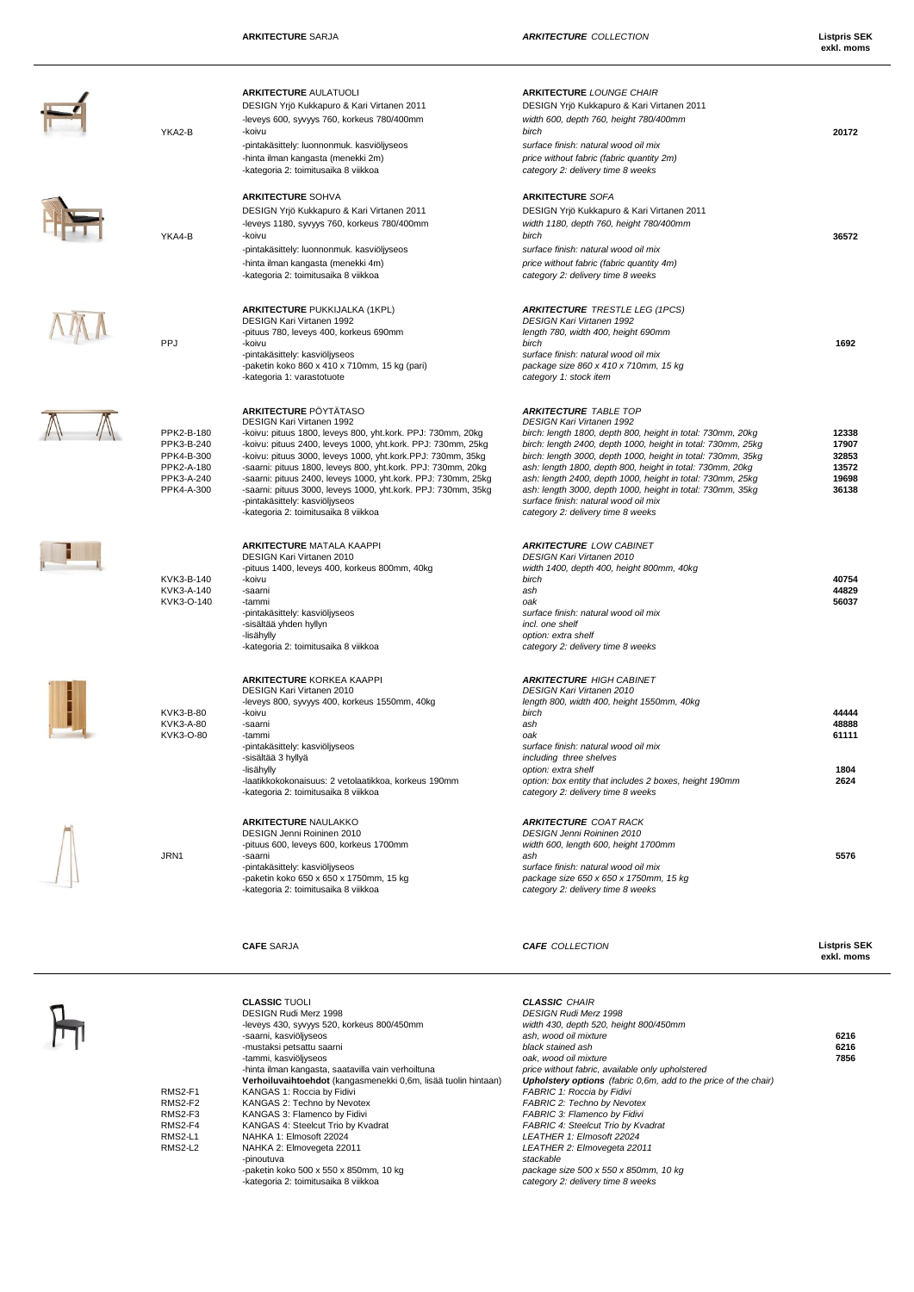t

K

 $\overline{1}$ 

 $\frac{1}{1}$ 

--

 $\mathcal{L}$ 

-paketin koko 500 x 550 x 850mm, 10 kg *package size 500 x 550 x 850mm, 10 kg*

|                          | <b>ARKITECTURE AULATUOLI</b>                                                                                                   | <b>ARKITECTURE LOUNGE CHAIR</b>                                                                                             |                                   |
|--------------------------|--------------------------------------------------------------------------------------------------------------------------------|-----------------------------------------------------------------------------------------------------------------------------|-----------------------------------|
|                          | DESIGN Yrjö Kukkapuro & Kari Virtanen 2011                                                                                     | DESIGN Yrjö Kukkapuro & Kari Virtanen 2011                                                                                  |                                   |
| YKA2-B                   | -leveys 600, syvyys 760, korkeus 780/400mm<br>-koivu                                                                           | width 600, depth 760, height 780/400mm<br>birch                                                                             | 20172                             |
|                          | -pintakäsittely: luonnonmuk. kasviöljyseos                                                                                     | surface finish: natural wood oil mix                                                                                        |                                   |
|                          | -hinta ilman kangasta (menekki 2m)                                                                                             | price without fabric (fabric quantity 2m)                                                                                   |                                   |
|                          | -kategoria 2: toimitusaika 8 viikkoa                                                                                           | category 2: delivery time 8 weeks                                                                                           |                                   |
|                          | <b>ARKITECTURE SOHVA</b>                                                                                                       | <b>ARKITECTURE SOFA</b>                                                                                                     |                                   |
|                          | DESIGN Yrjö Kukkapuro & Kari Virtanen 2011<br>-leveys 1180, syvyys 760, korkeus 780/400mm                                      | DESIGN Yrjö Kukkapuro & Kari Virtanen 2011<br>width 1180, depth 760, height 780/400mm                                       |                                   |
| YKA4-B                   | -koivu                                                                                                                         | birch                                                                                                                       | 36572                             |
|                          | -pintakäsittely: luonnonmuk. kasviöljyseos                                                                                     | surface finish: natural wood oil mix                                                                                        |                                   |
|                          | -hinta ilman kangasta (menekki 4m)                                                                                             | price without fabric (fabric quantity 4m)                                                                                   |                                   |
|                          | -kategoria 2: toimitusaika 8 viikkoa                                                                                           | category 2: delivery time 8 weeks                                                                                           |                                   |
|                          | <b>ARKITECTURE PUKKIJALKA (1KPL)</b>                                                                                           | <b>ARKITECTURE TRESTLE LEG (1PCS)</b>                                                                                       |                                   |
|                          | DESIGN Kari Virtanen 1992<br>-pituus 780, leveys 400, korkeus 690mm                                                            | <b>DESIGN Kari Virtanen 1992</b><br>length 780, width 400, height 690mm                                                     |                                   |
| PPJ                      | -koivu                                                                                                                         | birch                                                                                                                       | 1692                              |
|                          | -pintakäsittely: kasviöljyseos                                                                                                 | surface finish: natural wood oil mix                                                                                        |                                   |
|                          | -paketin koko 860 x 410 x 710mm, 15 kg (pari)<br>-kategoria 1: varastotuote                                                    | package size 860 x 410 x 710mm, 15 kg<br>category 1: stock item                                                             |                                   |
|                          | <b>ARKITECTURE PÖYTÄTASO</b>                                                                                                   | <b>ARKITECTURE TABLE TOP</b>                                                                                                |                                   |
|                          | DESIGN Kari Virtanen 1992                                                                                                      | DESIGN Kari Virtanen 1992                                                                                                   |                                   |
| PPK2-B-180<br>PPK3-B-240 | -koivu: pituus 1800, leveys 800, yht.kork. PPJ: 730mm, 20kg<br>-koivu: pituus 2400, leveys 1000, yht.kork. PPJ: 730mm, 25kg    | birch: length 1800, depth 800, height in total: 730mm, 20kg<br>birch: length 2400, depth 1000, height in total: 730mm, 25kg | 12338<br>17907                    |
| PPK4-B-300               | -koivu: pituus 3000, leveys 1000, yht.kork.PPJ: 730mm, 35kg                                                                    | birch: length 3000, depth 1000, height in total: 730mm, 35kg                                                                | 32853                             |
| PPK2-A-180               | -saarni: pituus 1800, leveys 800, yht.kork. PPJ: 730mm, 20kg                                                                   | ash: length 1800, depth 800, height in total: 730mm, 20kg                                                                   | 13572                             |
| PPK3-A-240<br>PPK4-A-300 | -saarni: pituus 2400, leveys 1000, yht.kork. PPJ: 730mm, 25kg<br>-saarni: pituus 3000, leveys 1000, yht.kork. PPJ: 730mm, 35kg | ash: length 2400, depth 1000, height in total: 730mm, 25kg<br>ash: length 3000, depth 1000, height in total: 730mm, 35kg    | 19698<br>36138                    |
|                          | -pintakäsittely: kasviöljyseos                                                                                                 | surface finish: natural wood oil mix                                                                                        |                                   |
|                          | -kategoria 2: toimitusaika 8 viikkoa                                                                                           | category 2: delivery time 8 weeks                                                                                           |                                   |
|                          | <b>ARKITECTURE MATALA KAAPPI</b>                                                                                               | <b>ARKITECTURE LOW CABINET</b>                                                                                              |                                   |
|                          | DESIGN Kari Virtanen 2010<br>-pituus 1400, leveys 400, korkeus 800mm, 40kg                                                     | <b>DESIGN Kari Virtanen 2010</b><br>width 1400, depth 400, height 800mm, 40kg                                               |                                   |
| KVK3-B-140               | -koivu                                                                                                                         | birch                                                                                                                       | 40754                             |
| KVK3-A-140               | -saarni                                                                                                                        | ash                                                                                                                         | 44829                             |
| KVK3-O-140               | -tammi<br>-pintakäsittely: kasviöljyseos                                                                                       | oak<br>surface finish: natural wood oil mix                                                                                 | 56037                             |
|                          | -sisältää yhden hyllyn                                                                                                         | incl. one shelf                                                                                                             |                                   |
|                          | -lisähylly<br>-kategoria 2: toimitusaika 8 viikkoa                                                                             | option: extra shelf<br>category 2: delivery time 8 weeks                                                                    |                                   |
|                          |                                                                                                                                |                                                                                                                             |                                   |
|                          | <b>ARKITECTURE KORKEA KAAPPI</b><br>DESIGN Kari Virtanen 2010                                                                  | <b>ARKITECTURE HIGH CABINET</b><br><b>DESIGN Kari Virtanen 2010</b>                                                         |                                   |
|                          | -leveys 800, syvyys 400, korkeus 1550mm, 40kg                                                                                  | length 800, width 400, height 1550mm, 40kg                                                                                  |                                   |
| KVK3-B-80<br>KVK3-A-80   | -koivu<br>-saarni                                                                                                              | birch<br>ash                                                                                                                | 44444<br>48888                    |
| KVK3-O-80                | -tammi                                                                                                                         | oak                                                                                                                         | 61111                             |
|                          | -pintakäsittely: kasviöljyseos                                                                                                 | surface finish: natural wood oil mix                                                                                        |                                   |
|                          | -sisältää 3 hyllyä<br>-lisähylly                                                                                               | including three shelves<br>option: extra shelf                                                                              | 1804                              |
|                          | -laatikkokokonaisuus: 2 vetolaatikkoa, korkeus 190mm                                                                           | option: box entity that includes 2 boxes, height 190mm                                                                      | 2624                              |
|                          | -kategoria 2: toimitusaika 8 viikkoa                                                                                           | category 2: delivery time 8 weeks                                                                                           |                                   |
|                          | <b>ARKITECTURE NAULAKKO</b>                                                                                                    | <b>ARKITECTURE COAT RACK</b>                                                                                                |                                   |
|                          | DESIGN Jenni Roininen 2010<br>-pituus 600, leveys 600, korkeus 1700mm                                                          | DESIGN Jenni Roininen 2010<br>width 600, length 600, height 1700mm                                                          |                                   |
| JRN1                     | -saarni                                                                                                                        | ash                                                                                                                         | 5576                              |
|                          | -pintakäsittely: kasviöljyseos<br>-paketin koko 650 x 650 x 1750mm, 15 kg                                                      | surface finish: natural wood oil mix<br>package size 650 x 650 x 1750mm, 15 kg                                              |                                   |
|                          | -kategoria 2: toimitusaika 8 viikkoa                                                                                           | category 2: delivery time 8 weeks                                                                                           |                                   |
|                          |                                                                                                                                |                                                                                                                             |                                   |
|                          | <b>CAFE SARJA</b>                                                                                                              | <b>CAFE</b> COLLECTION                                                                                                      | <b>Listpris SEK</b><br>exkl. moms |
|                          |                                                                                                                                |                                                                                                                             |                                   |
|                          | <b>CLASSIC TUOLI</b>                                                                                                           | <b>CLASSIC CHAIR</b>                                                                                                        |                                   |
|                          | DESIGN Rudi Merz 1998                                                                                                          | DESIGN Rudi Merz 1998                                                                                                       |                                   |
|                          | -leveys 430, syvyys 520, korkeus 800/450mm<br>-saarni, kasviöljyseos                                                           | width 430, depth 520, height 800/450mm<br>ash, wood oil mixture                                                             | 6216                              |
|                          | -mustaksi petsattu saarni                                                                                                      | black stained ash                                                                                                           | 6216                              |
|                          | -tammi, kasviöljyseos                                                                                                          | oak, wood oil mixture                                                                                                       | 7856                              |
|                          | -hinta ilman kangasta, saatavilla vain verhoiltuna<br>Verhoiluvaihtoehdot (kangasmenekki 0,6m, lisää tuolin hintaan)           | price without fabric, available only upholstered<br><b>Upholstery options</b> (fabric 0,6m, add to the price of the chair)  |                                   |
| RMS2-F1                  | KANGAS 1: Roccia by Fidivi                                                                                                     | FABRIC 1: Roccia by Fidivi                                                                                                  |                                   |
| RMS2-F2<br>RMS2-F3       | KANGAS 2: Techno by Nevotex<br>KANGAS 3: Flamenco by Fidivi                                                                    | FABRIC 2: Techno by Nevotex<br>FABRIC 3: Flamenco by Fidivi                                                                 |                                   |
| RMS2-F4                  | KANGAS 4: Steelcut Trio by Kvadrat                                                                                             | FABRIC 4: Steelcut Trio by Kvadrat                                                                                          |                                   |
| RMS2-L1                  | NAHKA 1: Elmosoft 22024                                                                                                        | LEATHER 1: Elmosoft 22024                                                                                                   |                                   |

# RMS2-F1 KANGAS 1: Roccia by Fidivi<br>RMS2-F2 KANGAS 2: Techno by Nevotex<br>RMS2-F3 KANGAS 3: Flamenco by Fidivi<br>RMS2-F4 KANGAS 3: Flamenco by Fidivi<br>RMS2-F4 KANGAS 4: Steelcut Trio by Kvadrat<br>RMS2-L1 NAHKA 1: Elmosoft 22024 RMS2-L1 NAHKA 1: Elmosoft 20024<br>
RMS2-L2 NAHKA 1: Elmosoft 20024<br>
RMS2-L2 NAHKA 2: Elmovegeta 22011<br>
-pinoutuva pinotuva stackable<br>
-pinotuva stackable -pinoutuva *stackable* -kategoria 2: toimitusaika 8 viikkoa *category 2: delivery time 8 weeks*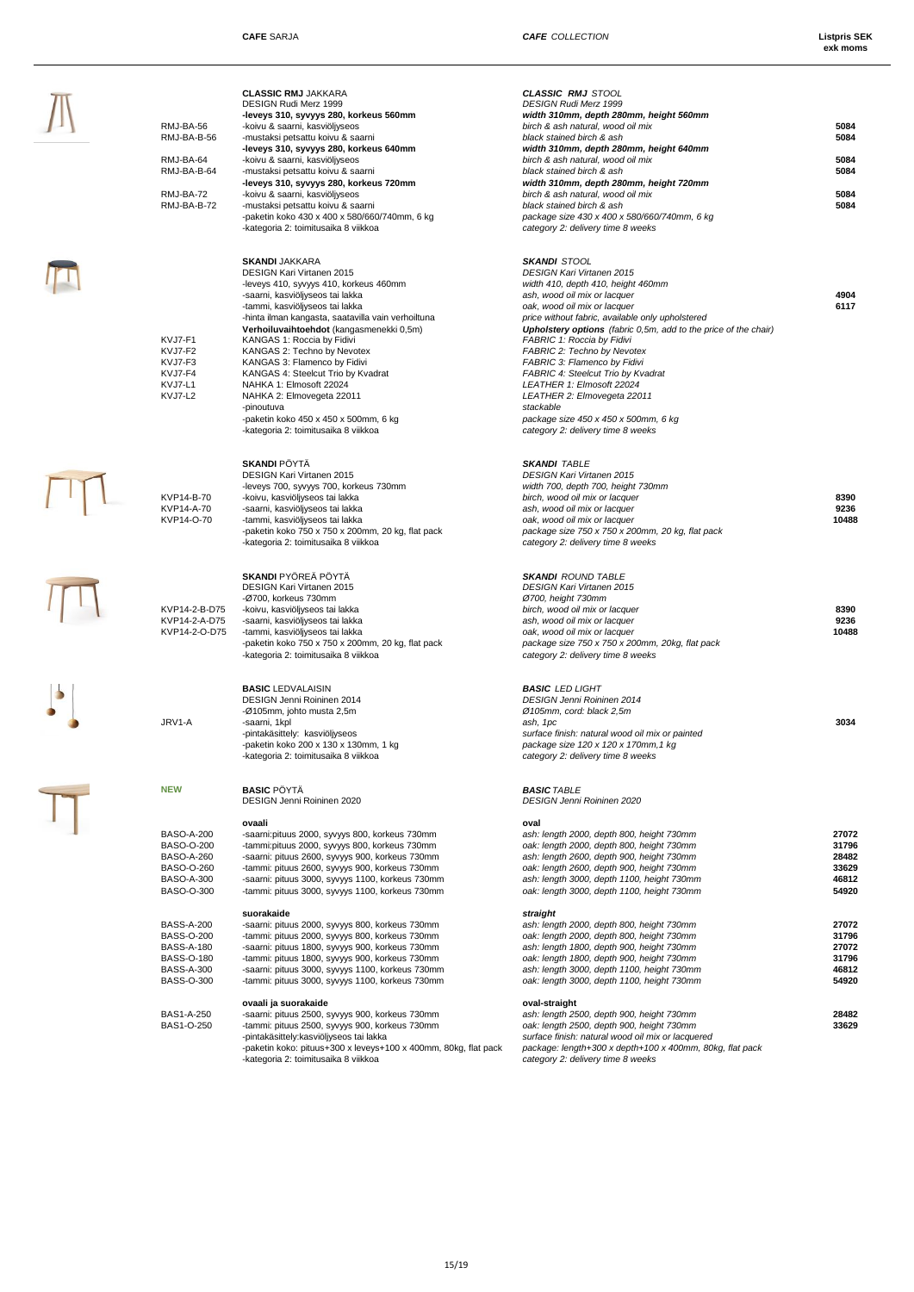| RMJ-BA-56<br>RMJ-BA-B-56<br>RMJ-BA-64<br>RMJ-BA-B-64<br>RMJ-BA-72<br>RMJ-BA-B-72                                           | <b>CLASSIC RMJ JAKKARA</b><br>DESIGN Rudi Merz 1999<br>-leveys 310, syvyys 280, korkeus 560mm<br>-koivu & saarni, kasviöljyseos<br>-mustaksi petsattu koivu & saarni<br>-leveys 310, syvyys 280, korkeus 640mm<br>-koivu & saarni, kasviöljyseos<br>-mustaksi petsattu koivu & saarni<br>-leveys 310, syvyys 280, korkeus 720mm<br>-koivu & saarni, kasviöljyseos<br>-mustaksi petsattu koivu & saarni<br>-paketin koko 430 x 400 x 580/660/740mm, 6 kg<br>-kategoria 2: toimitusaika 8 viikkoa                                                                        | <b>CLASSIC RMJ STOOL</b><br><b>DESIGN Rudi Merz 1999</b><br>width 310mm, depth 280mm, height 560mm<br>birch & ash natural, wood oil mix<br>black stained birch & ash<br>width 310mm, depth 280mm, height 640mm<br>birch & ash natural, wood oil mix<br>black stained birch & ash<br>width 310mm, depth 280mm, height 720mm<br>birch & ash natural, wood oil mix<br>black stained birch & ash<br>package size 430 x 400 x 580/660/740mm, 6 kg<br>category 2: delivery time 8 weeks                                                                                                    | 5084<br>5084<br>5084<br>5084<br>5084<br>5084 |
|----------------------------------------------------------------------------------------------------------------------------|------------------------------------------------------------------------------------------------------------------------------------------------------------------------------------------------------------------------------------------------------------------------------------------------------------------------------------------------------------------------------------------------------------------------------------------------------------------------------------------------------------------------------------------------------------------------|--------------------------------------------------------------------------------------------------------------------------------------------------------------------------------------------------------------------------------------------------------------------------------------------------------------------------------------------------------------------------------------------------------------------------------------------------------------------------------------------------------------------------------------------------------------------------------------|----------------------------------------------|
| KVJ7-F1<br>KVJ7-F2<br>KVJ7-F3<br>KVJ7-F4<br>KVJ7-L1<br>KVJ7-L2                                                             | <b>SKANDI JAKKARA</b><br><b>DESIGN Kari Virtanen 2015</b><br>-leveys 410, syvyys 410, korkeus 460mm<br>-saarni, kasviöljyseos tai lakka<br>-tammi, kasviöljyseos tai lakka<br>-hinta ilman kangasta, saatavilla vain verhoiltuna<br>Verhoiluvaihtoehdot (kangasmenekki 0,5m)<br>KANGAS 1: Roccia by Fidivi<br>KANGAS 2: Techno by Nevotex<br>KANGAS 3: Flamenco by Fidivi<br>KANGAS 4: Steelcut Trio by Kvadrat<br>NAHKA 1: Elmosoft 22024<br>NAHKA 2: Elmovegeta 22011<br>-pinoutuva<br>-paketin koko 450 x 450 x 500mm, 6 kg<br>-kategoria 2: toimitusaika 8 viikkoa | <b>SKANDI STOOL</b><br><b>DESIGN Kari Virtanen 2015</b><br>width 410, depth 410, height 460mm<br>ash, wood oil mix or lacquer<br>oak, wood oil mix or lacquer<br>price without fabric, available only upholstered<br><b>Upholstery options</b> (fabric 0,5m, add to the price of the chair)<br>FABRIC 1: Roccia by Fidivi<br>FABRIC 2: Techno by Nevotex<br>FABRIC 3: Flamenco by Fidivi<br>FABRIC 4: Steelcut Trio by Kvadrat<br>LEATHER 1: Elmosoft 22024<br>LEATHER 2: Elmovegeta 22011<br>stackable<br>package size 450 x 450 x 500mm, 6 kg<br>category 2: delivery time 8 weeks | 4904<br>6117                                 |
| KVP14-B-70<br>KVP14-A-70<br>KVP14-O-70                                                                                     | <b>SKANDI</b> PÖYTÄ<br>DESIGN Kari Virtanen 2015<br>-leveys 700, syvyys 700, korkeus 730mm<br>-koivu, kasviöljyseos tai lakka<br>-saarni, kasviöljyseos tai lakka<br>-tammi, kasviöljyseos tai lakka<br>-paketin koko 750 x 750 x 200mm, 20 kg, flat pack<br>-kategoria 2: toimitusaika 8 viikkoa                                                                                                                                                                                                                                                                      | <b>SKANDI TABLE</b><br><b>DESIGN Kari Virtanen 2015</b><br>width 700, depth 700, height 730mm<br>birch, wood oil mix or lacquer<br>ash, wood oil mix or lacquer<br>oak, wood oil mix or lacquer<br>package size 750 x 750 x 200mm, 20 kg, flat pack<br>category 2: delivery time 8 weeks                                                                                                                                                                                                                                                                                             | 8390<br>9236<br>1048                         |
| KVP14-2-B-D75<br>KVP14-2-A-D75<br>KVP14-2-O-D75                                                                            | <b>SKANDI PYÖREÄ PÖYTÄ</b><br>DESIGN Kari Virtanen 2015<br>-Ø700, korkeus 730mm<br>-koivu, kasviöljyseos tai lakka<br>-saarni, kasviöljyseos tai lakka<br>-tammi, kasviöljyseos tai lakka<br>-paketin koko 750 x 750 x 200mm, 20 kg, flat pack<br>-kategoria 2: toimitusaika 8 viikkoa                                                                                                                                                                                                                                                                                 | <b>SKANDI ROUND TABLE</b><br><b>DESIGN Kari Virtanen 2015</b><br>Ø700, height 730mm<br>birch, wood oil mix or lacquer<br>ash, wood oil mix or lacquer<br>oak, wood oil mix or lacquer<br>package size 750 x 750 x 200mm, 20kg, flat pack<br>category 2: delivery time 8 weeks                                                                                                                                                                                                                                                                                                        | 8390<br>9236<br>1048                         |
| JRV1-A                                                                                                                     | <b>BASIC LEDVALAISIN</b><br>DESIGN Jenni Roininen 2014<br>-Ø105mm, johto musta 2,5m<br>-saarni, 1kpl<br>-pintakäsittely: kasviöljyseos<br>-paketin koko 200 x 130 x 130mm, 1 kg<br>-kategoria 2: toimitusaika 8 viikkoa                                                                                                                                                                                                                                                                                                                                                | <b>BASIC LED LIGHT</b><br><b>DESIGN Jenni Roininen 2014</b><br>Ø 105mm, cord: black 2,5m<br>ash, 1pc<br>surface finish: natural wood oil mix or painted<br>package size 120 x 120 x 170mm, 1 kg<br>category 2: delivery time 8 weeks                                                                                                                                                                                                                                                                                                                                                 | 3034                                         |
| <b>NEW</b>                                                                                                                 | <b>BASIC PÖYTÄ</b><br>DESIGN Jenni Roininen 2020                                                                                                                                                                                                                                                                                                                                                                                                                                                                                                                       | <b>BASIC TABLE</b><br>DESIGN Jenni Roininen 2020                                                                                                                                                                                                                                                                                                                                                                                                                                                                                                                                     |                                              |
| <b>BASO-A-200</b><br><b>BASO-O-200</b><br><b>BASO-A-260</b><br>BASO-O-260<br><b>BASO-A-300</b><br>BASO-O-300               | ovaali<br>-saarni:pituus 2000, syvyys 800, korkeus 730mm<br>-tammi:pituus 2000, syvyys 800, korkeus 730mm<br>-saarni: pituus 2600, syvyys 900, korkeus 730mm<br>-tammi: pituus 2600, syyyys 900, korkeus 730mm<br>-saarni: pituus 3000, syvyys 1100, korkeus 730mm<br>-tammi: pituus 3000, syvyys 1100, korkeus 730mm                                                                                                                                                                                                                                                  | oval<br>ash: length 2000, depth 800, height 730mm<br>oak: length 2000, depth 800, height 730mm<br>ash: length 2600, depth 900, height 730mm<br>oak: length 2600, depth 900, height 730mm<br>ash: length 3000, depth 1100, height 730mm<br>oak: length 3000, depth 1100, height 730mm                                                                                                                                                                                                                                                                                                 | 2707<br>3179<br>2848<br>3362<br>4681<br>5492 |
| <b>BASS-A-200</b><br><b>BASS-O-200</b><br><b>BASS-A-180</b><br><b>BASS-O-180</b><br><b>BASS-A-300</b><br><b>BASS-O-300</b> | suorakaide<br>-saarni: pituus 2000, syvyys 800, korkeus 730mm<br>-tammi: pituus 2000, syvyys 800, korkeus 730mm<br>-saarni: pituus 1800, syvyys 900, korkeus 730mm<br>-tammi: pituus 1800, syvyys 900, korkeus 730mm<br>-saarni: pituus 3000, syvyys 1100, korkeus 730mm<br>-tammi: pituus 3000, syvyys 1100, korkeus 730mm                                                                                                                                                                                                                                            | straight<br>ash: length 2000, depth 800, height 730mm<br>oak: length 2000, depth 800, height 730mm<br>ash: length 1800, depth 900, height 730mm<br>oak: length 1800, depth 900, height 730mm<br>ash: length 3000, depth 1100, height 730mm<br>oak: length 3000, depth 1100, height 730mm                                                                                                                                                                                                                                                                                             | 2707<br>3179<br>2707<br>3179<br>4681<br>5492 |
| <b>BAS1-A-250</b><br>BAS1-O-250                                                                                            | ovaali ja suorakaide<br>-saarni: pituus 2500, syvyys 900, korkeus 730mm<br>-tammi: pituus 2500, syvyys 900, korkeus 730mm<br>-pintakäsittely:kasviöljyseos tai lakka<br>-paketin koko: pituus+300 x leveys+100 x 400mm, 80kg, flat pack<br>-kategoria 2: toimitusaika 8 viikkoa                                                                                                                                                                                                                                                                                        | oval-straight<br>ash: length 2500, depth 900, height 730mm<br>oak: length 2500, depth 900, height 730mm<br>surface finish: natural wood oil mix or lacquered<br>package: length+300 x depth+100 x 400mm, 80kg, flat pack<br>category 2: delivery time 8 weeks                                                                                                                                                                                                                                                                                                                        | 2848<br>3362                                 |
|                                                                                                                            |                                                                                                                                                                                                                                                                                                                                                                                                                                                                                                                                                                        |                                                                                                                                                                                                                                                                                                                                                                                                                                                                                                                                                                                      |                                              |

|                          | <b>CLASSIC RMJ JAKKARA</b>                                                                              | <b>CLASSIC RMJ STOOL</b>                                                                             |                |
|--------------------------|---------------------------------------------------------------------------------------------------------|------------------------------------------------------------------------------------------------------|----------------|
|                          | DESIGN Rudi Merz 1999                                                                                   | <b>DESIGN Rudi Merz 1999</b>                                                                         |                |
|                          | -leveys 310, syvyys 280, korkeus 560mm                                                                  | width 310mm, depth 280mm, height 560mm                                                               |                |
| RMJ-BA-56<br>RMJ-BA-B-56 | -koivu & saarni, kasviöljyseos<br>-mustaksi petsattu koivu & saarni                                     | birch & ash natural, wood oil mix<br>black stained birch & ash                                       | 5084<br>5084   |
|                          | -leveys 310, syvyys 280, korkeus 640mm                                                                  | width 310mm, depth 280mm, height 640mm                                                               |                |
| RMJ-BA-64                | -koivu & saarni, kasviöljyseos                                                                          | birch & ash natural, wood oil mix                                                                    | 5084           |
| RMJ-BA-B-64              | -mustaksi petsattu koivu & saarni                                                                       | black stained birch & ash                                                                            | 5084           |
| RMJ-BA-72                | -leveys 310, syvyys 280, korkeus 720mm<br>-koivu & saarni, kasviöljyseos                                | width 310mm, depth 280mm, height 720mm<br>birch & ash natural, wood oil mix                          | 5084           |
| RMJ-BA-B-72              | -mustaksi petsattu koivu & saarni                                                                       | black stained birch & ash                                                                            | 5084           |
|                          | -paketin koko 430 x 400 x 580/660/740mm, 6 kg                                                           | package size 430 x 400 x 580/660/740mm, 6 kg                                                         |                |
|                          | -kategoria 2: toimitusaika 8 viikkoa                                                                    | category 2: delivery time 8 weeks                                                                    |                |
|                          |                                                                                                         |                                                                                                      |                |
|                          | <b>SKANDI JAKKARA</b><br><b>DESIGN Kari Virtanen 2015</b>                                               | <b>SKANDI STOOL</b><br><b>DESIGN Kari Virtanen 2015</b>                                              |                |
|                          | -leveys 410, syvyys 410, korkeus 460mm                                                                  | width 410, depth 410, height 460mm                                                                   |                |
|                          | -saarni, kasviöljyseos tai lakka                                                                        | ash, wood oil mix or lacquer                                                                         | 4904           |
|                          | -tammi, kasviöljyseos tai lakka                                                                         | oak, wood oil mix or lacquer                                                                         | 6117           |
|                          | -hinta ilman kangasta, saatavilla vain verhoiltuna                                                      | price without fabric, available only upholstered                                                     |                |
| KVJ7-F1                  | Verhoiluvaihtoehdot (kangasmenekki 0,5m)<br>KANGAS 1: Roccia by Fidivi                                  | <b>Upholstery options</b> (fabric 0,5m, add to the price of the chair)<br>FABRIC 1: Roccia by Fidivi |                |
| KVJ7-F2                  | KANGAS 2: Techno by Nevotex                                                                             | <b>FABRIC 2: Techno by Nevotex</b>                                                                   |                |
| KVJ7-F3                  | KANGAS 3: Flamenco by Fidivi                                                                            | FABRIC 3: Flamenco by Fidivi                                                                         |                |
| KVJ7-F4                  | KANGAS 4: Steelcut Trio by Kvadrat                                                                      | <b>FABRIC 4: Steelcut Trio by Kvadrat</b>                                                            |                |
| KVJ7-L1                  | NAHKA 1: Elmosoft 22024                                                                                 | LEATHER 1: Elmosoft 22024                                                                            |                |
| KVJ7-L2                  | NAHKA 2: Elmovegeta 22011<br>-pinoutuva                                                                 | LEATHER 2: Elmovegeta 22011<br>stackable                                                             |                |
|                          | -paketin koko 450 x 450 x 500mm, 6 kg                                                                   | package size 450 x 450 x 500mm, 6 kg                                                                 |                |
|                          | -kategoria 2: toimitusaika 8 viikkoa                                                                    | category 2: delivery time 8 weeks                                                                    |                |
|                          |                                                                                                         |                                                                                                      |                |
|                          | <b>SKANDI PÖYTÄ</b>                                                                                     | <b>SKANDI TABLE</b>                                                                                  |                |
|                          | DESIGN Kari Virtanen 2015                                                                               | <b>DESIGN Kari Virtanen 2015</b>                                                                     |                |
| KVP14-B-70               | -leveys 700, syvyys 700, korkeus 730mm<br>-koivu, kasviöljyseos tai lakka                               | width 700, depth 700, height 730mm<br>birch, wood oil mix or lacquer                                 | 8390           |
| KVP14-A-70               | -saarni, kasviöljyseos tai lakka                                                                        | ash, wood oil mix or lacquer                                                                         | 9236           |
| KVP14-O-70               | -tammi, kasviöljyseos tai lakka                                                                         | oak, wood oil mix or lacquer                                                                         | 10488          |
|                          | -paketin koko 750 x 750 x 200mm, 20 kg, flat pack                                                       | package size 750 x 750 x 200mm, 20 kg, flat pack                                                     |                |
|                          | -kategoria 2: toimitusaika 8 viikkoa                                                                    | category 2: delivery time 8 weeks                                                                    |                |
|                          |                                                                                                         |                                                                                                      |                |
|                          | <b>SKANDI</b> PYÖREÄ PÖYTÄ<br>DESIGN Kari Virtanen 2015                                                 | <b>SKANDI ROUND TABLE</b><br><b>DESIGN Kari Virtanen 2015</b>                                        |                |
|                          | -Ø700, korkeus 730mm                                                                                    | Ø700, height 730mm                                                                                   |                |
| KVP14-2-B-D75            | -koivu, kasviöljyseos tai lakka                                                                         | birch, wood oil mix or lacquer                                                                       | 8390           |
| KVP14-2-A-D75            | -saarni, kasviöljyseos tai lakka                                                                        | ash, wood oil mix or lacquer                                                                         | 9236           |
| KVP14-2-O-D75            | -tammi, kasviöljyseos tai lakka                                                                         | oak, wood oil mix or lacquer                                                                         | 10488          |
|                          | -paketin koko 750 x 750 x 200mm, 20 kg, flat pack<br>-kategoria 2: toimitusaika 8 viikkoa               | package size 750 x 750 x 200mm, 20kg, flat pack<br>category 2: delivery time 8 weeks                 |                |
|                          |                                                                                                         |                                                                                                      |                |
|                          | <b>BASIC LEDVALAISIN</b>                                                                                | <b>BASIC LED LIGHT</b>                                                                               |                |
|                          | DESIGN Jenni Roininen 2014                                                                              | <b>DESIGN Jenni Roininen 2014</b>                                                                    |                |
|                          | -Ø105mm, johto musta 2,5m                                                                               | Ø 105mm, cord: black 2,5m                                                                            |                |
| JRV1-A                   | -saarni, 1kpl                                                                                           | ash, 1pc<br>surface finish: natural wood oil mix or painted                                          | 3034           |
|                          | -pintakäsittely: kasviöljyseos<br>-paketin koko 200 x 130 x 130mm, 1 kg                                 | package size 120 x 120 x 170mm, 1 kg                                                                 |                |
|                          | -kategoria 2: toimitusaika 8 viikkoa                                                                    | category 2: delivery time 8 weeks                                                                    |                |
|                          |                                                                                                         |                                                                                                      |                |
| NEW                      | <b>BASIC PÖYTÄ</b>                                                                                      | <b>BASIC TABLE</b>                                                                                   |                |
|                          | DESIGN Jenni Roininen 2020                                                                              | DESIGN Jenni Roininen 2020                                                                           |                |
|                          | ovaali                                                                                                  | oval                                                                                                 |                |
| <b>BASO-A-200</b>        | -saarni:pituus 2000, syvyys 800, korkeus 730mm                                                          | ash: length 2000, depth 800, height 730mm                                                            | 27072          |
| BASO-O-200               | -tammi:pituus 2000, syvyys 800, korkeus 730mm                                                           | oak: length 2000, depth 800, height 730mm<br>ash: length 2600, depth 900, height 730mm               | 31796<br>28482 |
| BASO-A-260<br>BASO-O-260 | -saarni: pituus 2600, syvyys 900, korkeus 730mm<br>-tammi: pituus 2600, syvyys 900, korkeus 730mm       | oak: length 2600, depth 900, height 730mm                                                            | 33629          |
| <b>BASO-A-300</b>        | -saarni: pituus 3000, syvyys 1100, korkeus 730mm                                                        | ash: length 3000, depth 1100, height 730mm                                                           | 46812          |
| BASO-O-300               | -tammi: pituus 3000, syvyys 1100, korkeus 730mm                                                         | oak: length 3000, depth 1100, height 730mm                                                           | 54920          |
|                          | suorakaide                                                                                              | straight                                                                                             |                |
| BASS-A-200               | -saarni: pituus 2000, syvyys 800, korkeus 730mm                                                         | ash: length 2000, depth 800, height 730mm                                                            | 27072          |
| <b>BASS-O-200</b>        | -tammi: pituus 2000, syvyys 800, korkeus 730mm                                                          | oak: length 2000, depth 800, height 730mm                                                            | 31796          |
| BASS-A-180               | -saarni: pituus 1800, syvyys 900, korkeus 730mm                                                         | ash: length 1800, depth 900, height 730mm                                                            | 27072          |
| BASS-O-180<br>BASS-A-300 | -tammi: pituus 1800, syvyys 900, korkeus 730mm<br>-saarni: pituus 3000, syvyys 1100, korkeus 730mm      | oak: length 1800, depth 900, height 730mm<br>ash: length 3000, depth 1100, height 730mm              | 31796<br>46812 |
| <b>BASS-O-300</b>        | -tammi: pituus 3000, syvyys 1100, korkeus 730mm                                                         | oak: length 3000, depth 1100, height 730mm                                                           | 54920          |
|                          | ovaali ja suorakaide                                                                                    | oval-straight                                                                                        |                |
| BAS1-A-250               | -saarni: pituus 2500, syvyys 900, korkeus 730mm                                                         | ash: length 2500, depth 900, height 730mm                                                            | 28482          |
| BAS1-O-250               | -tammi: pituus 2500, syvyys 900, korkeus 730mm                                                          | oak: length 2500, depth 900, height 730mm                                                            | 33629          |
|                          | -pintakäsittely:kasviöljyseos tai lakka                                                                 | surface finish: natural wood oil mix or lacquered                                                    |                |
|                          | -paketin koko: pituus+300 x leveys+100 x 400mm, 80kg, flat pack<br>-kategoria 2: toimitusaika 8 viikkoa | package: length+300 x depth+100 x 400mm, 80kg, flat pack<br>category 2: delivery time 8 weeks        |                |
|                          |                                                                                                         |                                                                                                      |                |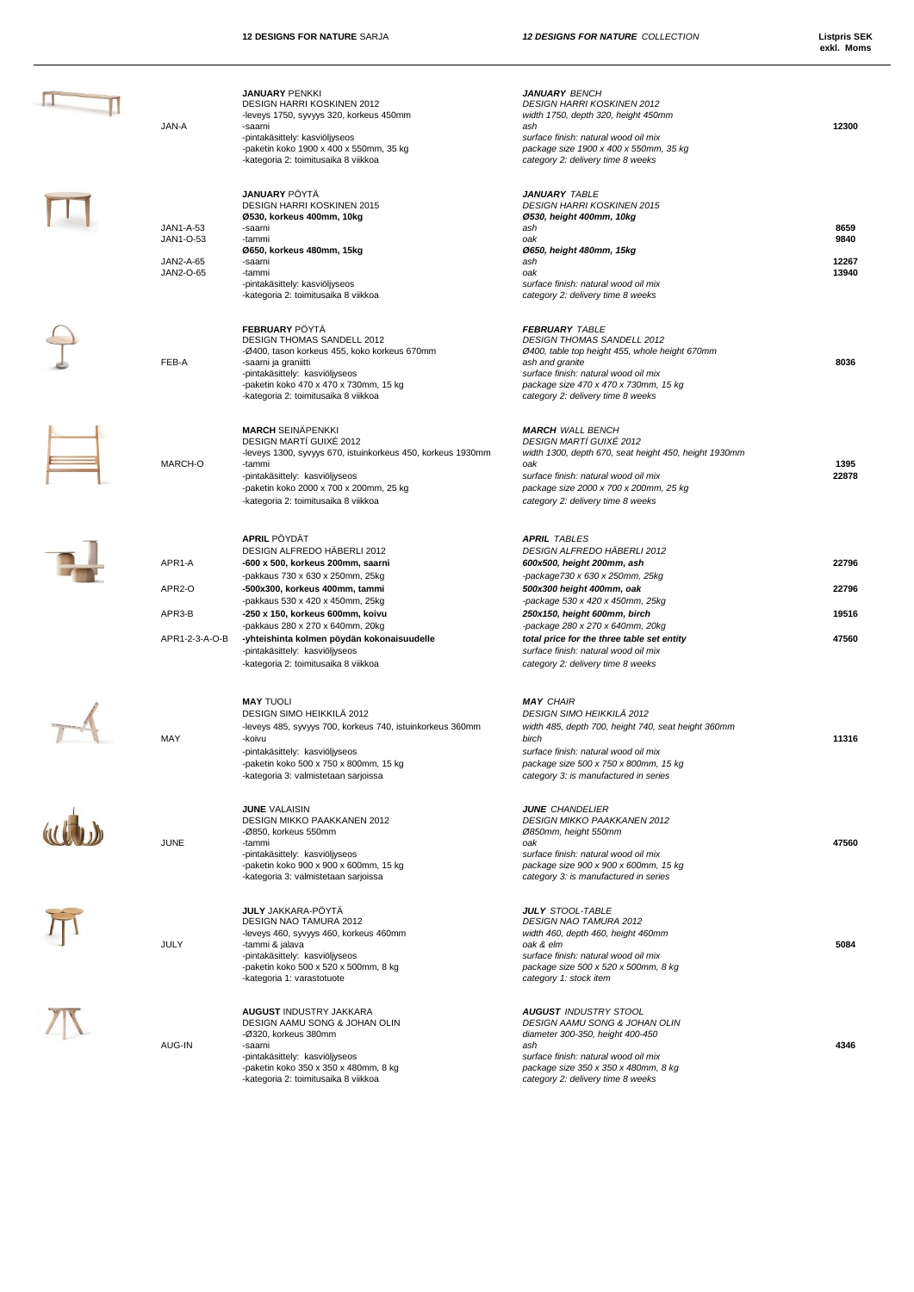| JAN-A                                            | <b>JANUARY PENKKI</b><br>DESIGN HARRI KOSKINEN 2012<br>-leveys 1750, syvyys 320, korkeus 450mm<br>-saarni<br>-pintakäsittely: kasviöljyseos<br>-paketin koko 1900 x 400 x 550mm, 35 kg<br>-kategoria 2: toimitusaika 8 viikkoa                                                                                                                                                                    | <b>JANUARY BENCH</b><br><b>DESIGN HARRI KOSKINEN 2012</b><br>width 1750, depth 320, height 450mm<br>ash<br>surface finish: natural wood oil mix<br>package size 1900 x 400 x 550mm, 35 kg<br>category 2: delivery time 8 weeks                                                                                                                                                      | 12300                            |
|--------------------------------------------------|---------------------------------------------------------------------------------------------------------------------------------------------------------------------------------------------------------------------------------------------------------------------------------------------------------------------------------------------------------------------------------------------------|-------------------------------------------------------------------------------------------------------------------------------------------------------------------------------------------------------------------------------------------------------------------------------------------------------------------------------------------------------------------------------------|----------------------------------|
| JAN1-A-53<br>JAN1-O-53<br>JAN2-A-65<br>JAN2-O-65 | <b>JANUARY PÖYTÄ</b><br>DESIGN HARRI KOSKINEN 2015<br>Ø530, korkeus 400mm, 10kg<br>-saarni<br>-tammi<br>Ø650, korkeus 480mm, 15kg<br>-saarni<br>-tammi<br>-pintakäsittely: kasviöljyseos<br>-kategoria 2: toimitusaika 8 viikkoa                                                                                                                                                                  | <b>JANUARY TABLE</b><br><b>DESIGN HARRI KOSKINEN 2015</b><br>Ø530, height 400mm, 10kg<br>ash<br>oak<br>Ø650, height 480mm, 15kg<br>ash<br>oak<br>surface finish: natural wood oil mix<br>category 2: delivery time 8 weeks                                                                                                                                                          | 8659<br>9840<br>12267<br>13940   |
| FEB-A                                            | <b>FEBRUARY PÖYTÄ</b><br>DESIGN THOMAS SANDELL 2012<br>-Ø400, tason korkeus 455, koko korkeus 670mm<br>-saarni ja graniitti<br>-pintakäsittely: kasviöljyseos<br>-paketin koko 470 x 470 x 730mm, 15 kg<br>-kategoria 2: toimitusaika 8 viikkoa                                                                                                                                                   | <b>FEBRUARY TABLE</b><br>DESIGN THOMAS SANDELL 2012<br>Ø400, table top height 455, whole height 670mm<br>ash and granite<br>surface finish: natural wood oil mix<br>package size 470 x 470 x 730mm, 15 kg<br>category 2: delivery time 8 weeks                                                                                                                                      | 8036                             |
| MARCH-O                                          | <b>MARCH SEINÄPENKKI</b><br>DESIGN MARTI GUIXE 2012<br>-leveys 1300, syvyys 670, istuinkorkeus 450, korkeus 1930mm<br>-tammi<br>-pintakäsittely: kasviöljyseos<br>-paketin koko 2000 x 700 x 200mm, 25 kg<br>-kategoria 2: toimitusaika 8 viikkoa                                                                                                                                                 | <b>MARCH WALL BENCH</b><br><b>DESIGN MARTI GUIXE 2012</b><br>width 1300, depth 670, seat height 450, height 1930mm<br>oak<br>surface finish: natural wood oil mix<br>package size 2000 x 700 x 200mm, 25 kg<br>category 2: delivery time 8 weeks                                                                                                                                    | 1395<br>22878                    |
| APR1-A<br>APR2-O<br>APR3-B<br>APR1-2-3-A-O-B     | <b>APRIL PÖYDÄT</b><br>DESIGN ALFREDO HÄBERLI 2012<br>-600 x 500, korkeus 200mm, saarni<br>-pakkaus 730 x 630 x 250mm, 25kg<br>-500x300, korkeus 400mm, tammi<br>-pakkaus 530 x 420 x 450mm, 25kg<br>-250 x 150, korkeus 600mm, koivu<br>-pakkaus 280 x 270 x 640mm, 20kg<br>-yhteishinta kolmen pöydän kokonaisuudelle<br>-pintakäsittely: kasviöljyseos<br>-kategoria 2: toimitusaika 8 viikkoa | <b>APRIL TABLES</b><br>DESIGN ALFREDO HÄBERLI 2012<br>600x500, height 200mm, ash<br>-package730 x 630 x 250mm, 25kg<br>500x300 height 400mm, oak<br>-package 530 x 420 x 450mm, 25kg<br>250x150, height 600mm, birch<br>-package 280 x 270 x 640mm, 20kg<br>total price for the three table set entity<br>surface finish: natural wood oil mix<br>category 2: delivery time 8 weeks | 22796<br>22796<br>19516<br>47560 |
| MAY                                              | <b>MAY TUOLI</b><br>DESIGN SIMO HEIKKILÄ 2012<br>-leveys 485, syvyys 700, korkeus 740, istuinkorkeus 360mm<br>-koivu<br>-pintakäsittely: kasviöljyseos<br>-paketin koko 500 x 750 x 800mm, 15 kg<br>-kategoria 3: valmistetaan sarjoissa                                                                                                                                                          | <b>MAY CHAIR</b><br>DESIGN SIMO HEIKKILÄ 2012<br>width 485, depth 700, height 740, seat height 360mm<br>birch<br>surface finish: natural wood oil mix<br>package size 500 x 750 x 800mm, 15 kg<br>category 3: is manufactured in series                                                                                                                                             | 11316                            |
| <b>JUNE</b>                                      | <b>JUNE VALAISIN</b><br><b>DESIGN MIKKO PAAKKANEN 2012</b><br>-Ø850, korkeus 550mm<br>-tammi<br>-pintakäsittely: kasviöljyseos<br>-paketin koko 900 x 900 x 600mm, 15 kg<br>-kategoria 3: valmistetaan sarjoissa                                                                                                                                                                                  | <b>JUNE CHANDELIER</b><br>DESIGN MIKKO PAAKKANEN 2012<br>Ø850mm, height 550mm<br>oak<br>surface finish: natural wood oil mix<br>package size 900 x 900 x 600mm, 15 kg<br>category 3: is manufactured in series                                                                                                                                                                      | 47560                            |
| JULY                                             | <b>JULY</b> JAKKARA-PÖYTÄ<br>DESIGN NAO TAMURA 2012<br>-leveys 460, syvyys 460, korkeus 460mm<br>-tammi & jalava<br>-pintakäsittely: kasviöljyseos<br>-paketin koko 500 x 520 x 500mm, 8 kg<br>-kategoria 1: varastotuote                                                                                                                                                                         | <b>JULY STOOL-TABLE</b><br><b>DESIGN NAO TAMURA 2012</b><br>width 460, depth 460, height 460mm<br>oak & elm<br>surface finish: natural wood oil mix<br>package size 500 x 520 x 500mm, 8 kg<br>category 1: stock item                                                                                                                                                               | 5084                             |
| AUG-IN                                           | <b>AUGUST INDUSTRY JAKKARA</b><br>DESIGN AAMU SONG & JOHAN OLIN<br>-Ø320, korkeus 380mm<br>-saarni<br>-pintakäsittely: kasviöljyseos<br>-paketin koko 350 x 350 x 480mm, 8 kg<br>-kategoria 2: toimitusaika 8 viikkoa                                                                                                                                                                             | <b>AUGUST INDUSTRY STOOL</b><br>DESIGN AAMU SONG & JOHAN OLIN<br>diameter 300-350, height 400-450<br>ash<br>surface finish: natural wood oil mix<br>package size 350 x 350 x 480mm, 8 kg<br>category 2: delivery time 8 weeks                                                                                                                                                       | 4346                             |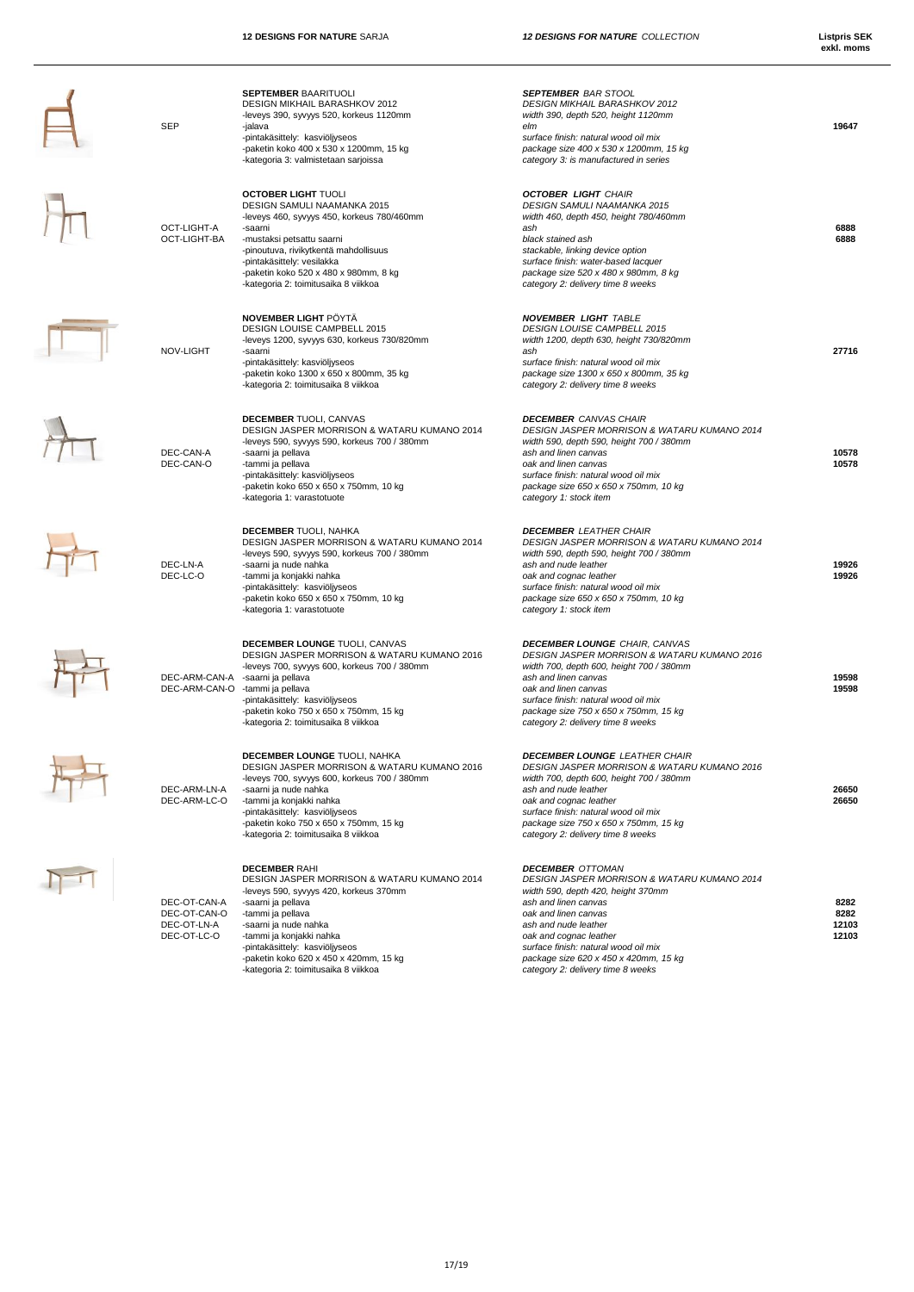| DESIGN MIKHAIL BARASHKOV 2012<br><b>DESIGN MIKHAIL BARASHKOV 2012</b><br>-leveys 390, syvyys 520, korkeus 1120mm<br>width 390, depth 520, height 1120mm<br>SEP<br>-jalava<br>elm<br>-pintakäsittely: kasviöljyseos<br>surface finish: natural wood oil mix<br>-paketin koko 400 x 530 x 1200mm, 15 kg<br>package size 400 x 530 x 1200mm, 15 kg<br>-kategoria 3: valmistetaan sarjoissa<br>category 3: is manufactured in series<br><b>OCTOBER LIGHT TUOLI</b><br><b>OCTOBER LIGHT CHAIR</b><br>DESIGN SAMULI NAAMANKA 2015<br>DESIGN SAMULI NAAMANKA 2015<br>-leveys 460, syvyys 450, korkeus 780/460mm<br>width 460, depth 450, height 780/460mm<br>OCT-LIGHT-A<br>-saarni<br>ash<br>OCT-LIGHT-BA<br>black stained ash<br>-mustaksi petsattu saarni<br>-pinoutuva, rivikytkentä mahdollisuus<br>stackable, linking device option<br>surface finish: water-based lacquer<br>-pintakäsittely: vesilakka<br>-paketin koko 520 x 480 x 980mm, 8 kg<br>package size 520 x 480 x 980mm, 8 kg<br>-kategoria 2: toimitusaika 8 viikkoa<br>category 2: delivery time 8 weeks<br>NOVEMBER LIGHT PÖYTÄ<br><b>NOVEMBER LIGHT TABLE</b><br>DESIGN LOUISE CAMPBELL 2015<br>DESIGN LOUISE CAMPBELL 2015<br>-leveys 1200, syvyys 630, korkeus 730/820mm<br>width 1200, depth 630, height 730/820mm<br>NOV-LIGHT<br>-saarni<br>ash<br>-pintakäsittely: kasviöljyseos<br>surface finish: natural wood oil mix<br>-paketin koko 1300 x 650 x 800mm, 35 kg<br>package size 1300 x 650 x 800mm, 35 kg<br>-kategoria 2: toimitusaika 8 viikkoa<br>category 2: delivery time 8 weeks<br><b>DECEMBER TUOLI, CANVAS</b><br><b>DECEMBER</b> CANVAS CHAIR<br>DESIGN JASPER MORRISON & WATARU KUMANO 2014<br>DESIGN JASPER MORRISON & WATARU KUMANO 2014<br>-leveys 590, syvyys 590, korkeus 700 / 380mm<br>width 590, depth 590, height 700 / 380mm<br>DEC-CAN-A<br>ash and linen canvas<br>-saarni ja pellava<br>DEC-CAN-O<br>-tammi ja pellava<br>oak and linen canvas<br>-pintakäsittely: kasviöljyseos<br>surface finish: natural wood oil mix<br>-paketin koko 650 x 650 x 750mm, 10 kg<br>package size 650 x 650 x 750mm, 10 kg<br>-kategoria 1: varastotuote<br>category 1: stock item<br><b>DECEMBER TUOLI, NAHKA</b><br><b>DECEMBER LEATHER CHAIR</b><br>DESIGN JASPER MORRISON & WATARU KUMANO 2014<br>DESIGN JASPER MORRISON & WATARU KUMANO 2014<br>-leveys 590, syvyys 590, korkeus 700 / 380mm<br>width 590, depth 590, height 700 / 380mm<br>DEC-LN-A<br>-saarni ja nude nahka<br>ash and nude leather<br>DEC-LC-O<br>-tammi ja konjakki nahka<br>oak and cognac leather<br>-pintakäsittely: kasviöljyseos<br>surface finish: natural wood oil mix<br>-paketin koko 650 x 650 x 750mm, 10 kg<br>package size 650 x 650 x 750mm, 10 kg<br>-kategoria 1: varastotuote<br>category 1: stock item<br>DECEMBER LOUNGE TUOLI, CANVAS<br><b>DECEMBER LOUNGE CHAIR, CANVAS</b><br>DESIGN JASPER MORRISON & WATARU KUMANO 2016<br>DESIGN JASPER MORRISON & WATARU KUMANO 2016<br>-leveys 700, syvyys 600, korkeus 700 / 380mm<br>width 700, depth 600, height 700 / 380mm<br>DEC-ARM-CAN-A<br>-saarni ja pellava<br>ash and linen canvas<br>DEC-ARM-CAN-O<br>-tammi ja pellava<br>oak and linen canvas<br>-pintakäsittely: kasviöljyseos<br>surface finish: natural wood oil mix<br>-paketin koko 750 x 650 x 750mm, 15 kg<br>package size 750 x 650 x 750mm, 15 kg<br>-kategoria 2: toimitusaika 8 viikkoa<br>category 2: delivery time 8 weeks<br>DECEMBER LOUNGE TUOLI, NAHKA<br><b>DECEMBER LOUNGE LEATHER CHAIR</b><br>DESIGN JASPER MORRISON & WATARU KUMANO 2016<br>DESIGN JASPER MORRISON & WATARU KUMANO 2016<br>-leveys 700, syvyys 600, korkeus 700 / 380mm<br>width 700, depth 600, height 700 / 380mm<br>DEC-ARM-LN-A<br>-saarni ja nude nahka<br>ash and nude leather<br>DEC-ARM-LC-O<br>-tammi ja konjakki nahka<br>oak and cognac leather<br>-pintakäsittely: kasviöljyseos<br>surface finish: natural wood oil mix<br>-paketin koko 750 x 650 x 750mm, 15 kg<br>package size 750 x 650 x 750mm, 15 kg<br>-kategoria 2: toimitusaika 8 viikkoa<br>category 2: delivery time 8 weeks<br><b>DECEMBER RAHI</b><br><b>DECEMBER OTTOMAN</b> |                        |
|-------------------------------------------------------------------------------------------------------------------------------------------------------------------------------------------------------------------------------------------------------------------------------------------------------------------------------------------------------------------------------------------------------------------------------------------------------------------------------------------------------------------------------------------------------------------------------------------------------------------------------------------------------------------------------------------------------------------------------------------------------------------------------------------------------------------------------------------------------------------------------------------------------------------------------------------------------------------------------------------------------------------------------------------------------------------------------------------------------------------------------------------------------------------------------------------------------------------------------------------------------------------------------------------------------------------------------------------------------------------------------------------------------------------------------------------------------------------------------------------------------------------------------------------------------------------------------------------------------------------------------------------------------------------------------------------------------------------------------------------------------------------------------------------------------------------------------------------------------------------------------------------------------------------------------------------------------------------------------------------------------------------------------------------------------------------------------------------------------------------------------------------------------------------------------------------------------------------------------------------------------------------------------------------------------------------------------------------------------------------------------------------------------------------------------------------------------------------------------------------------------------------------------------------------------------------------------------------------------------------------------------------------------------------------------------------------------------------------------------------------------------------------------------------------------------------------------------------------------------------------------------------------------------------------------------------------------------------------------------------------------------------------------------------------------------------------------------------------------------------------------------------------------------------------------------------------------------------------------------------------------------------------------------------------------------------------------------------------------------------------------------------------------------------------------------------------------------------------------------------------------------------------------------------------------------------------------------------------------------------------------------------------------------------------------------------------------------------------------------------------------------------------------------------------------------------------------------------------------------------------------------------------------------------------------------------------------------------------------------------------------------------------------------------------------------------------------------------------------------------------------------|------------------------|
|                                                                                                                                                                                                                                                                                                                                                                                                                                                                                                                                                                                                                                                                                                                                                                                                                                                                                                                                                                                                                                                                                                                                                                                                                                                                                                                                                                                                                                                                                                                                                                                                                                                                                                                                                                                                                                                                                                                                                                                                                                                                                                                                                                                                                                                                                                                                                                                                                                                                                                                                                                                                                                                                                                                                                                                                                                                                                                                                                                                                                                                                                                                                                                                                                                                                                                                                                                                                                                                                                                                                                                                                                                                                                                                                                                                                                                                                                                                                                                                                                                                                                                                                     | 19647                  |
|                                                                                                                                                                                                                                                                                                                                                                                                                                                                                                                                                                                                                                                                                                                                                                                                                                                                                                                                                                                                                                                                                                                                                                                                                                                                                                                                                                                                                                                                                                                                                                                                                                                                                                                                                                                                                                                                                                                                                                                                                                                                                                                                                                                                                                                                                                                                                                                                                                                                                                                                                                                                                                                                                                                                                                                                                                                                                                                                                                                                                                                                                                                                                                                                                                                                                                                                                                                                                                                                                                                                                                                                                                                                                                                                                                                                                                                                                                                                                                                                                                                                                                                                     |                        |
|                                                                                                                                                                                                                                                                                                                                                                                                                                                                                                                                                                                                                                                                                                                                                                                                                                                                                                                                                                                                                                                                                                                                                                                                                                                                                                                                                                                                                                                                                                                                                                                                                                                                                                                                                                                                                                                                                                                                                                                                                                                                                                                                                                                                                                                                                                                                                                                                                                                                                                                                                                                                                                                                                                                                                                                                                                                                                                                                                                                                                                                                                                                                                                                                                                                                                                                                                                                                                                                                                                                                                                                                                                                                                                                                                                                                                                                                                                                                                                                                                                                                                                                                     | 6888                   |
|                                                                                                                                                                                                                                                                                                                                                                                                                                                                                                                                                                                                                                                                                                                                                                                                                                                                                                                                                                                                                                                                                                                                                                                                                                                                                                                                                                                                                                                                                                                                                                                                                                                                                                                                                                                                                                                                                                                                                                                                                                                                                                                                                                                                                                                                                                                                                                                                                                                                                                                                                                                                                                                                                                                                                                                                                                                                                                                                                                                                                                                                                                                                                                                                                                                                                                                                                                                                                                                                                                                                                                                                                                                                                                                                                                                                                                                                                                                                                                                                                                                                                                                                     | 6888                   |
|                                                                                                                                                                                                                                                                                                                                                                                                                                                                                                                                                                                                                                                                                                                                                                                                                                                                                                                                                                                                                                                                                                                                                                                                                                                                                                                                                                                                                                                                                                                                                                                                                                                                                                                                                                                                                                                                                                                                                                                                                                                                                                                                                                                                                                                                                                                                                                                                                                                                                                                                                                                                                                                                                                                                                                                                                                                                                                                                                                                                                                                                                                                                                                                                                                                                                                                                                                                                                                                                                                                                                                                                                                                                                                                                                                                                                                                                                                                                                                                                                                                                                                                                     |                        |
|                                                                                                                                                                                                                                                                                                                                                                                                                                                                                                                                                                                                                                                                                                                                                                                                                                                                                                                                                                                                                                                                                                                                                                                                                                                                                                                                                                                                                                                                                                                                                                                                                                                                                                                                                                                                                                                                                                                                                                                                                                                                                                                                                                                                                                                                                                                                                                                                                                                                                                                                                                                                                                                                                                                                                                                                                                                                                                                                                                                                                                                                                                                                                                                                                                                                                                                                                                                                                                                                                                                                                                                                                                                                                                                                                                                                                                                                                                                                                                                                                                                                                                                                     | 27716                  |
|                                                                                                                                                                                                                                                                                                                                                                                                                                                                                                                                                                                                                                                                                                                                                                                                                                                                                                                                                                                                                                                                                                                                                                                                                                                                                                                                                                                                                                                                                                                                                                                                                                                                                                                                                                                                                                                                                                                                                                                                                                                                                                                                                                                                                                                                                                                                                                                                                                                                                                                                                                                                                                                                                                                                                                                                                                                                                                                                                                                                                                                                                                                                                                                                                                                                                                                                                                                                                                                                                                                                                                                                                                                                                                                                                                                                                                                                                                                                                                                                                                                                                                                                     |                        |
|                                                                                                                                                                                                                                                                                                                                                                                                                                                                                                                                                                                                                                                                                                                                                                                                                                                                                                                                                                                                                                                                                                                                                                                                                                                                                                                                                                                                                                                                                                                                                                                                                                                                                                                                                                                                                                                                                                                                                                                                                                                                                                                                                                                                                                                                                                                                                                                                                                                                                                                                                                                                                                                                                                                                                                                                                                                                                                                                                                                                                                                                                                                                                                                                                                                                                                                                                                                                                                                                                                                                                                                                                                                                                                                                                                                                                                                                                                                                                                                                                                                                                                                                     | 10578<br>10578         |
|                                                                                                                                                                                                                                                                                                                                                                                                                                                                                                                                                                                                                                                                                                                                                                                                                                                                                                                                                                                                                                                                                                                                                                                                                                                                                                                                                                                                                                                                                                                                                                                                                                                                                                                                                                                                                                                                                                                                                                                                                                                                                                                                                                                                                                                                                                                                                                                                                                                                                                                                                                                                                                                                                                                                                                                                                                                                                                                                                                                                                                                                                                                                                                                                                                                                                                                                                                                                                                                                                                                                                                                                                                                                                                                                                                                                                                                                                                                                                                                                                                                                                                                                     |                        |
|                                                                                                                                                                                                                                                                                                                                                                                                                                                                                                                                                                                                                                                                                                                                                                                                                                                                                                                                                                                                                                                                                                                                                                                                                                                                                                                                                                                                                                                                                                                                                                                                                                                                                                                                                                                                                                                                                                                                                                                                                                                                                                                                                                                                                                                                                                                                                                                                                                                                                                                                                                                                                                                                                                                                                                                                                                                                                                                                                                                                                                                                                                                                                                                                                                                                                                                                                                                                                                                                                                                                                                                                                                                                                                                                                                                                                                                                                                                                                                                                                                                                                                                                     | 19926                  |
|                                                                                                                                                                                                                                                                                                                                                                                                                                                                                                                                                                                                                                                                                                                                                                                                                                                                                                                                                                                                                                                                                                                                                                                                                                                                                                                                                                                                                                                                                                                                                                                                                                                                                                                                                                                                                                                                                                                                                                                                                                                                                                                                                                                                                                                                                                                                                                                                                                                                                                                                                                                                                                                                                                                                                                                                                                                                                                                                                                                                                                                                                                                                                                                                                                                                                                                                                                                                                                                                                                                                                                                                                                                                                                                                                                                                                                                                                                                                                                                                                                                                                                                                     | 19926                  |
|                                                                                                                                                                                                                                                                                                                                                                                                                                                                                                                                                                                                                                                                                                                                                                                                                                                                                                                                                                                                                                                                                                                                                                                                                                                                                                                                                                                                                                                                                                                                                                                                                                                                                                                                                                                                                                                                                                                                                                                                                                                                                                                                                                                                                                                                                                                                                                                                                                                                                                                                                                                                                                                                                                                                                                                                                                                                                                                                                                                                                                                                                                                                                                                                                                                                                                                                                                                                                                                                                                                                                                                                                                                                                                                                                                                                                                                                                                                                                                                                                                                                                                                                     | 19598                  |
|                                                                                                                                                                                                                                                                                                                                                                                                                                                                                                                                                                                                                                                                                                                                                                                                                                                                                                                                                                                                                                                                                                                                                                                                                                                                                                                                                                                                                                                                                                                                                                                                                                                                                                                                                                                                                                                                                                                                                                                                                                                                                                                                                                                                                                                                                                                                                                                                                                                                                                                                                                                                                                                                                                                                                                                                                                                                                                                                                                                                                                                                                                                                                                                                                                                                                                                                                                                                                                                                                                                                                                                                                                                                                                                                                                                                                                                                                                                                                                                                                                                                                                                                     | 19598                  |
|                                                                                                                                                                                                                                                                                                                                                                                                                                                                                                                                                                                                                                                                                                                                                                                                                                                                                                                                                                                                                                                                                                                                                                                                                                                                                                                                                                                                                                                                                                                                                                                                                                                                                                                                                                                                                                                                                                                                                                                                                                                                                                                                                                                                                                                                                                                                                                                                                                                                                                                                                                                                                                                                                                                                                                                                                                                                                                                                                                                                                                                                                                                                                                                                                                                                                                                                                                                                                                                                                                                                                                                                                                                                                                                                                                                                                                                                                                                                                                                                                                                                                                                                     | 26650                  |
|                                                                                                                                                                                                                                                                                                                                                                                                                                                                                                                                                                                                                                                                                                                                                                                                                                                                                                                                                                                                                                                                                                                                                                                                                                                                                                                                                                                                                                                                                                                                                                                                                                                                                                                                                                                                                                                                                                                                                                                                                                                                                                                                                                                                                                                                                                                                                                                                                                                                                                                                                                                                                                                                                                                                                                                                                                                                                                                                                                                                                                                                                                                                                                                                                                                                                                                                                                                                                                                                                                                                                                                                                                                                                                                                                                                                                                                                                                                                                                                                                                                                                                                                     | 26650                  |
| DESIGN JASPER MORRISON & WATARU KUMANO 2014<br>DESIGN JASPER MORRISON & WATARU KUMANO 2014<br>-leveys 590, syvyys 420, korkeus 370mm<br>width 590, depth 420, height 370mm<br>DEC-OT-CAN-A<br>-saarni ja pellava<br>ash and linen canvas                                                                                                                                                                                                                                                                                                                                                                                                                                                                                                                                                                                                                                                                                                                                                                                                                                                                                                                                                                                                                                                                                                                                                                                                                                                                                                                                                                                                                                                                                                                                                                                                                                                                                                                                                                                                                                                                                                                                                                                                                                                                                                                                                                                                                                                                                                                                                                                                                                                                                                                                                                                                                                                                                                                                                                                                                                                                                                                                                                                                                                                                                                                                                                                                                                                                                                                                                                                                                                                                                                                                                                                                                                                                                                                                                                                                                                                                                            | 8282                   |
| DEC-OT-CAN-O<br>-tammi ja pellava<br>oak and linen canvas<br>DEC-OT-LN-A<br>-saarni ja nude nahka<br>ash and nude leather<br>DEC-OT-LC-O<br>-tammi ja konjakki nahka<br>oak and cognac leather                                                                                                                                                                                                                                                                                                                                                                                                                                                                                                                                                                                                                                                                                                                                                                                                                                                                                                                                                                                                                                                                                                                                                                                                                                                                                                                                                                                                                                                                                                                                                                                                                                                                                                                                                                                                                                                                                                                                                                                                                                                                                                                                                                                                                                                                                                                                                                                                                                                                                                                                                                                                                                                                                                                                                                                                                                                                                                                                                                                                                                                                                                                                                                                                                                                                                                                                                                                                                                                                                                                                                                                                                                                                                                                                                                                                                                                                                                                                      | 8282<br>12103<br>12103 |
| -pintakäsittely: kasviöljyseos<br>surface finish: natural wood oil mix<br>-paketin koko 620 x 450 x 420mm, 15 kg<br>package size 620 x 450 x 420mm, 15 kg<br>-kategoria 2: toimitusaika 8 viikkoa<br>category 2: delivery time 8 weeks                                                                                                                                                                                                                                                                                                                                                                                                                                                                                                                                                                                                                                                                                                                                                                                                                                                                                                                                                                                                                                                                                                                                                                                                                                                                                                                                                                                                                                                                                                                                                                                                                                                                                                                                                                                                                                                                                                                                                                                                                                                                                                                                                                                                                                                                                                                                                                                                                                                                                                                                                                                                                                                                                                                                                                                                                                                                                                                                                                                                                                                                                                                                                                                                                                                                                                                                                                                                                                                                                                                                                                                                                                                                                                                                                                                                                                                                                              |                        |



 $\overline{\mathsf{H}}$ 



 $\mathcal{H}$ 







 $\n *T*\n$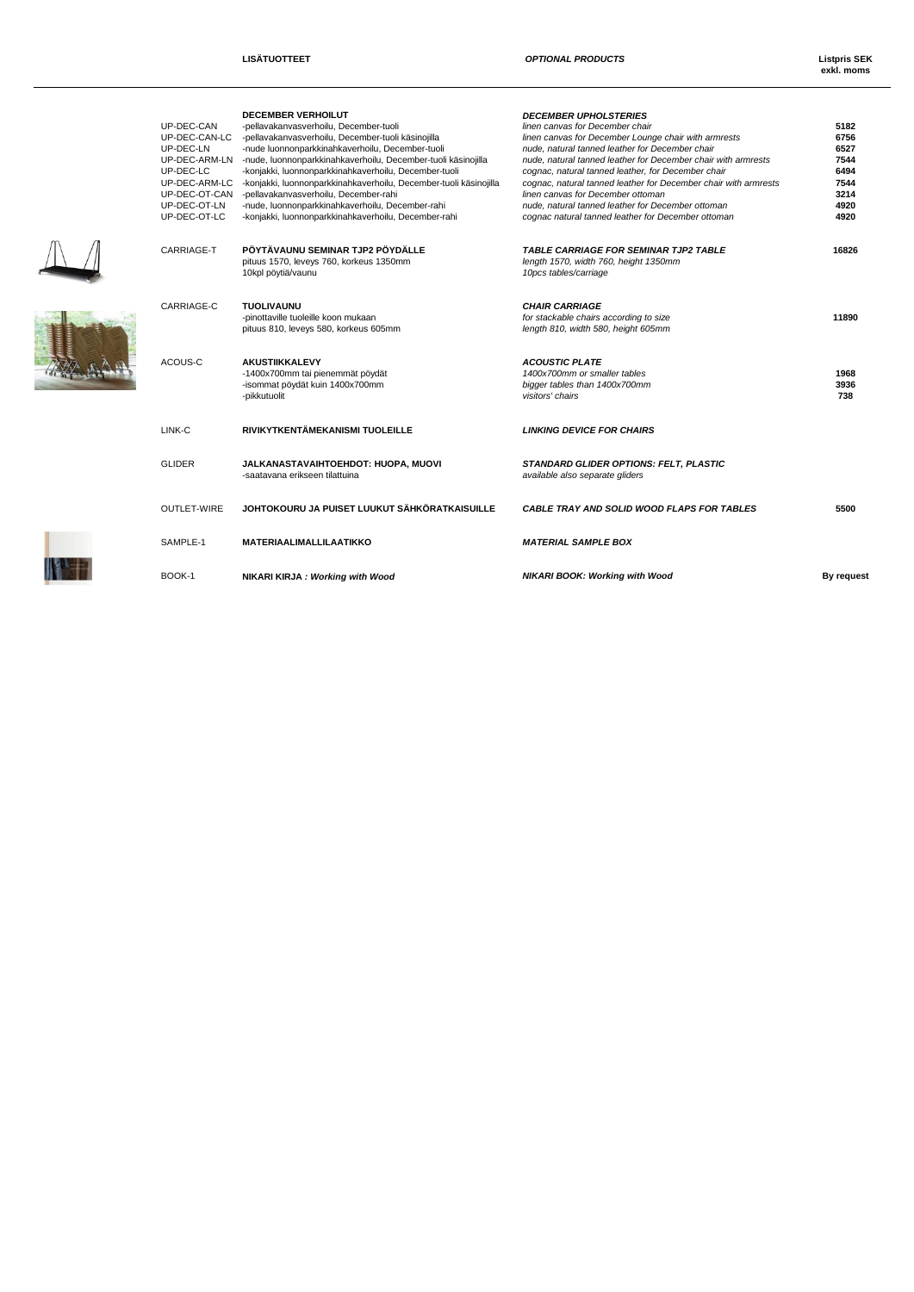$\mathbb{A}$ 

 $\mathbb{R}^n$ 

**exkl. moms**

|  | UP-DEC-CAN<br>UP-DEC-CAN-LC<br>UP-DEC-LN<br>UP-DEC-ARM-LN<br>UP-DEC-LC<br>UP-DEC-ARM-LC<br>UP-DEC-OT-CAN<br>UP-DEC-OT-LN<br>UP-DEC-OT-LC | <b>DECEMBER VERHOILUT</b><br>-pellavakanvasverhoilu. December-tuoli<br>-pellavakanvasverhoilu, December-tuoli käsinojilla<br>-nude luonnonparkkinahkaverhoilu, December-tuoli<br>-nude, luonnonparkkinahkaverhoilu, December-tuoli käsinojilla<br>-konjakki, luonnonparkkinahkaverhoilu, December-tuoli<br>-konjakki, luonnonparkkinahkaverhoilu, December-tuoli käsinojilla<br>-pellavakanvasverhoilu, December-rahi<br>-nude, luonnonparkkinahkaverhoilu, December-rahi<br>-konjakki, luonnonparkkinahkaverhoilu, December-rahi | <b>DECEMBER UPHOLSTERIES</b><br>linen canvas for December chair<br>linen canvas for December Lounge chair with armrests<br>nude, natural tanned leather for December chair<br>nude, natural tanned leather for December chair with armrests<br>cognac, natural tanned leather, for December chair<br>cognac, natural tanned leather for December chair with armrests<br>linen canvas for December ottoman<br>nude, natural tanned leather for December ottoman<br>cognac natural tanned leather for December ottoman | 5182<br>6756<br>6527<br>7544<br>6494<br>7544<br>3214<br>4920<br>4920 |
|--|------------------------------------------------------------------------------------------------------------------------------------------|-----------------------------------------------------------------------------------------------------------------------------------------------------------------------------------------------------------------------------------------------------------------------------------------------------------------------------------------------------------------------------------------------------------------------------------------------------------------------------------------------------------------------------------|----------------------------------------------------------------------------------------------------------------------------------------------------------------------------------------------------------------------------------------------------------------------------------------------------------------------------------------------------------------------------------------------------------------------------------------------------------------------------------------------------------------------|----------------------------------------------------------------------|
|  | CARRIAGE-T                                                                                                                               | PÖYTÄVAUNU SEMINAR TJP2 PÖYDÄLLE<br>pituus 1570, leveys 760, korkeus 1350mm<br>10kpl pöytiä/vaunu                                                                                                                                                                                                                                                                                                                                                                                                                                 | <b>TABLE CARRIAGE FOR SEMINAR TJP2 TABLE</b><br>length 1570, width 760, height 1350mm<br>10pcs tables/carriage                                                                                                                                                                                                                                                                                                                                                                                                       | 16826                                                                |
|  | CARRIAGE-C                                                                                                                               | <b>TUOLIVAUNU</b><br>-pinottaville tuoleille koon mukaan<br>pituus 810, leveys 580, korkeus 605mm                                                                                                                                                                                                                                                                                                                                                                                                                                 | <b>CHAIR CARRIAGE</b><br>for stackable chairs according to size<br>length 810, width 580, height 605mm                                                                                                                                                                                                                                                                                                                                                                                                               | 11890                                                                |
|  | ACOUS-C                                                                                                                                  | <b>AKUSTIIKKALEVY</b><br>-1400x700mm tai pienemmät pöydät<br>-isommat pöydät kuin 1400x700mm<br>-pikkutuolit                                                                                                                                                                                                                                                                                                                                                                                                                      | <b>ACOUSTIC PLATE</b><br>1400x700mm or smaller tables<br>bigger tables than 1400x700mm<br>visitors' chairs                                                                                                                                                                                                                                                                                                                                                                                                           | 1968<br>3936<br>738                                                  |
|  | LINK-C                                                                                                                                   | RIVIKYTKENTÄMEKANISMI TUOLEILLE                                                                                                                                                                                                                                                                                                                                                                                                                                                                                                   | <b>LINKING DEVICE FOR CHAIRS</b>                                                                                                                                                                                                                                                                                                                                                                                                                                                                                     |                                                                      |
|  | <b>GLIDER</b>                                                                                                                            | JALKANASTAVAIHTOEHDOT: HUOPA, MUOVI<br>-saatavana erikseen tilattuina                                                                                                                                                                                                                                                                                                                                                                                                                                                             | STANDARD GLIDER OPTIONS: FELT, PLASTIC<br>available also separate gliders                                                                                                                                                                                                                                                                                                                                                                                                                                            |                                                                      |
|  | <b>OUTLET-WIRE</b>                                                                                                                       | JOHTOKOURU JA PUISET LUUKUT SÄHKÖRATKAISUILLE                                                                                                                                                                                                                                                                                                                                                                                                                                                                                     | <b>CABLE TRAY AND SOLID WOOD FLAPS FOR TABLES</b>                                                                                                                                                                                                                                                                                                                                                                                                                                                                    | 5500                                                                 |
|  | SAMPLE-1                                                                                                                                 | MATERIAALIMALLILAATIKKO                                                                                                                                                                                                                                                                                                                                                                                                                                                                                                           | <b>MATERIAL SAMPLE BOX</b>                                                                                                                                                                                                                                                                                                                                                                                                                                                                                           |                                                                      |
|  | BOOK-1                                                                                                                                   | NIKARI KIRJA: Working with Wood                                                                                                                                                                                                                                                                                                                                                                                                                                                                                                   | <b>NIKARI BOOK: Working with Wood</b>                                                                                                                                                                                                                                                                                                                                                                                                                                                                                | By reques                                                            |
|  |                                                                                                                                          |                                                                                                                                                                                                                                                                                                                                                                                                                                                                                                                                   |                                                                                                                                                                                                                                                                                                                                                                                                                                                                                                                      |                                                                      |